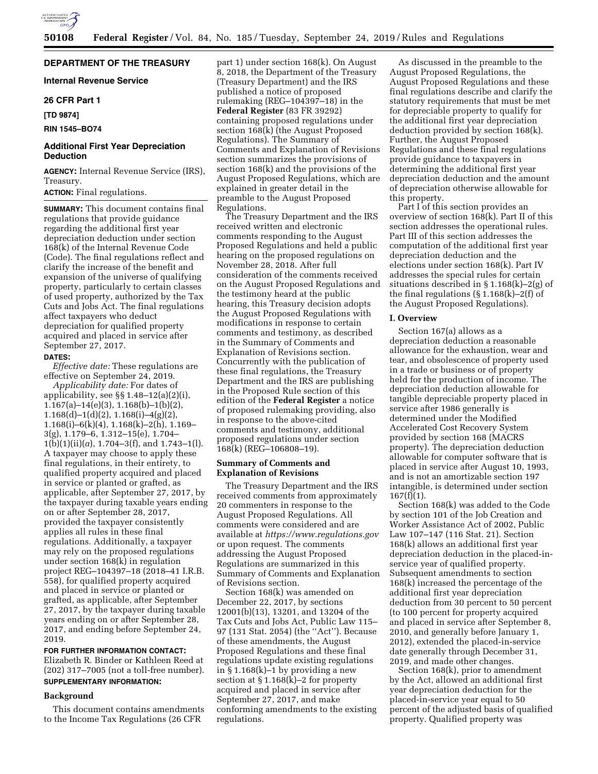

# **DEPARTMENT OF THE TREASURY**

**Internal Revenue Service** 

### **26 CFR Part 1**

**[TD 9874]** 

**RIN 1545–BO74** 

## **Additional First Year Depreciation Deduction**

**AGENCY:** Internal Revenue Service (IRS), Treasury.

# **ACTION:** Final regulations.

**SUMMARY:** This document contains final regulations that provide guidance regarding the additional first year depreciation deduction under section 168(k) of the Internal Revenue Code (Code). The final regulations reflect and clarify the increase of the benefit and expansion of the universe of qualifying property, particularly to certain classes of used property, authorized by the Tax Cuts and Jobs Act. The final regulations affect taxpayers who deduct depreciation for qualified property acquired and placed in service after September 27, 2017.

#### **DATES:**

*Effective date:* These regulations are effective on September 24, 2019.

*Applicability date:* For dates of applicability, see §§ 1.48–12(a)(2)(i), 1.167(a)–14(e)(3), 1.168(b)–1(b)(2),  $1.168(d)-1(d)(2), 1.168(i)-4(g)(2),$ 1.168(i)–6(k)(4), 1.168(k)–2(h), 1.169– 3(g), 1.179–6, 1.312–15(e), 1.704–  $1(b)(1)(ii)(a)$ , 1.704–3(f), and 1.743–1(l). A taxpayer may choose to apply these final regulations, in their entirety, to qualified property acquired and placed in service or planted or grafted, as applicable, after September 27, 2017, by the taxpayer during taxable years ending on or after September 28, 2017, provided the taxpayer consistently applies all rules in these final regulations. Additionally, a taxpayer may rely on the proposed regulations under section 168(k) in regulation project REG-104397-18 (2018-41 I.R.B. 558), for qualified property acquired and placed in service or planted or grafted, as applicable, after September 27, 2017, by the taxpayer during taxable years ending on or after September 28, 2017, and ending before September 24, 2019.

# **FOR FURTHER INFORMATION CONTACT:**

Elizabeth R. Binder or Kathleen Reed at (202) 317–7005 (not a toll-free number). **SUPPLEMENTARY INFORMATION:** 

## **Background**

This document contains amendments to the Income Tax Regulations (26 CFR

part 1) under section 168(k). On August 8, 2018, the Department of the Treasury (Treasury Department) and the IRS published a notice of proposed rulemaking (REG–104397–18) in the **Federal Register** (83 FR 39292) containing proposed regulations under section 168(k) (the August Proposed Regulations). The Summary of Comments and Explanation of Revisions section summarizes the provisions of section 168(k) and the provisions of the August Proposed Regulations, which are explained in greater detail in the preamble to the August Proposed Regulations.

The Treasury Department and the IRS received written and electronic comments responding to the August Proposed Regulations and held a public hearing on the proposed regulations on November 28, 2018. After full consideration of the comments received on the August Proposed Regulations and the testimony heard at the public hearing, this Treasury decision adopts the August Proposed Regulations with modifications in response to certain comments and testimony, as described in the Summary of Comments and Explanation of Revisions section. Concurrently with the publication of these final regulations, the Treasury Department and the IRS are publishing in the Proposed Rule section of this edition of the **Federal Register** a notice of proposed rulemaking providing, also in response to the above-cited comments and testimony, additional proposed regulations under section 168(k) (REG–106808–19).

## **Summary of Comments and Explanation of Revisions**

The Treasury Department and the IRS received comments from approximately 20 commenters in response to the August Proposed Regulations. All comments were considered and are available at *<https://www.regulations.gov>* or upon request. The comments addressing the August Proposed Regulations are summarized in this Summary of Comments and Explanation of Revisions section.

Section 168(k) was amended on December 22, 2017, by sections 12001(b)(13), 13201, and 13204 of the Tax Cuts and Jobs Act, Public Law 115– 97 (131 Stat. 2054) (the ''Act''). Because of these amendments, the August Proposed Regulations and these final regulations update existing regulations in § 1.168(k)–1 by providing a new section at  $\S 1.168(k)-2$  for property acquired and placed in service after September 27, 2017, and make conforming amendments to the existing regulations.

As discussed in the preamble to the August Proposed Regulations, the August Proposed Regulations and these final regulations describe and clarify the statutory requirements that must be met for depreciable property to qualify for the additional first year depreciation deduction provided by section 168(k). Further, the August Proposed Regulations and these final regulations provide guidance to taxpayers in determining the additional first year depreciation deduction and the amount of depreciation otherwise allowable for this property.

Part I of this section provides an overview of section 168(k). Part II of this section addresses the operational rules. Part III of this section addresses the computation of the additional first year depreciation deduction and the elections under section 168(k). Part IV addresses the special rules for certain situations described in § 1.168(k)–2(g) of the final regulations  $(\S 1.168(k) - 2(f))$  of the August Proposed Regulations).

### **I. Overview**

Section 167(a) allows as a depreciation deduction a reasonable allowance for the exhaustion, wear and tear, and obsolescence of property used in a trade or business or of property held for the production of income. The depreciation deduction allowable for tangible depreciable property placed in service after 1986 generally is determined under the Modified Accelerated Cost Recovery System provided by section 168 (MACRS property). The depreciation deduction allowable for computer software that is placed in service after August 10, 1993, and is not an amortizable section 197 intangible, is determined under section  $167(f)(1)$ .

Section 168(k) was added to the Code by section 101 of the Job Creation and Worker Assistance Act of 2002, Public Law 107–147 (116 Stat. 21). Section 168(k) allows an additional first year depreciation deduction in the placed-inservice year of qualified property. Subsequent amendments to section 168(k) increased the percentage of the additional first year depreciation deduction from 30 percent to 50 percent (to 100 percent for property acquired and placed in service after September 8, 2010, and generally before January 1, 2012), extended the placed-in-service date generally through December 31, 2019, and made other changes.

Section 168(k), prior to amendment by the Act, allowed an additional first year depreciation deduction for the placed-in-service year equal to 50 percent of the adjusted basis of qualified property. Qualified property was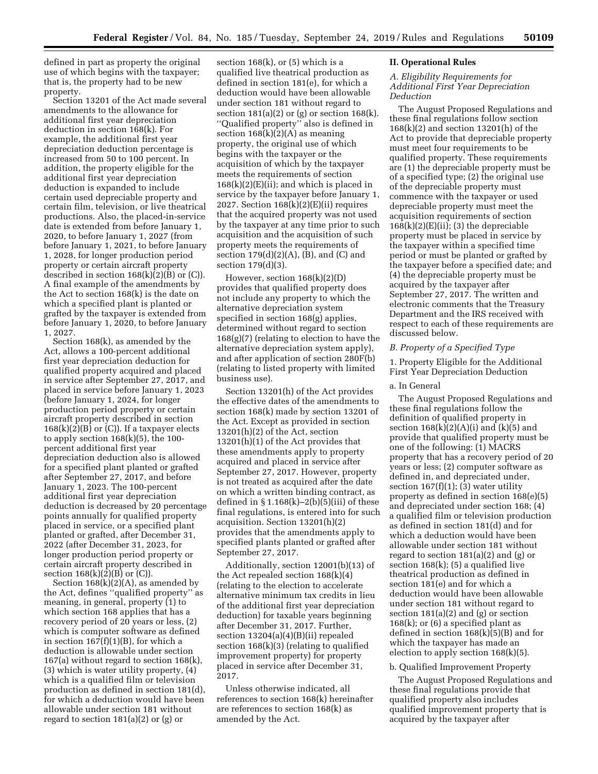defined in part as property the original use of which begins with the taxpayer; that is, the property had to be new property.

Section 13201 of the Act made several amendments to the allowance for additional first year depreciation deduction in section 168(k). For example, the additional first year depreciation deduction percentage is increased from 50 to 100 percent. In addition, the property eligible for the additional first year depreciation deduction is expanded to include certain used depreciable property and certain film, television, or live theatrical productions. Also, the placed-in-service date is extended from before January 1, 2020, to before January 1, 2027 (from before January 1, 2021, to before January 1, 2028, for longer production period property or certain aircraft property described in section 168(k)(2)(B) or (C)). A final example of the amendments by the Act to section 168(k) is the date on which a specified plant is planted or grafted by the taxpayer is extended from before January 1, 2020, to before January 1, 2027.

Section 168(k), as amended by the Act, allows a 100-percent additional first year depreciation deduction for qualified property acquired and placed in service after September 27, 2017, and placed in service before January 1, 2023 (before January 1, 2024, for longer production period property or certain aircraft property described in section  $168(k)(2)(B)$  or (C)). If a taxpayer elects to apply section 168(k)(5), the 100 percent additional first year depreciation deduction also is allowed for a specified plant planted or grafted after September 27, 2017, and before January 1, 2023. The 100-percent additional first year depreciation deduction is decreased by 20 percentage points annually for qualified property placed in service, or a specified plant planted or grafted, after December 31, 2022 (after December 31, 2023, for longer production period property or certain aircraft property described in section  $168(k)(2)(B)$  or  $(C)$ ).

Section 168(k)(2)(A), as amended by the Act, defines ''qualified property'' as meaning, in general, property (1) to which section 168 applies that has a recovery period of 20 years or less, (2) which is computer software as defined in section 167(f)(1)(B), for which a deduction is allowable under section 167(a) without regard to section 168(k), (3) which is water utility property, (4) which is a qualified film or television production as defined in section 181(d), for which a deduction would have been allowable under section 181 without regard to section  $181(a)(2)$  or  $(g)$  or

section  $168(k)$ , or  $(5)$  which is a qualified live theatrical production as defined in section 181(e), for which a deduction would have been allowable under section 181 without regard to section  $181(a)(2)$  or (g) or section  $168(k)$ . ''Qualified property'' also is defined in section  $168(k)(2)(A)$  as meaning property, the original use of which begins with the taxpayer or the acquisition of which by the taxpayer meets the requirements of section  $168(k)(2)$ (E)(ii); and which is placed in service by the taxpayer before January 1, 2027. Section 168(k)(2)(E)(ii) requires that the acquired property was not used by the taxpayer at any time prior to such acquisition and the acquisition of such property meets the requirements of section  $179(d)(2)(A)$ , (B), and (C) and section 179(d)(3).

However, section 168(k)(2)(D) provides that qualified property does not include any property to which the alternative depreciation system specified in section 168(g) applies, determined without regard to section 168(g)(7) (relating to election to have the alternative depreciation system apply), and after application of section 280F(b) (relating to listed property with limited business use).

Section 13201(h) of the Act provides the effective dates of the amendments to section 168(k) made by section 13201 of the Act. Except as provided in section 13201(h)(2) of the Act, section 13201(h)(1) of the Act provides that these amendments apply to property acquired and placed in service after September 27, 2017. However, property is not treated as acquired after the date on which a written binding contract, as defined in  $\S 1.168(k) - 2(b)(5)(iii)$  of these final regulations, is entered into for such acquisition. Section 13201(h)(2) provides that the amendments apply to specified plants planted or grafted after September 27, 2017.

Additionally, section 12001(b)(13) of the Act repealed section 168(k)(4) (relating to the election to accelerate alternative minimum tax credits in lieu of the additional first year depreciation deduction) for taxable years beginning after December 31, 2017. Further, section 13204(a)(4)(B)(ii) repealed section 168(k)(3) (relating to qualified improvement property) for property placed in service after December 31, 2017.

Unless otherwise indicated, all references to section 168(k) hereinafter are references to section 168(k) as amended by the Act.

## **II. Operational Rules**

### *A. Eligibility Requirements for Additional First Year Depreciation Deduction*

The August Proposed Regulations and these final regulations follow section 168(k)(2) and section 13201(h) of the Act to provide that depreciable property must meet four requirements to be qualified property. These requirements are (1) the depreciable property must be of a specified type; (2) the original use of the depreciable property must commence with the taxpayer or used depreciable property must meet the acquisition requirements of section  $168(k)(2)(E)(ii)$ ; (3) the depreciable property must be placed in service by the taxpayer within a specified time period or must be planted or grafted by the taxpayer before a specified date; and (4) the depreciable property must be acquired by the taxpayer after September 27, 2017. The written and electronic comments that the Treasury Department and the IRS received with respect to each of these requirements are discussed below.

### *B. Property of a Specified Type*

1. Property Eligible for the Additional First Year Depreciation Deduction

## a. In General

The August Proposed Regulations and these final regulations follow the definition of qualified property in section  $168(k)(2)(A)(i)$  and  $(k)(5)$  and provide that qualified property must be one of the following: (1) MACRS property that has a recovery period of 20 years or less; (2) computer software as defined in, and depreciated under, section 167(f)(1); (3) water utility property as defined in section 168(e)(5) and depreciated under section 168; (4) a qualified film or television production as defined in section 181(d) and for which a deduction would have been allowable under section 181 without regard to section 181(a)(2) and (g) or section 168(k); (5) a qualified live theatrical production as defined in section 181(e) and for which a deduction would have been allowable under section 181 without regard to section  $181(a)(2)$  and  $(g)$  or section  $168(k)$ ; or  $(6)$  a specified plant as defined in section  $168(k)(5)(B)$  and for which the taxpayer has made an election to apply section 168(k)(5).

#### b. Qualified Improvement Property

The August Proposed Regulations and these final regulations provide that qualified property also includes qualified improvement property that is acquired by the taxpayer after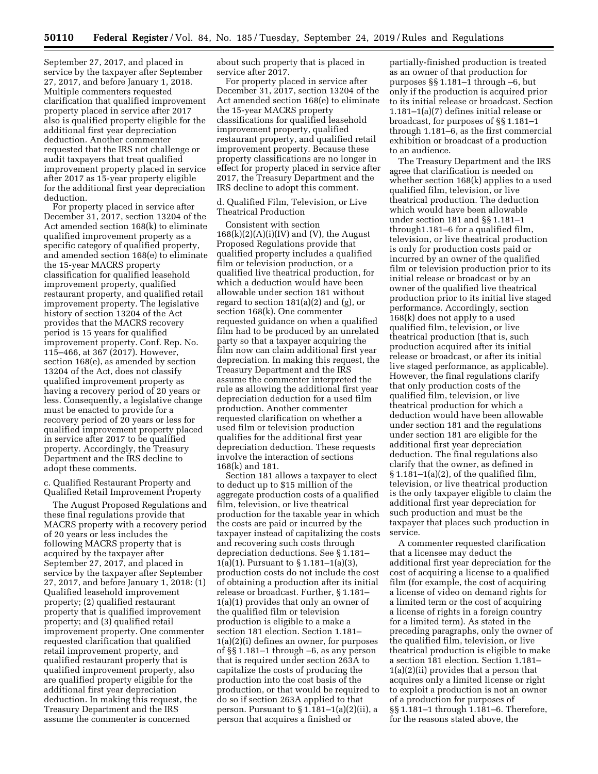September 27, 2017, and placed in service by the taxpayer after September 27, 2017, and before January 1, 2018. Multiple commenters requested clarification that qualified improvement property placed in service after 2017 also is qualified property eligible for the additional first year depreciation deduction. Another commenter requested that the IRS not challenge or audit taxpayers that treat qualified improvement property placed in service after 2017 as 15-year property eligible for the additional first year depreciation deduction.

For property placed in service after December 31, 2017, section 13204 of the Act amended section 168(k) to eliminate qualified improvement property as a specific category of qualified property, and amended section 168(e) to eliminate the 15-year MACRS property classification for qualified leasehold improvement property, qualified restaurant property, and qualified retail improvement property. The legislative history of section 13204 of the Act provides that the MACRS recovery period is 15 years for qualified improvement property. Conf. Rep. No. 115–466, at 367 (2017). However, section 168(e), as amended by section 13204 of the Act, does not classify qualified improvement property as having a recovery period of 20 years or less. Consequently, a legislative change must be enacted to provide for a recovery period of 20 years or less for qualified improvement property placed in service after 2017 to be qualified property. Accordingly, the Treasury Department and the IRS decline to adopt these comments.

c. Qualified Restaurant Property and Qualified Retail Improvement Property

The August Proposed Regulations and these final regulations provide that MACRS property with a recovery period of 20 years or less includes the following MACRS property that is acquired by the taxpayer after September 27, 2017, and placed in service by the taxpayer after September 27, 2017, and before January 1, 2018: (1) Qualified leasehold improvement property; (2) qualified restaurant property that is qualified improvement property; and (3) qualified retail improvement property. One commenter requested clarification that qualified retail improvement property, and qualified restaurant property that is qualified improvement property, also are qualified property eligible for the additional first year depreciation deduction. In making this request, the Treasury Department and the IRS assume the commenter is concerned

about such property that is placed in service after 2017.

For property placed in service after December 31, 2017, section 13204 of the Act amended section 168(e) to eliminate the 15-year MACRS property classifications for qualified leasehold improvement property, qualified restaurant property, and qualified retail improvement property. Because these property classifications are no longer in effect for property placed in service after 2017, the Treasury Department and the IRS decline to adopt this comment.

d. Qualified Film, Television, or Live Theatrical Production

Consistent with section  $168(k)(2)(A)(i)(IV)$  and (V), the August Proposed Regulations provide that qualified property includes a qualified film or television production, or a qualified live theatrical production, for which a deduction would have been allowable under section 181 without regard to section 181(a)(2) and (g), or section 168(k). One commenter requested guidance on when a qualified film had to be produced by an unrelated party so that a taxpayer acquiring the film now can claim additional first year depreciation. In making this request, the Treasury Department and the IRS assume the commenter interpreted the rule as allowing the additional first year depreciation deduction for a used film production. Another commenter requested clarification on whether a used film or television production qualifies for the additional first year depreciation deduction. These requests involve the interaction of sections 168(k) and 181.

Section 181 allows a taxpayer to elect to deduct up to \$15 million of the aggregate production costs of a qualified film, television, or live theatrical production for the taxable year in which the costs are paid or incurred by the taxpayer instead of capitalizing the costs and recovering such costs through depreciation deductions. See § 1.181– 1(a)(1). Pursuant to § 1.181–1(a)(3), production costs do not include the cost of obtaining a production after its initial release or broadcast. Further, § 1.181– 1(a)(1) provides that only an owner of the qualified film or television production is eligible to a make a section 181 election. Section 1.181– 1(a)(2)(i) defines an owner, for purposes of §§ 1.181–1 through –6, as any person that is required under section 263A to capitalize the costs of producing the production into the cost basis of the production, or that would be required to do so if section 263A applied to that person. Pursuant to  $\S 1.181-1(a)(2)(ii)$ , a person that acquires a finished or

partially-finished production is treated as an owner of that production for purposes §§ 1.181–1 through –6, but only if the production is acquired prior to its initial release or broadcast. Section 1.181–1(a)(7) defines initial release or broadcast, for purposes of §§ 1.181–1 through 1.181–6, as the first commercial exhibition or broadcast of a production to an audience.

The Treasury Department and the IRS agree that clarification is needed on whether section 168(k) applies to a used qualified film, television, or live theatrical production. The deduction which would have been allowable under section 181 and §§ 1.181–1 through1.181–6 for a qualified film, television, or live theatrical production is only for production costs paid or incurred by an owner of the qualified film or television production prior to its initial release or broadcast or by an owner of the qualified live theatrical production prior to its initial live staged performance. Accordingly, section 168(k) does not apply to a used qualified film, television, or live theatrical production (that is, such production acquired after its initial release or broadcast, or after its initial live staged performance, as applicable). However, the final regulations clarify that only production costs of the qualified film, television, or live theatrical production for which a deduction would have been allowable under section 181 and the regulations under section 181 are eligible for the additional first year depreciation deduction. The final regulations also clarify that the owner, as defined in  $\S 1.181-1(a)(2)$ , of the qualified film, television, or live theatrical production is the only taxpayer eligible to claim the additional first year depreciation for such production and must be the taxpayer that places such production in service.

A commenter requested clarification that a licensee may deduct the additional first year depreciation for the cost of acquiring a license to a qualified film (for example, the cost of acquiring a license of video on demand rights for a limited term or the cost of acquiring a license of rights in a foreign country for a limited term). As stated in the preceding paragraphs, only the owner of the qualified film, television, or live theatrical production is eligible to make a section 181 election. Section 1.181– 1(a)(2)(ii) provides that a person that acquires only a limited license or right to exploit a production is not an owner of a production for purposes of §§ 1.181–1 through 1.181–6. Therefore, for the reasons stated above, the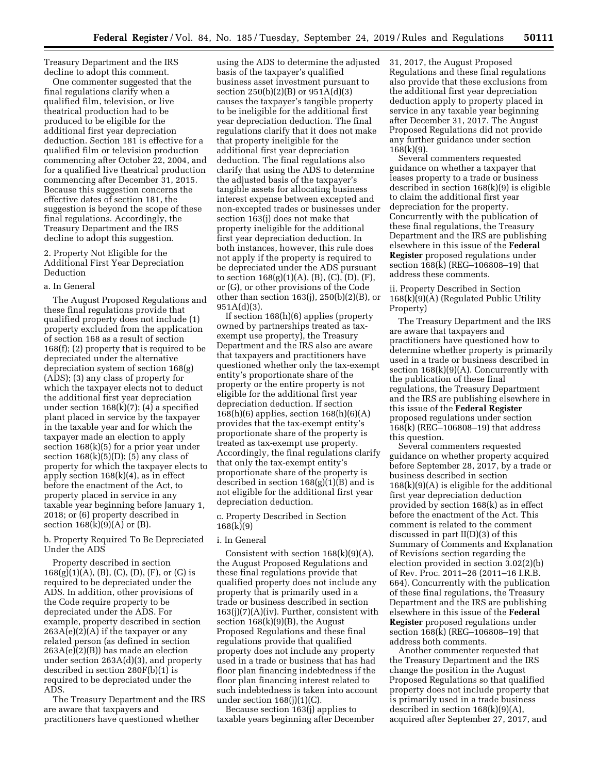Treasury Department and the IRS decline to adopt this comment.

One commenter suggested that the final regulations clarify when a qualified film, television, or live theatrical production had to be produced to be eligible for the additional first year depreciation deduction. Section 181 is effective for a qualified film or television production commencing after October 22, 2004, and for a qualified live theatrical production commencing after December 31, 2015. Because this suggestion concerns the effective dates of section 181, the suggestion is beyond the scope of these final regulations. Accordingly, the Treasury Department and the IRS decline to adopt this suggestion.

2. Property Not Eligible for the Additional First Year Depreciation Deduction

### a. In General

The August Proposed Regulations and these final regulations provide that qualified property does not include (1) property excluded from the application of section 168 as a result of section 168(f); (2) property that is required to be depreciated under the alternative depreciation system of section 168(g) (ADS); (3) any class of property for which the taxpayer elects not to deduct the additional first year depreciation under section  $168(k)(7)$ ; (4) a specified plant placed in service by the taxpayer in the taxable year and for which the taxpayer made an election to apply section  $168(k)(5)$  for a prior year under section  $168(k)(5)(D)$ ; (5) any class of property for which the taxpayer elects to apply section  $168(k)(4)$ , as in effect before the enactment of the Act, to property placed in service in any taxable year beginning before January 1, 2018; or (6) property described in section  $168(k)(9)(A)$  or  $(B)$ .

b. Property Required To Be Depreciated Under the ADS

Property described in section  $168(g)(1)(A), (B), (C), (D), (F),$  or  $(G)$  is required to be depreciated under the ADS. In addition, other provisions of the Code require property to be depreciated under the ADS. For example, property described in section  $263A(e)(2)(A)$  if the taxpayer or any related person (as defined in section 263A(e)(2)(B)) has made an election under section 263A(d)(3), and property described in section  $280F(b)(1)$  is required to be depreciated under the ADS.

The Treasury Department and the IRS are aware that taxpayers and practitioners have questioned whether

using the ADS to determine the adjusted basis of the taxpayer's qualified business asset investment pursuant to section 250(b)(2)(B) or 951A(d)(3) causes the taxpayer's tangible property to be ineligible for the additional first year depreciation deduction. The final regulations clarify that it does not make that property ineligible for the additional first year depreciation deduction. The final regulations also clarify that using the ADS to determine the adjusted basis of the taxpayer's tangible assets for allocating business interest expense between excepted and non-excepted trades or businesses under section 163(j) does not make that property ineligible for the additional first year depreciation deduction. In both instances, however, this rule does not apply if the property is required to be depreciated under the ADS pursuant to section  $168(g)(1)(A)$ , (B), (C), (D), (F), or (G), or other provisions of the Code other than section  $163(j)$ ,  $250(b)(2)(B)$ , or 951A(d)(3).

If section 168(h)(6) applies (property owned by partnerships treated as taxexempt use property), the Treasury Department and the IRS also are aware that taxpayers and practitioners have questioned whether only the tax-exempt entity's proportionate share of the property or the entire property is not eligible for the additional first year depreciation deduction. If section 168(h)(6) applies, section 168(h)(6)(A) provides that the tax-exempt entity's proportionate share of the property is treated as tax-exempt use property. Accordingly, the final regulations clarify that only the tax-exempt entity's proportionate share of the property is described in section 168(g)(1)(B) and is not eligible for the additional first year depreciation deduction.

c. Property Described in Section 168(k)(9)

## i. In General

Consistent with section  $168(k)(9)(A)$ , the August Proposed Regulations and these final regulations provide that qualified property does not include any property that is primarily used in a trade or business described in section 163(j)(7)(A)(iv). Further, consistent with section  $168(k)(9)(B)$ , the August Proposed Regulations and these final regulations provide that qualified property does not include any property used in a trade or business that has had floor plan financing indebtedness if the floor plan financing interest related to such indebtedness is taken into account under section  $168(j)(1)(C)$ .

Because section 163(j) applies to taxable years beginning after December 31, 2017, the August Proposed Regulations and these final regulations also provide that these exclusions from the additional first year depreciation deduction apply to property placed in service in any taxable year beginning after December 31, 2017. The August Proposed Regulations did not provide any further guidance under section 168(k)(9).

Several commenters requested guidance on whether a taxpayer that leases property to a trade or business described in section 168(k)(9) is eligible to claim the additional first year depreciation for the property. Concurrently with the publication of these final regulations, the Treasury Department and the IRS are publishing elsewhere in this issue of the **Federal Register** proposed regulations under section 168(k) (REG–106808–19) that address these comments.

ii. Property Described in Section 168(k)(9)(A) (Regulated Public Utility Property)

The Treasury Department and the IRS are aware that taxpayers and practitioners have questioned how to determine whether property is primarily used in a trade or business described in section  $168(k)(9)(A)$ . Concurrently with the publication of these final regulations, the Treasury Department and the IRS are publishing elsewhere in this issue of the **Federal Register**  proposed regulations under section 168(k) (REG–106808–19) that address this question.

Several commenters requested guidance on whether property acquired before September 28, 2017, by a trade or business described in section  $168(k)(9)(A)$  is eligible for the additional first year depreciation deduction provided by section 168(k) as in effect before the enactment of the Act. This comment is related to the comment discussed in part II(D)(3) of this Summary of Comments and Explanation of Revisions section regarding the election provided in section 3.02(2)(b) of Rev. Proc. 2011–26 (2011–16 I.R.B. 664). Concurrently with the publication of these final regulations, the Treasury Department and the IRS are publishing elsewhere in this issue of the **Federal Register** proposed regulations under section 168(k) (REG–106808–19) that address both comments.

Another commenter requested that the Treasury Department and the IRS change the position in the August Proposed Regulations so that qualified property does not include property that is primarily used in a trade business described in section  $168(k)(9)(A)$ , acquired after September 27, 2017, and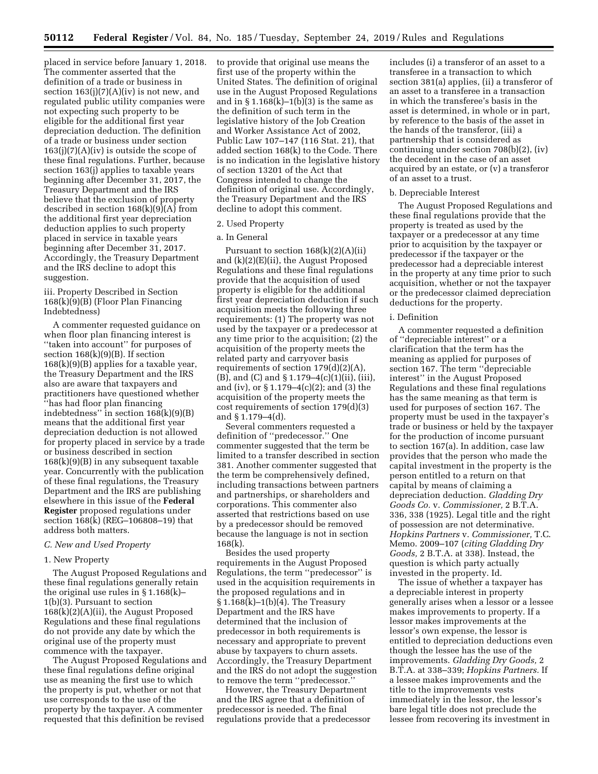placed in service before January 1, 2018. The commenter asserted that the definition of a trade or business in section  $163(j)(7)(A)(iv)$  is not new, and regulated public utility companies were not expecting such property to be eligible for the additional first year depreciation deduction. The definition of a trade or business under section  $163(j)(7)(A)(iv)$  is outside the scope of these final regulations. Further, because section 163(j) applies to taxable years beginning after December 31, 2017, the Treasury Department and the IRS believe that the exclusion of property described in section  $168(k)(9)(A)$  from the additional first year depreciation deduction applies to such property placed in service in taxable years beginning after December 31, 2017. Accordingly, the Treasury Department and the IRS decline to adopt this suggestion.

iii. Property Described in Section 168(k)(9)(B) (Floor Plan Financing Indebtedness)

A commenter requested guidance on when floor plan financing interest is ''taken into account'' for purposes of section 168(k)(9)(B). If section  $168(k)(9)(B)$  applies for a taxable year, the Treasury Department and the IRS also are aware that taxpayers and practitioners have questioned whether ''has had floor plan financing indebtedness" in section  $168(k)(9)(B)$ means that the additional first year depreciation deduction is not allowed for property placed in service by a trade or business described in section 168(k)(9)(B) in any subsequent taxable year. Concurrently with the publication of these final regulations, the Treasury Department and the IRS are publishing elsewhere in this issue of the **Federal Register** proposed regulations under section 168(k) (REG–106808–19) that address both matters.

## *C. New and Used Property*

## 1. New Property

The August Proposed Regulations and these final regulations generally retain the original use rules in § 1.168(k)– 1(b)(3). Pursuant to section 168(k)(2)(A)(ii), the August Proposed Regulations and these final regulations do not provide any date by which the original use of the property must commence with the taxpayer.

The August Proposed Regulations and these final regulations define original use as meaning the first use to which the property is put, whether or not that use corresponds to the use of the property by the taxpayer. A commenter requested that this definition be revised

to provide that original use means the first use of the property within the United States. The definition of original use in the August Proposed Regulations and in  $\S 1.168(k)-1(b)(3)$  is the same as the definition of such term in the legislative history of the Job Creation and Worker Assistance Act of 2002, Public Law 107–147 (116 Stat. 21), that added section 168(k) to the Code. There is no indication in the legislative history of section 13201 of the Act that Congress intended to change the definition of original use. Accordingly, the Treasury Department and the IRS decline to adopt this comment.

#### 2. Used Property

## a. In General

Pursuant to section  $168(k)(2)(A)(ii)$ and (k)(2)(E)(ii), the August Proposed Regulations and these final regulations provide that the acquisition of used property is eligible for the additional first year depreciation deduction if such acquisition meets the following three requirements: (1) The property was not used by the taxpayer or a predecessor at any time prior to the acquisition; (2) the acquisition of the property meets the related party and carryover basis requirements of section 179(d)(2)(A), (B), and (C) and § 1.179–4(c)(1)(ii), (iii), and (iv), or § 1.179–4(c)(2); and (3) the acquisition of the property meets the cost requirements of section 179(d)(3) and § 1.179–4(d).

Several commenters requested a definition of ''predecessor.'' One commenter suggested that the term be limited to a transfer described in section 381. Another commenter suggested that the term be comprehensively defined, including transactions between partners and partnerships, or shareholders and corporations. This commenter also asserted that restrictions based on use by a predecessor should be removed because the language is not in section 168(k).

Besides the used property requirements in the August Proposed Regulations, the term ''predecessor'' is used in the acquisition requirements in the proposed regulations and in § 1.168(k)–1(b)(4). The Treasury Department and the IRS have determined that the inclusion of predecessor in both requirements is necessary and appropriate to prevent abuse by taxpayers to churn assets. Accordingly, the Treasury Department and the IRS do not adopt the suggestion to remove the term ''predecessor.''

However, the Treasury Department and the IRS agree that a definition of predecessor is needed. The final regulations provide that a predecessor includes (i) a transferor of an asset to a transferee in a transaction to which section 381(a) applies, (ii) a transferor of an asset to a transferee in a transaction in which the transferee's basis in the asset is determined, in whole or in part, by reference to the basis of the asset in the hands of the transferor, (iii) a partnership that is considered as continuing under section 708(b)(2), (iv) the decedent in the case of an asset acquired by an estate, or (v) a transferor of an asset to a trust.

### b. Depreciable Interest

The August Proposed Regulations and these final regulations provide that the property is treated as used by the taxpayer or a predecessor at any time prior to acquisition by the taxpayer or predecessor if the taxpayer or the predecessor had a depreciable interest in the property at any time prior to such acquisition, whether or not the taxpayer or the predecessor claimed depreciation deductions for the property.

## i. Definition

A commenter requested a definition of ''depreciable interest'' or a clarification that the term has the meaning as applied for purposes of section 167. The term ''depreciable interest'' in the August Proposed Regulations and these final regulations has the same meaning as that term is used for purposes of section 167. The property must be used in the taxpayer's trade or business or held by the taxpayer for the production of income pursuant to section 167(a). In addition, case law provides that the person who made the capital investment in the property is the person entitled to a return on that capital by means of claiming a depreciation deduction. *Gladding Dry Goods Co.* v. *Commissioner,* 2 B.T.A. 336, 338 (1925). Legal title and the right of possession are not determinative. *Hopkins Partners* v. *Commissioner,* T.C. Memo. 2009–107 (*citing Gladding Dry Goods,* 2 B.T.A. at 338). Instead, the question is which party actually invested in the property. Id.

The issue of whether a taxpayer has a depreciable interest in property generally arises when a lessor or a lessee makes improvements to property. If a lessor makes improvements at the lessor's own expense, the lessor is entitled to depreciation deductions even though the lessee has the use of the improvements. *Gladding Dry Goods,* 2 B.T.A. at 338–339; *Hopkins Partners.* If a lessee makes improvements and the title to the improvements vests immediately in the lessor, the lessor's bare legal title does not preclude the lessee from recovering its investment in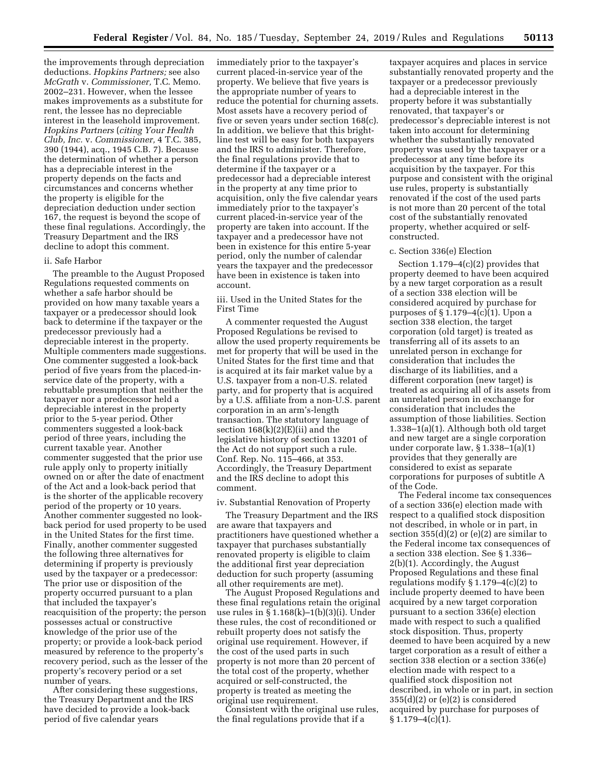the improvements through depreciation deductions. *Hopkins Partners;* see also *McGrath* v. *Commissioner,* T.C. Memo. 2002–231. However, when the lessee makes improvements as a substitute for rent, the lessee has no depreciable interest in the leasehold improvement. *Hopkins Partners* (*citing Your Health Club, Inc.* v. *Commissioner,* 4 T.C. 385, 390 (1944), acq., 1945 C.B. 7). Because the determination of whether a person has a depreciable interest in the property depends on the facts and circumstances and concerns whether the property is eligible for the depreciation deduction under section 167, the request is beyond the scope of these final regulations. Accordingly, the Treasury Department and the IRS decline to adopt this comment.

## ii. Safe Harbor

The preamble to the August Proposed Regulations requested comments on whether a safe harbor should be provided on how many taxable years a taxpayer or a predecessor should look back to determine if the taxpayer or the predecessor previously had a depreciable interest in the property. Multiple commenters made suggestions. One commenter suggested a look-back period of five years from the placed-inservice date of the property, with a rebuttable presumption that neither the taxpayer nor a predecessor held a depreciable interest in the property prior to the 5-year period. Other commenters suggested a look-back period of three years, including the current taxable year. Another commenter suggested that the prior use rule apply only to property initially owned on or after the date of enactment of the Act and a look-back period that is the shorter of the applicable recovery period of the property or 10 years. Another commenter suggested no lookback period for used property to be used in the United States for the first time. Finally, another commenter suggested the following three alternatives for determining if property is previously used by the taxpayer or a predecessor: The prior use or disposition of the property occurred pursuant to a plan that included the taxpayer's reacquisition of the property; the person possesses actual or constructive knowledge of the prior use of the property; or provide a look-back period measured by reference to the property's recovery period, such as the lesser of the property's recovery period or a set number of years.

After considering these suggestions, the Treasury Department and the IRS have decided to provide a look-back period of five calendar years

immediately prior to the taxpayer's current placed-in-service year of the property. We believe that five years is the appropriate number of years to reduce the potential for churning assets. Most assets have a recovery period of five or seven years under section 168(c). In addition, we believe that this brightline test will be easy for both taxpayers and the IRS to administer. Therefore, the final regulations provide that to determine if the taxpayer or a predecessor had a depreciable interest in the property at any time prior to acquisition, only the five calendar years immediately prior to the taxpayer's current placed-in-service year of the property are taken into account. If the taxpayer and a predecessor have not been in existence for this entire 5-year period, only the number of calendar years the taxpayer and the predecessor have been in existence is taken into account.

iii. Used in the United States for the First Time

A commenter requested the August Proposed Regulations be revised to allow the used property requirements be met for property that will be used in the United States for the first time and that is acquired at its fair market value by a U.S. taxpayer from a non-U.S. related party, and for property that is acquired by a U.S. affiliate from a non-U.S. parent corporation in an arm's-length transaction. The statutory language of section 168(k)(2)(E)(ii) and the legislative history of section 13201 of the Act do not support such a rule. Conf. Rep. No. 115–466, at 353. Accordingly, the Treasury Department and the IRS decline to adopt this comment.

#### iv. Substantial Renovation of Property

The Treasury Department and the IRS are aware that taxpayers and practitioners have questioned whether a taxpayer that purchases substantially renovated property is eligible to claim the additional first year depreciation deduction for such property (assuming all other requirements are met).

The August Proposed Regulations and these final regulations retain the original use rules in § 1.168(k)–1(b)(3)(i). Under these rules, the cost of reconditioned or rebuilt property does not satisfy the original use requirement. However, if the cost of the used parts in such property is not more than 20 percent of the total cost of the property, whether acquired or self-constructed, the property is treated as meeting the original use requirement.

Consistent with the original use rules, the final regulations provide that if a

taxpayer acquires and places in service substantially renovated property and the taxpayer or a predecessor previously had a depreciable interest in the property before it was substantially renovated, that taxpayer's or predecessor's depreciable interest is not taken into account for determining whether the substantially renovated property was used by the taxpayer or a predecessor at any time before its acquisition by the taxpayer. For this purpose and consistent with the original use rules, property is substantially renovated if the cost of the used parts is not more than 20 percent of the total cost of the substantially renovated property, whether acquired or selfconstructed.

### c. Section 336(e) Election

Section  $1.179-4(c)(2)$  provides that property deemed to have been acquired by a new target corporation as a result of a section 338 election will be considered acquired by purchase for purposes of § 1.179–4(c)(1). Upon a section 338 election, the target corporation (old target) is treated as transferring all of its assets to an unrelated person in exchange for consideration that includes the discharge of its liabilities, and a different corporation (new target) is treated as acquiring all of its assets from an unrelated person in exchange for consideration that includes the assumption of those liabilities. Section 1.338–1(a)(1). Although both old target and new target are a single corporation under corporate law, § 1.338–1(a)(1) provides that they generally are considered to exist as separate corporations for purposes of subtitle A of the Code.

The Federal income tax consequences of a section 336(e) election made with respect to a qualified stock disposition not described, in whole or in part, in section  $355(d)(2)$  or (e)(2) are similar to the Federal income tax consequences of a section 338 election. See § 1.336– 2(b)(1). Accordingly, the August Proposed Regulations and these final regulations modify  $\S 1.179-4(c)(2)$  to include property deemed to have been acquired by a new target corporation pursuant to a section 336(e) election made with respect to such a qualified stock disposition. Thus, property deemed to have been acquired by a new target corporation as a result of either a section 338 election or a section 336(e) election made with respect to a qualified stock disposition not described, in whole or in part, in section  $355(d)(2)$  or  $(e)(2)$  is considered acquired by purchase for purposes of  $§ 1.179-4(c)(1).$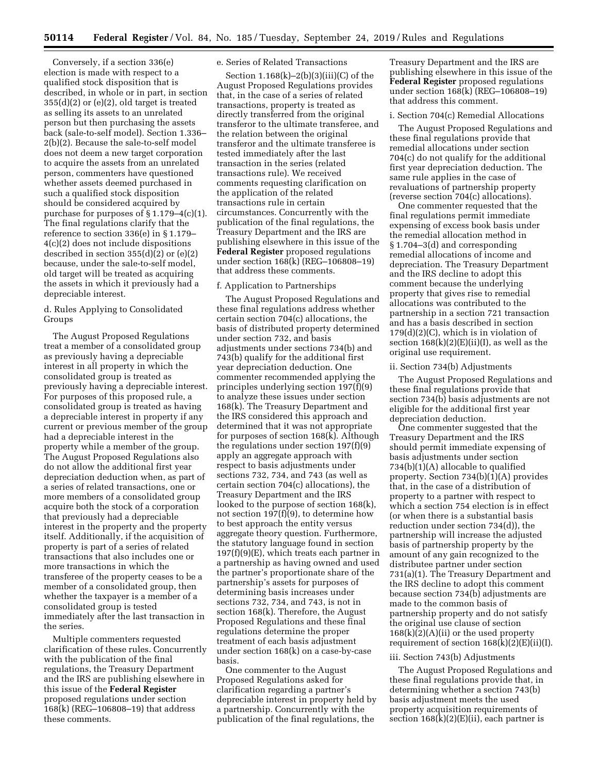Conversely, if a section 336(e) election is made with respect to a qualified stock disposition that is described, in whole or in part, in section  $355(d)(2)$  or (e)(2), old target is treated as selling its assets to an unrelated person but then purchasing the assets back (sale-to-self model). Section 1.336– 2(b)(2). Because the sale-to-self model does not deem a new target corporation to acquire the assets from an unrelated person, commenters have questioned whether assets deemed purchased in such a qualified stock disposition should be considered acquired by purchase for purposes of § 1.179–4(c)(1). The final regulations clarify that the reference to section 336(e) in § 1.179– 4(c)(2) does not include dispositions described in section  $355(d)(2)$  or  $(e)(2)$ because, under the sale-to-self model, old target will be treated as acquiring the assets in which it previously had a depreciable interest.

## d. Rules Applying to Consolidated Groups

The August Proposed Regulations treat a member of a consolidated group as previously having a depreciable interest in all property in which the consolidated group is treated as previously having a depreciable interest. For purposes of this proposed rule, a consolidated group is treated as having a depreciable interest in property if any current or previous member of the group had a depreciable interest in the property while a member of the group. The August Proposed Regulations also do not allow the additional first year depreciation deduction when, as part of a series of related transactions, one or more members of a consolidated group acquire both the stock of a corporation that previously had a depreciable interest in the property and the property itself. Additionally, if the acquisition of property is part of a series of related transactions that also includes one or more transactions in which the transferee of the property ceases to be a member of a consolidated group, then whether the taxpayer is a member of a consolidated group is tested immediately after the last transaction in the series.

Multiple commenters requested clarification of these rules. Concurrently with the publication of the final regulations, the Treasury Department and the IRS are publishing elsewhere in this issue of the **Federal Register**  proposed regulations under section 168(k) (REG–106808–19) that address these comments.

## e. Series of Related Transactions

Section  $1.168(k)-2(b)(3)(iii)(C)$  of the August Proposed Regulations provides that, in the case of a series of related transactions, property is treated as directly transferred from the original transferor to the ultimate transferee, and the relation between the original transferor and the ultimate transferee is tested immediately after the last transaction in the series (related transactions rule). We received comments requesting clarification on the application of the related transactions rule in certain circumstances. Concurrently with the publication of the final regulations, the Treasury Department and the IRS are publishing elsewhere in this issue of the **Federal Register** proposed regulations under section 168(k) (REG–106808–19) that address these comments.

### f. Application to Partnerships

The August Proposed Regulations and these final regulations address whether certain section 704(c) allocations, the basis of distributed property determined under section 732, and basis adjustments under sections 734(b) and 743(b) qualify for the additional first year depreciation deduction. One commenter recommended applying the principles underlying section 197(f)(9) to analyze these issues under section 168(k). The Treasury Department and the IRS considered this approach and determined that it was not appropriate for purposes of section 168(k). Although the regulations under section 197(f)(9) apply an aggregate approach with respect to basis adjustments under sections 732, 734, and 743 (as well as certain section 704(c) allocations), the Treasury Department and the IRS looked to the purpose of section 168(k), not section 197(f)(9), to determine how to best approach the entity versus aggregate theory question. Furthermore, the statutory language found in section 197(f)(9)(E), which treats each partner in a partnership as having owned and used the partner's proportionate share of the partnership's assets for purposes of determining basis increases under sections 732, 734, and 743, is not in section 168(k). Therefore, the August Proposed Regulations and these final regulations determine the proper treatment of each basis adjustment under section 168(k) on a case-by-case basis.

One commenter to the August Proposed Regulations asked for clarification regarding a partner's depreciable interest in property held by a partnership. Concurrently with the publication of the final regulations, the

Treasury Department and the IRS are publishing elsewhere in this issue of the **Federal Register** proposed regulations under section 168(k) (REG–106808–19) that address this comment.

#### i. Section 704(c) Remedial Allocations

The August Proposed Regulations and these final regulations provide that remedial allocations under section 704(c) do not qualify for the additional first year depreciation deduction. The same rule applies in the case of revaluations of partnership property (reverse section 704(c) allocations).

One commenter requested that the final regulations permit immediate expensing of excess book basis under the remedial allocation method in § 1.704–3(d) and corresponding remedial allocations of income and depreciation. The Treasury Department and the IRS decline to adopt this comment because the underlying property that gives rise to remedial allocations was contributed to the partnership in a section 721 transaction and has a basis described in section  $179(d)(2)(C)$ , which is in violation of section  $168(k)(2)(E)(ii)(I)$ , as well as the original use requirement.

### ii. Section 734(b) Adjustments

The August Proposed Regulations and these final regulations provide that section 734(b) basis adjustments are not eligible for the additional first year depreciation deduction.

One commenter suggested that the Treasury Department and the IRS should permit immediate expensing of basis adjustments under section 734(b)(1)(A) allocable to qualified property. Section 734(b)(1)(A) provides that, in the case of a distribution of property to a partner with respect to which a section 754 election is in effect (or when there is a substantial basis reduction under section 734(d)), the partnership will increase the adjusted basis of partnership property by the amount of any gain recognized to the distributee partner under section 731(a)(1). The Treasury Department and the IRS decline to adopt this comment because section 734(b) adjustments are made to the common basis of partnership property and do not satisfy the original use clause of section  $168(k)(2)(A)(ii)$  or the used property requirement of section  $168(k)(2)(E)(ii)(I)$ .

## iii. Section 743(b) Adjustments

The August Proposed Regulations and these final regulations provide that, in determining whether a section 743(b) basis adjustment meets the used property acquisition requirements of section  $168(k)(2)(E)(ii)$ , each partner is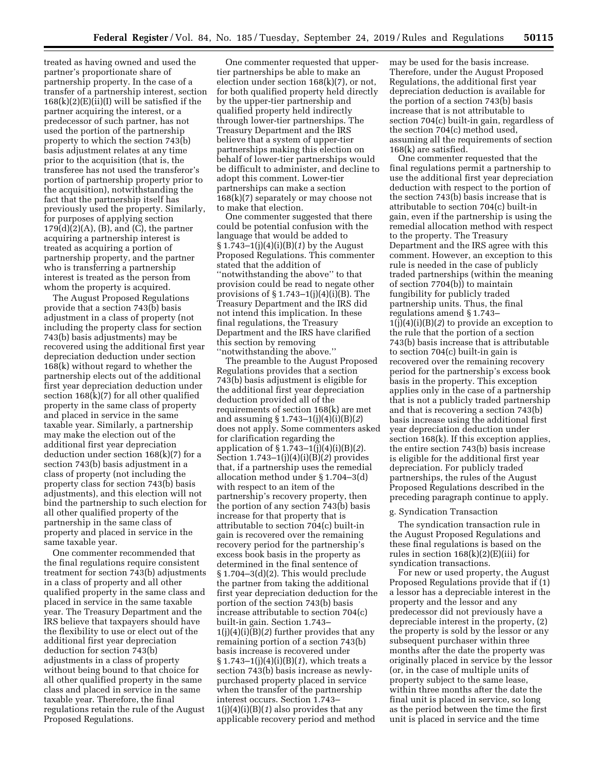treated as having owned and used the partner's proportionate share of partnership property. In the case of a transfer of a partnership interest, section  $168(k)(2)(E)(ii)(I)$  will be satisfied if the partner acquiring the interest, or a predecessor of such partner, has not used the portion of the partnership property to which the section 743(b) basis adjustment relates at any time prior to the acquisition (that is, the transferee has not used the transferor's portion of partnership property prior to the acquisition), notwithstanding the fact that the partnership itself has previously used the property. Similarly, for purposes of applying section  $179(d)(2)(A)$ , (B), and (C), the partner acquiring a partnership interest is treated as acquiring a portion of partnership property, and the partner who is transferring a partnership interest is treated as the person from whom the property is acquired.

The August Proposed Regulations provide that a section 743(b) basis adjustment in a class of property (not including the property class for section 743(b) basis adjustments) may be recovered using the additional first year depreciation deduction under section 168(k) without regard to whether the partnership elects out of the additional first year depreciation deduction under section 168(k)(7) for all other qualified property in the same class of property and placed in service in the same taxable year. Similarly, a partnership may make the election out of the additional first year depreciation deduction under section  $168(k)(7)$  for a section 743(b) basis adjustment in a class of property (not including the property class for section 743(b) basis adjustments), and this election will not bind the partnership to such election for all other qualified property of the partnership in the same class of property and placed in service in the same taxable year.

One commenter recommended that the final regulations require consistent treatment for section 743(b) adjustments in a class of property and all other qualified property in the same class and placed in service in the same taxable year. The Treasury Department and the IRS believe that taxpayers should have the flexibility to use or elect out of the additional first year depreciation deduction for section 743(b) adjustments in a class of property without being bound to that choice for all other qualified property in the same class and placed in service in the same taxable year. Therefore, the final regulations retain the rule of the August Proposed Regulations.

One commenter requested that uppertier partnerships be able to make an election under section 168(k)(7), or not, for both qualified property held directly by the upper-tier partnership and qualified property held indirectly through lower-tier partnerships. The Treasury Department and the IRS believe that a system of upper-tier partnerships making this election on behalf of lower-tier partnerships would be difficult to administer, and decline to adopt this comment. Lower-tier partnerships can make a section 168(k)(7) separately or may choose not to make that election.

One commenter suggested that there could be potential confusion with the language that would be added to § 1.743–1(j)(4)(i)(B)(*1*) by the August Proposed Regulations. This commenter stated that the addition of ''notwithstanding the above'' to that provision could be read to negate other provisions of §1.743-1(j)(4)(i)(B). The Treasury Department and the IRS did not intend this implication. In these final regulations, the Treasury Department and the IRS have clarified this section by removing ''notwithstanding the above.''

The preamble to the August Proposed Regulations provides that a section 743(b) basis adjustment is eligible for the additional first year depreciation deduction provided all of the requirements of section 168(k) are met and assuming § 1.743–1(j)(4)(i)(B)(*2*) does not apply. Some commenters asked for clarification regarding the application of § 1.743–1(j)(4)(i)(B)(*2*). Section 1.743–1(j)(4)(i)(B)(*2*) provides that, if a partnership uses the remedial allocation method under § 1.704–3(d) with respect to an item of the partnership's recovery property, then the portion of any section 743(b) basis increase for that property that is attributable to section 704(c) built-in gain is recovered over the remaining recovery period for the partnership's excess book basis in the property as determined in the final sentence of § 1.704–3(d)(2). This would preclude the partner from taking the additional first year depreciation deduction for the portion of the section 743(b) basis increase attributable to section 704(c) built-in gain. Section 1.743– 1(j)(4)(i)(B)(*2*) further provides that any remaining portion of a section 743(b) basis increase is recovered under § 1.743–1(j)(4)(i)(B)(*1*), which treats a section 743(b) basis increase as newlypurchased property placed in service when the transfer of the partnership interest occurs. Section 1.743– 1(j)(4)(i)(B)(*1*) also provides that any applicable recovery period and method

may be used for the basis increase. Therefore, under the August Proposed Regulations, the additional first year depreciation deduction is available for the portion of a section 743(b) basis increase that is not attributable to section 704(c) built-in gain, regardless of the section 704(c) method used, assuming all the requirements of section 168(k) are satisfied.

One commenter requested that the final regulations permit a partnership to use the additional first year depreciation deduction with respect to the portion of the section 743(b) basis increase that is attributable to section 704(c) built-in gain, even if the partnership is using the remedial allocation method with respect to the property. The Treasury Department and the IRS agree with this comment. However, an exception to this rule is needed in the case of publicly traded partnerships (within the meaning of section 7704(b)) to maintain fungibility for publicly traded partnership units. Thus, the final regulations amend § 1.743– 1(j)(4)(i)(B)(*2*) to provide an exception to the rule that the portion of a section 743(b) basis increase that is attributable to section 704(c) built-in gain is recovered over the remaining recovery period for the partnership's excess book basis in the property. This exception applies only in the case of a partnership that is not a publicly traded partnership and that is recovering a section 743(b) basis increase using the additional first year depreciation deduction under section 168(k). If this exception applies, the entire section 743(b) basis increase is eligible for the additional first year depreciation. For publicly traded partnerships, the rules of the August Proposed Regulations described in the preceding paragraph continue to apply.

## g. Syndication Transaction

The syndication transaction rule in the August Proposed Regulations and these final regulations is based on the rules in section 168(k)(2)(E)(iii) for syndication transactions.

For new or used property, the August Proposed Regulations provide that if (1) a lessor has a depreciable interest in the property and the lessor and any predecessor did not previously have a depreciable interest in the property, (2) the property is sold by the lessor or any subsequent purchaser within three months after the date the property was originally placed in service by the lessor (or, in the case of multiple units of property subject to the same lease, within three months after the date the final unit is placed in service, so long as the period between the time the first unit is placed in service and the time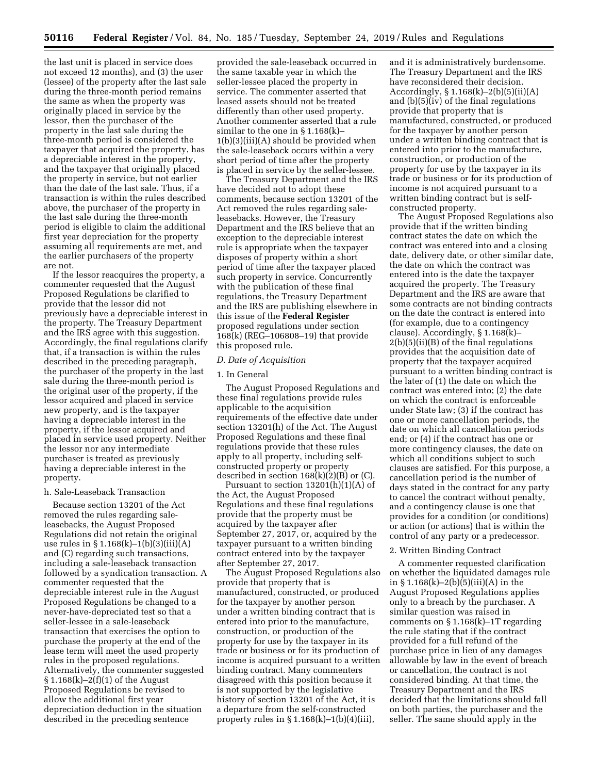the last unit is placed in service does not exceed 12 months), and (3) the user (lessee) of the property after the last sale during the three-month period remains the same as when the property was originally placed in service by the lessor, then the purchaser of the property in the last sale during the three-month period is considered the taxpayer that acquired the property, has a depreciable interest in the property, and the taxpayer that originally placed the property in service, but not earlier than the date of the last sale. Thus, if a transaction is within the rules described above, the purchaser of the property in the last sale during the three-month period is eligible to claim the additional first year depreciation for the property assuming all requirements are met, and the earlier purchasers of the property are not.

If the lessor reacquires the property, a commenter requested that the August Proposed Regulations be clarified to provide that the lessor did not previously have a depreciable interest in the property. The Treasury Department and the IRS agree with this suggestion. Accordingly, the final regulations clarify that, if a transaction is within the rules described in the preceding paragraph, the purchaser of the property in the last sale during the three-month period is the original user of the property, if the lessor acquired and placed in service new property, and is the taxpayer having a depreciable interest in the property, if the lessor acquired and placed in service used property. Neither the lessor nor any intermediate purchaser is treated as previously having a depreciable interest in the property.

## h. Sale-Leaseback Transaction

Because section 13201 of the Act removed the rules regarding saleleasebacks, the August Proposed Regulations did not retain the original use rules in § 1.168(k)–1(b)(3)(iii)(A) and (C) regarding such transactions, including a sale-leaseback transaction followed by a syndication transaction. A commenter requested that the depreciable interest rule in the August Proposed Regulations be changed to a never-have-depreciated test so that a seller-lessee in a sale-leaseback transaction that exercises the option to purchase the property at the end of the lease term will meet the used property rules in the proposed regulations. Alternatively, the commenter suggested § 1.168(k)–2(f)(1) of the August Proposed Regulations be revised to allow the additional first year depreciation deduction in the situation described in the preceding sentence

provided the sale-leaseback occurred in the same taxable year in which the seller-lessee placed the property in service. The commenter asserted that leased assets should not be treated differently than other used property. Another commenter asserted that a rule similar to the one in § 1.168(k)–  $1(b)(3)(iii)(A)$  should be provided when the sale-leaseback occurs within a very short period of time after the property is placed in service by the seller-lessee.

The Treasury Department and the IRS have decided not to adopt these comments, because section 13201 of the Act removed the rules regarding saleleasebacks. However, the Treasury Department and the IRS believe that an exception to the depreciable interest rule is appropriate when the taxpayer disposes of property within a short period of time after the taxpayer placed such property in service. Concurrently with the publication of these final regulations, the Treasury Department and the IRS are publishing elsewhere in this issue of the **Federal Register**  proposed regulations under section 168(k) (REG–106808–19) that provide this proposed rule.

### *D. Date of Acquisition*

### 1. In General

The August Proposed Regulations and these final regulations provide rules applicable to the acquisition requirements of the effective date under section 13201(h) of the Act. The August Proposed Regulations and these final regulations provide that these rules apply to all property, including selfconstructed property or property described in section  $168(k)(2)(B)$  or  $(C)$ .

Pursuant to section  $13201(h)(1)(A)$  of the Act, the August Proposed Regulations and these final regulations provide that the property must be acquired by the taxpayer after September 27, 2017, or, acquired by the taxpayer pursuant to a written binding contract entered into by the taxpayer after September 27, 2017.

The August Proposed Regulations also provide that property that is manufactured, constructed, or produced for the taxpayer by another person under a written binding contract that is entered into prior to the manufacture, construction, or production of the property for use by the taxpayer in its trade or business or for its production of income is acquired pursuant to a written binding contract. Many commenters disagreed with this position because it is not supported by the legislative history of section 13201 of the Act, it is a departure from the self-constructed property rules in  $\S 1.168(k) - 1(b)(4)(iii)$ ,

and it is administratively burdensome. The Treasury Department and the IRS have reconsidered their decision. Accordingly, § 1.168(k)–2(b)(5)(ii)(A) and  $(b)(5)\overline{(iv)}$  of the final regulations provide that property that is manufactured, constructed, or produced for the taxpayer by another person under a written binding contract that is entered into prior to the manufacture, construction, or production of the property for use by the taxpayer in its trade or business or for its production of income is not acquired pursuant to a written binding contract but is selfconstructed property.

The August Proposed Regulations also provide that if the written binding contract states the date on which the contract was entered into and a closing date, delivery date, or other similar date, the date on which the contract was entered into is the date the taxpayer acquired the property. The Treasury Department and the IRS are aware that some contracts are not binding contracts on the date the contract is entered into (for example, due to a contingency clause). Accordingly, § 1.168(k)– 2(b)(5)(ii)(B) of the final regulations provides that the acquisition date of property that the taxpayer acquired pursuant to a written binding contract is the later of (1) the date on which the contract was entered into; (2) the date on which the contract is enforceable under State law; (3) if the contract has one or more cancellation periods, the date on which all cancellation periods end; or (4) if the contract has one or more contingency clauses, the date on which all conditions subject to such clauses are satisfied. For this purpose, a cancellation period is the number of days stated in the contract for any party to cancel the contract without penalty, and a contingency clause is one that provides for a condition (or conditions) or action (or actions) that is within the control of any party or a predecessor.

### 2. Written Binding Contract

A commenter requested clarification on whether the liquidated damages rule in  $\S 1.168(k) - 2(b)(5)(iii)(A)$  in the August Proposed Regulations applies only to a breach by the purchaser. A similar question was raised in comments on § 1.168(k)–1T regarding the rule stating that if the contract provided for a full refund of the purchase price in lieu of any damages allowable by law in the event of breach or cancellation, the contract is not considered binding. At that time, the Treasury Department and the IRS decided that the limitations should fall on both parties, the purchaser and the seller. The same should apply in the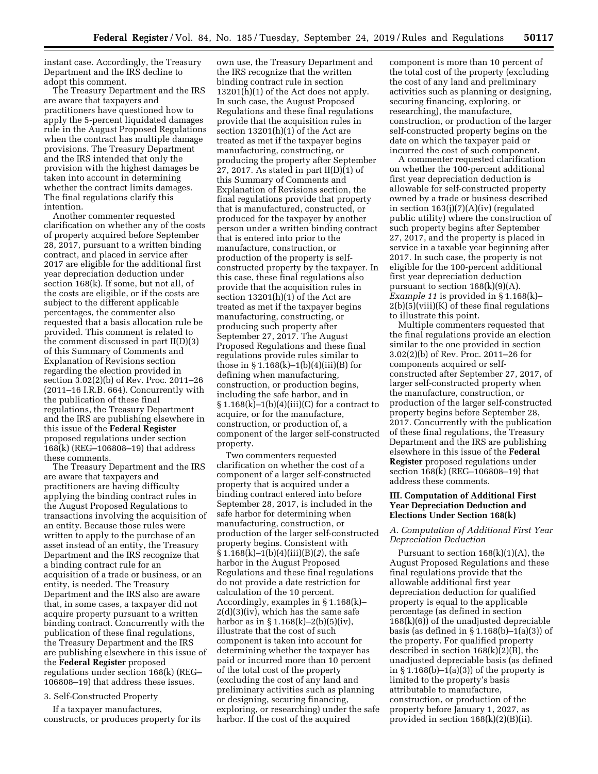instant case. Accordingly, the Treasury Department and the IRS decline to adopt this comment.

The Treasury Department and the IRS are aware that taxpayers and practitioners have questioned how to apply the 5-percent liquidated damages rule in the August Proposed Regulations when the contract has multiple damage provisions. The Treasury Department and the IRS intended that only the provision with the highest damages be taken into account in determining whether the contract limits damages. The final regulations clarify this intention.

Another commenter requested clarification on whether any of the costs of property acquired before September 28, 2017, pursuant to a written binding contract, and placed in service after 2017 are eligible for the additional first year depreciation deduction under section 168(k). If some, but not all, of the costs are eligible, or if the costs are subject to the different applicable percentages, the commenter also requested that a basis allocation rule be provided. This comment is related to the comment discussed in part II(D)(3) of this Summary of Comments and Explanation of Revisions section regarding the election provided in section 3.02(2)(b) of Rev. Proc. 2011–26 (2011–16 I.R.B. 664). Concurrently with the publication of these final regulations, the Treasury Department and the IRS are publishing elsewhere in this issue of the **Federal Register**  proposed regulations under section 168(k) (REG–106808–19) that address these comments.

The Treasury Department and the IRS are aware that taxpayers and practitioners are having difficulty applying the binding contract rules in the August Proposed Regulations to transactions involving the acquisition of an entity. Because those rules were written to apply to the purchase of an asset instead of an entity, the Treasury Department and the IRS recognize that a binding contract rule for an acquisition of a trade or business, or an entity, is needed. The Treasury Department and the IRS also are aware that, in some cases, a taxpayer did not acquire property pursuant to a written binding contract. Concurrently with the publication of these final regulations, the Treasury Department and the IRS are publishing elsewhere in this issue of the **Federal Register** proposed regulations under section 168(k) (REG– 106808–19) that address these issues.

## 3. Self-Constructed Property

If a taxpayer manufactures, constructs, or produces property for its

own use, the Treasury Department and the IRS recognize that the written binding contract rule in section 13201(h)(1) of the Act does not apply. In such case, the August Proposed Regulations and these final regulations provide that the acquisition rules in section 13201(h)(1) of the Act are treated as met if the taxpayer begins manufacturing, constructing, or producing the property after September 27, 2017. As stated in part  $II(D)(1)$  of this Summary of Comments and Explanation of Revisions section, the final regulations provide that property that is manufactured, constructed, or produced for the taxpayer by another person under a written binding contract that is entered into prior to the manufacture, construction, or production of the property is selfconstructed property by the taxpayer. In this case, these final regulations also provide that the acquisition rules in section 13201(h)(1) of the Act are treated as met if the taxpayer begins manufacturing, constructing, or producing such property after September 27, 2017. The August Proposed Regulations and these final regulations provide rules similar to those in  $\S 1.168(k) - 1(b)(4)(iii)(B)$  for defining when manufacturing, construction, or production begins, including the safe harbor, and in  $\S 1.168(k)-1(b)(4)(iii)(C)$  for a contract to acquire, or for the manufacture, construction, or production of, a component of the larger self-constructed property.

Two commenters requested clarification on whether the cost of a component of a larger self-constructed property that is acquired under a binding contract entered into before September 28, 2017, is included in the safe harbor for determining when manufacturing, construction, or production of the larger self-constructed property begins. Consistent with § 1.168(k)–1(b)(4)(iii)(B)(*2*), the safe harbor in the August Proposed Regulations and these final regulations do not provide a date restriction for calculation of the 10 percent. Accordingly, examples in § 1.168(k)–  $2(d)(3)(iv)$ , which has the same safe harbor as in  $\S 1.168(k) - 2(b)(5)(iv)$ , illustrate that the cost of such component is taken into account for determining whether the taxpayer has paid or incurred more than 10 percent of the total cost of the property (excluding the cost of any land and preliminary activities such as planning or designing, securing financing, exploring, or researching) under the safe harbor. If the cost of the acquired

component is more than 10 percent of the total cost of the property (excluding the cost of any land and preliminary activities such as planning or designing, securing financing, exploring, or researching), the manufacture, construction, or production of the larger self-constructed property begins on the date on which the taxpayer paid or incurred the cost of such component.

A commenter requested clarification on whether the 100-percent additional first year depreciation deduction is allowable for self-constructed property owned by a trade or business described in section  $163(j)(7)(A)(iv)$  (regulated public utility) where the construction of such property begins after September 27, 2017, and the property is placed in service in a taxable year beginning after 2017. In such case, the property is not eligible for the 100-percent additional first year depreciation deduction pursuant to section  $168(k)(9)(A)$ . *Example 11* is provided in § 1.168(k)– 2(b)(5)(viii)(K) of these final regulations to illustrate this point.

Multiple commenters requested that the final regulations provide an election similar to the one provided in section 3.02(2)(b) of Rev. Proc. 2011–26 for components acquired or selfconstructed after September 27, 2017, of larger self-constructed property when the manufacture, construction, or production of the larger self-constructed property begins before September 28, 2017. Concurrently with the publication of these final regulations, the Treasury Department and the IRS are publishing elsewhere in this issue of the **Federal Register** proposed regulations under section 168(k) (REG–106808–19) that address these comments.

## **III. Computation of Additional First Year Depreciation Deduction and Elections Under Section 168(k)**

## *A. Computation of Additional First Year Depreciation Deduction*

Pursuant to section  $168(k)(1)(A)$ , the August Proposed Regulations and these final regulations provide that the allowable additional first year depreciation deduction for qualified property is equal to the applicable percentage (as defined in section 168(k)(6)) of the unadjusted depreciable basis (as defined in  $\S 1.168(b) - 1(a)(3)$ ) of the property. For qualified property described in section 168(k)(2)(B), the unadjusted depreciable basis (as defined in  $\S 1.168(b) - 1(a)(3)$  of the property is limited to the property's basis attributable to manufacture, construction, or production of the property before January 1, 2027, as provided in section 168(k)(2)(B)(ii).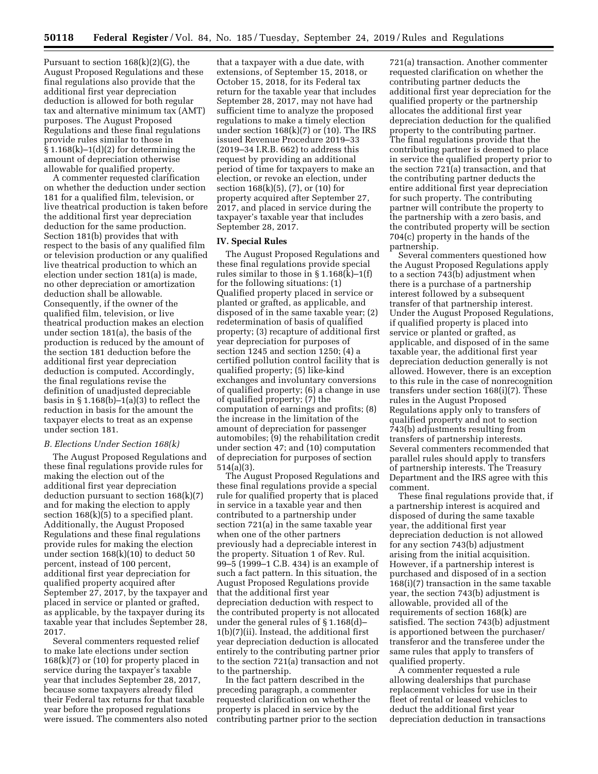Pursuant to section 168(k)(2)(G), the August Proposed Regulations and these final regulations also provide that the additional first year depreciation deduction is allowed for both regular tax and alternative minimum tax (AMT) purposes. The August Proposed Regulations and these final regulations provide rules similar to those in  $§ 1.168(k)-1(d)(2)$  for determining the amount of depreciation otherwise allowable for qualified property.

A commenter requested clarification on whether the deduction under section 181 for a qualified film, television, or live theatrical production is taken before the additional first year depreciation deduction for the same production. Section 181(b) provides that with respect to the basis of any qualified film or television production or any qualified live theatrical production to which an election under section 181(a) is made, no other depreciation or amortization deduction shall be allowable. Consequently, if the owner of the qualified film, television, or live theatrical production makes an election under section 181(a), the basis of the production is reduced by the amount of the section 181 deduction before the additional first year depreciation deduction is computed. Accordingly, the final regulations revise the definition of unadjusted depreciable basis in  $\S 1.168(b) - 1(a)(3)$  to reflect the reduction in basis for the amount the taxpayer elects to treat as an expense under section 181.

## *B. Elections Under Section 168(k)*

The August Proposed Regulations and these final regulations provide rules for making the election out of the additional first year depreciation deduction pursuant to section  $168(k)(7)$ and for making the election to apply section  $168(k)(5)$  to a specified plant. Additionally, the August Proposed Regulations and these final regulations provide rules for making the election under section 168(k)(10) to deduct 50 percent, instead of 100 percent, additional first year depreciation for qualified property acquired after September 27, 2017, by the taxpayer and placed in service or planted or grafted, as applicable, by the taxpayer during its taxable year that includes September 28, 2017.

Several commenters requested relief to make late elections under section  $168(k)(7)$  or  $(10)$  for property placed in service during the taxpayer's taxable year that includes September 28, 2017, because some taxpayers already filed their Federal tax returns for that taxable year before the proposed regulations were issued. The commenters also noted

that a taxpayer with a due date, with extensions, of September 15, 2018, or October 15, 2018, for its Federal tax return for the taxable year that includes September 28, 2017, may not have had sufficient time to analyze the proposed regulations to make a timely election under section 168(k)(7) or (10). The IRS issued Revenue Procedure 2019–33 (2019–34 I.R.B. 662) to address this request by providing an additional period of time for taxpayers to make an election, or revoke an election, under section 168(k)(5), (7), or (10) for property acquired after September 27, 2017, and placed in service during the taxpayer's taxable year that includes September 28, 2017.

## **IV. Special Rules**

The August Proposed Regulations and these final regulations provide special rules similar to those in § 1.168(k)–1(f) for the following situations: (1) Qualified property placed in service or planted or grafted, as applicable, and disposed of in the same taxable year; (2) redetermination of basis of qualified property; (3) recapture of additional first year depreciation for purposes of section 1245 and section 1250; (4) a certified pollution control facility that is qualified property; (5) like-kind exchanges and involuntary conversions of qualified property; (6) a change in use of qualified property; (7) the computation of earnings and profits; (8) the increase in the limitation of the amount of depreciation for passenger automobiles; (9) the rehabilitation credit under section 47; and (10) computation of depreciation for purposes of section 514(a)(3).

The August Proposed Regulations and these final regulations provide a special rule for qualified property that is placed in service in a taxable year and then contributed to a partnership under section 721(a) in the same taxable year when one of the other partners previously had a depreciable interest in the property. Situation 1 of Rev. Rul. 99–5 (1999–1 C.B. 434) is an example of such a fact pattern. In this situation, the August Proposed Regulations provide that the additional first year depreciation deduction with respect to the contributed property is not allocated under the general rules of § 1.168(d)– 1(b)(7)(ii). Instead, the additional first year depreciation deduction is allocated entirely to the contributing partner prior to the section 721(a) transaction and not to the partnership.

In the fact pattern described in the preceding paragraph, a commenter requested clarification on whether the property is placed in service by the contributing partner prior to the section

721(a) transaction. Another commenter requested clarification on whether the contributing partner deducts the additional first year depreciation for the qualified property or the partnership allocates the additional first year depreciation deduction for the qualified property to the contributing partner. The final regulations provide that the contributing partner is deemed to place in service the qualified property prior to the section 721(a) transaction, and that the contributing partner deducts the entire additional first year depreciation for such property. The contributing partner will contribute the property to the partnership with a zero basis, and the contributed property will be section 704(c) property in the hands of the partnership.

Several commenters questioned how the August Proposed Regulations apply to a section 743(b) adjustment when there is a purchase of a partnership interest followed by a subsequent transfer of that partnership interest. Under the August Proposed Regulations, if qualified property is placed into service or planted or grafted, as applicable, and disposed of in the same taxable year, the additional first year depreciation deduction generally is not allowed. However, there is an exception to this rule in the case of nonrecognition transfers under section 168(i)(7). These rules in the August Proposed Regulations apply only to transfers of qualified property and not to section 743(b) adjustments resulting from transfers of partnership interests. Several commenters recommended that parallel rules should apply to transfers of partnership interests. The Treasury Department and the IRS agree with this comment.

These final regulations provide that, if a partnership interest is acquired and disposed of during the same taxable year, the additional first year depreciation deduction is not allowed for any section 743(b) adjustment arising from the initial acquisition. However, if a partnership interest is purchased and disposed of in a section 168(i)(7) transaction in the same taxable year, the section 743(b) adjustment is allowable, provided all of the requirements of section 168(k) are satisfied. The section 743(b) adjustment is apportioned between the purchaser/ transferor and the transferee under the same rules that apply to transfers of qualified property.

A commenter requested a rule allowing dealerships that purchase replacement vehicles for use in their fleet of rental or leased vehicles to deduct the additional first year depreciation deduction in transactions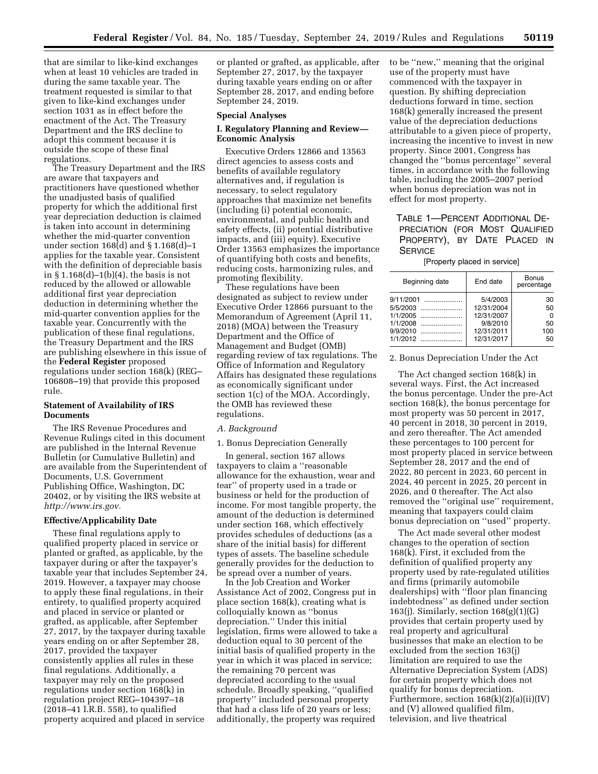that are similar to like-kind exchanges when at least 10 vehicles are traded in during the same taxable year. The treatment requested is similar to that given to like-kind exchanges under section 1031 as in effect before the enactment of the Act. The Treasury Department and the IRS decline to adopt this comment because it is outside the scope of these final regulations.

The Treasury Department and the IRS are aware that taxpayers and practitioners have questioned whether the unadjusted basis of qualified property for which the additional first year depreciation deduction is claimed is taken into account in determining whether the mid-quarter convention under section 168(d) and § 1.168(d)–1 applies for the taxable year. Consistent with the definition of depreciable basis in § 1.168(d)–1(b)(4), the basis is not reduced by the allowed or allowable additional first year depreciation deduction in determining whether the mid-quarter convention applies for the taxable year. Concurrently with the publication of these final regulations, the Treasury Department and the IRS are publishing elsewhere in this issue of the **Federal Register** proposed regulations under section 168(k) (REG– 106808–19) that provide this proposed rule.

## **Statement of Availability of IRS Documents**

The IRS Revenue Procedures and Revenue Rulings cited in this document are published in the Internal Revenue Bulletin (or Cumulative Bulletin) and are available from the Superintendent of Documents, U.S. Government Publishing Office, Washington, DC 20402, or by visiting the IRS website at *[http://www.irs.gov.](http://www.irs.gov)* 

### **Effective/Applicability Date**

These final regulations apply to qualified property placed in service or planted or grafted, as applicable, by the taxpayer during or after the taxpayer's taxable year that includes September 24, 2019. However, a taxpayer may choose to apply these final regulations, in their entirety, to qualified property acquired and placed in service or planted or grafted, as applicable, after September 27, 2017, by the taxpayer during taxable years ending on or after September 28, 2017, provided the taxpayer consistently applies all rules in these final regulations. Additionally, a taxpayer may rely on the proposed regulations under section 168(k) in regulation project REG–104397–18 (2018–41 I.R.B. 558), to qualified property acquired and placed in service

or planted or grafted, as applicable, after September 27, 2017, by the taxpayer during taxable years ending on or after September 28, 2017, and ending before September 24, 2019.

#### **Special Analyses**

## **I. Regulatory Planning and Review— Economic Analysis**

Executive Orders 12866 and 13563 direct agencies to assess costs and benefits of available regulatory alternatives and, if regulation is necessary, to select regulatory approaches that maximize net benefits (including (i) potential economic, environmental, and public health and safety effects, (ii) potential distributive impacts, and (iii) equity). Executive Order 13563 emphasizes the importance of quantifying both costs and benefits, reducing costs, harmonizing rules, and promoting flexibility.

These regulations have been designated as subject to review under Executive Order 12866 pursuant to the Memorandum of Agreement (April 11, 2018) (MOA) between the Treasury Department and the Office of Management and Budget (OMB) regarding review of tax regulations. The Office of Information and Regulatory Affairs has designated these regulations as economically significant under section 1(c) of the MOA. Accordingly, the OMB has reviewed these regulations.

### *A. Background*

#### 1. Bonus Depreciation Generally

In general, section 167 allows taxpayers to claim a ''reasonable allowance for the exhaustion, wear and tear'' of property used in a trade or business or held for the production of income. For most tangible property, the amount of the deduction is determined under section 168, which effectively provides schedules of deductions (as a share of the initial basis) for different types of assets. The baseline schedule generally provides for the deduction to be spread over a number of years.

In the Job Creation and Worker Assistance Act of 2002, Congress put in place section 168(k), creating what is colloquially known as ''bonus depreciation.'' Under this initial legislation, firms were allowed to take a deduction equal to 30 percent of the initial basis of qualified property in the year in which it was placed in service; the remaining 70 percent was depreciated according to the usual schedule. Broadly speaking, ''qualified property'' included personal property that had a class life of 20 years or less; additionally, the property was required

to be ''new,'' meaning that the original use of the property must have commenced with the taxpayer in question. By shifting depreciation deductions forward in time, section 168(k) generally increased the present value of the depreciation deductions attributable to a given piece of property, increasing the incentive to invest in new property. Since 2001, Congress has changed the ''bonus percentage'' several times, in accordance with the following table, including the 2005–2007 period when bonus depreciation was not in effect for most property.

# TABLE 1—PERCENT ADDITIONAL DE-PRECIATION (FOR MOST QUALIFIED PROPERTY), BY DATE PLACED IN **SERVICE**

[Property placed in service]

| Beginning date | End date   | <b>Bonus</b><br>percentage |
|----------------|------------|----------------------------|
| 9/11/2001      | 5/4/2003   | 30                         |
| 5/5/2003       | 12/31/2004 | 50                         |
| 1/1/2005       | 12/31/2007 | $\Omega$                   |
| 1/1/2008       | 9/8/2010   | 50                         |
| 9/9/2010       | 12/31/2011 | 100                        |
| 1/1/2012       | 12/31/2017 | 50                         |
|                |            |                            |

## 2. Bonus Depreciation Under the Act

The Act changed section 168(k) in several ways. First, the Act increased the bonus percentage. Under the pre-Act section 168(k), the bonus percentage for most property was 50 percent in 2017, 40 percent in 2018, 30 percent in 2019, and zero thereafter. The Act amended these percentages to 100 percent for most property placed in service between September 28, 2017 and the end of 2022, 80 percent in 2023, 60 percent in 2024, 40 percent in 2025, 20 percent in 2026, and 0 thereafter. The Act also removed the ''original use'' requirement, meaning that taxpayers could claim bonus depreciation on ''used'' property.

The Act made several other modest changes to the operation of section  $168(\tilde{k})$ . First, it excluded from the definition of qualified property any property used by rate-regulated utilities and firms (primarily automobile dealerships) with ''floor plan financing indebtedness'' as defined under section 163(j). Similarly, section 168(g)(1)(G) provides that certain property used by real property and agricultural businesses that make an election to be excluded from the section 163(j) limitation are required to use the Alternative Depreciation System (ADS) for certain property which does not qualify for bonus depreciation. Furthermore, section 168(k)(2)(a)(ii)(IV) and (V) allowed qualified film, television, and live theatrical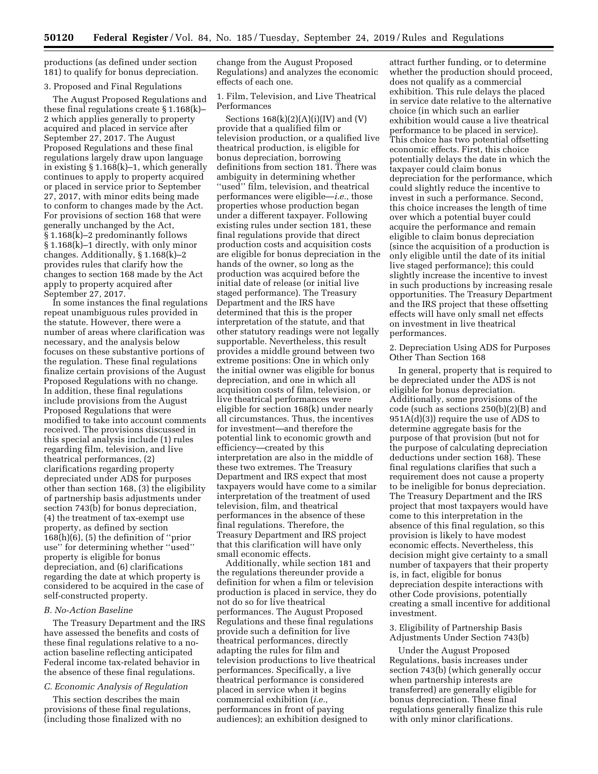productions (as defined under section 181) to qualify for bonus depreciation.

#### 3. Proposed and Final Regulations

The August Proposed Regulations and these final regulations create § 1.168(k)– 2 which applies generally to property acquired and placed in service after September 27, 2017. The August Proposed Regulations and these final regulations largely draw upon language in existing § 1.168(k)–1, which generally continues to apply to property acquired or placed in service prior to September 27, 2017, with minor edits being made to conform to changes made by the Act. For provisions of section 168 that were generally unchanged by the Act, § 1.168(k)–2 predominantly follows § 1.168(k)–1 directly, with only minor changes. Additionally, § 1.168(k)–2 provides rules that clarify how the changes to section 168 made by the Act apply to property acquired after September 27, 2017.

In some instances the final regulations repeat unambiguous rules provided in the statute. However, there were a number of areas where clarification was necessary, and the analysis below focuses on these substantive portions of the regulation. These final regulations finalize certain provisions of the August Proposed Regulations with no change. In addition, these final regulations include provisions from the August Proposed Regulations that were modified to take into account comments received. The provisions discussed in this special analysis include (1) rules regarding film, television, and live theatrical performances, (2) clarifications regarding property depreciated under ADS for purposes other than section 168, (3) the eligibility of partnership basis adjustments under section 743(b) for bonus depreciation, (4) the treatment of tax-exempt use property, as defined by section 168(h)(6), (5) the definition of ''prior use'' for determining whether ''used'' property is eligible for bonus depreciation, and (6) clarifications regarding the date at which property is considered to be acquired in the case of self-constructed property.

## *B. No-Action Baseline*

The Treasury Department and the IRS have assessed the benefits and costs of these final regulations relative to a noaction baseline reflecting anticipated Federal income tax-related behavior in the absence of these final regulations.

## *C. Economic Analysis of Regulation*

This section describes the main provisions of these final regulations, (including those finalized with no

change from the August Proposed Regulations) and analyzes the economic effects of each one.

1. Film, Television, and Live Theatrical Performances

Sections  $168(k)(2)(A)(i)(IV)$  and  $(V)$ provide that a qualified film or television production, or a qualified live theatrical production, is eligible for bonus depreciation, borrowing definitions from section 181. There was ambiguity in determining whether "used" film, television, and theatrical performances were eligible—*i.e.,* those properties whose production began under a different taxpayer. Following existing rules under section 181, these final regulations provide that direct production costs and acquisition costs are eligible for bonus depreciation in the hands of the owner, so long as the production was acquired before the initial date of release (or initial live staged performance). The Treasury Department and the IRS have determined that this is the proper interpretation of the statute, and that other statutory readings were not legally supportable. Nevertheless, this result provides a middle ground between two extreme positions: One in which only the initial owner was eligible for bonus depreciation, and one in which all acquisition costs of film, television, or live theatrical performances were eligible for section 168(k) under nearly all circumstances. Thus, the incentives for investment—and therefore the potential link to economic growth and efficiency—created by this interpretation are also in the middle of these two extremes. The Treasury Department and IRS expect that most taxpayers would have come to a similar interpretation of the treatment of used television, film, and theatrical performances in the absence of these final regulations. Therefore, the Treasury Department and IRS project that this clarification will have only small economic effects.

Additionally, while section 181 and the regulations thereunder provide a definition for when a film or television production is placed in service, they do not do so for live theatrical performances. The August Proposed Regulations and these final regulations provide such a definition for live theatrical performances, directly adapting the rules for film and television productions to live theatrical performances. Specifically, a live theatrical performance is considered placed in service when it begins commercial exhibition (*i.e.,*  performances in front of paying audiences); an exhibition designed to

attract further funding, or to determine whether the production should proceed, does not qualify as a commercial exhibition. This rule delays the placed in service date relative to the alternative choice (in which such an earlier exhibition would cause a live theatrical performance to be placed in service). This choice has two potential offsetting economic effects. First, this choice potentially delays the date in which the taxpayer could claim bonus depreciation for the performance, which could slightly reduce the incentive to invest in such a performance. Second, this choice increases the length of time over which a potential buyer could acquire the performance and remain eligible to claim bonus depreciation (since the acquisition of a production is only eligible until the date of its initial live staged performance); this could slightly increase the incentive to invest in such productions by increasing resale opportunities. The Treasury Department and the IRS project that these offsetting effects will have only small net effects on investment in live theatrical performances.

2. Depreciation Using ADS for Purposes Other Than Section 168

In general, property that is required to be depreciated under the ADS is not eligible for bonus depreciation. Additionally, some provisions of the code (such as sections 250(b)(2)(B) and 951A(d)(3)) require the use of ADS to determine aggregate basis for the purpose of that provision (but not for the purpose of calculating depreciation deductions under section 168). These final regulations clarifies that such a requirement does not cause a property to be ineligible for bonus depreciation. The Treasury Department and the IRS project that most taxpayers would have come to this interpretation in the absence of this final regulation, so this provision is likely to have modest economic effects. Nevertheless, this decision might give certainty to a small number of taxpayers that their property is, in fact, eligible for bonus depreciation despite interactions with other Code provisions, potentially creating a small incentive for additional investment.

## 3. Eligibility of Partnership Basis Adjustments Under Section 743(b)

Under the August Proposed Regulations, basis increases under section 743(b) (which generally occur when partnership interests are transferred) are generally eligible for bonus depreciation. These final regulations generally finalize this rule with only minor clarifications.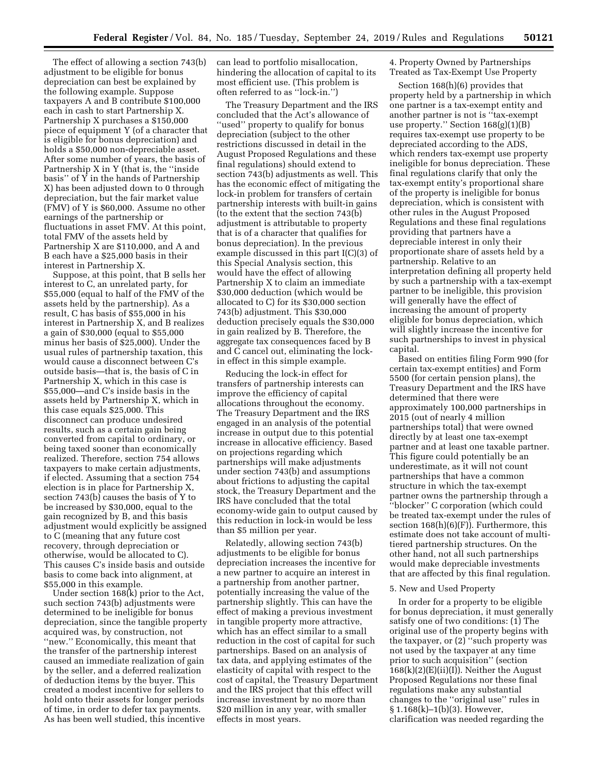The effect of allowing a section 743(b) adjustment to be eligible for bonus depreciation can best be explained by the following example. Suppose taxpayers A and B contribute \$100,000 each in cash to start Partnership X. Partnership X purchases a \$150,000 piece of equipment Y (of a character that is eligible for bonus depreciation) and holds a \$50,000 non-depreciable asset. After some number of years, the basis of Partnership X in Y (that is, the ''inside basis'' of Y in the hands of Partnership X) has been adjusted down to 0 through depreciation, but the fair market value (FMV) of Y is \$60,000. Assume no other earnings of the partnership or fluctuations in asset FMV. At this point, total FMV of the assets held by Partnership X are \$110,000, and A and B each have a \$25,000 basis in their interest in Partnership X.

Suppose, at this point, that B sells her interest to C, an unrelated party, for \$55,000 (equal to half of the FMV of the assets held by the partnership). As a result, C has basis of \$55,000 in his interest in Partnership X, and B realizes a gain of \$30,000 (equal to \$55,000 minus her basis of \$25,000). Under the usual rules of partnership taxation, this would cause a disconnect between C's outside basis—that is, the basis of C in Partnership X, which in this case is \$55,000—and C's inside basis in the assets held by Partnership X, which in this case equals \$25,000. This disconnect can produce undesired results, such as a certain gain being converted from capital to ordinary, or being taxed sooner than economically realized. Therefore, section 754 allows taxpayers to make certain adjustments, if elected. Assuming that a section 754 election is in place for Partnership X, section 743(b) causes the basis of Y to be increased by \$30,000, equal to the gain recognized by B, and this basis adjustment would explicitly be assigned to C (meaning that any future cost recovery, through depreciation or otherwise, would be allocated to C). This causes C's inside basis and outside basis to come back into alignment, at \$55,000 in this example.

Under section 168(k) prior to the Act, such section 743(b) adjustments were determined to be ineligible for bonus depreciation, since the tangible property acquired was, by construction, not ''new.'' Economically, this meant that the transfer of the partnership interest caused an immediate realization of gain by the seller, and a deferred realization of deduction items by the buyer. This created a modest incentive for sellers to hold onto their assets for longer periods of time, in order to defer tax payments. As has been well studied, this incentive

can lead to portfolio misallocation, hindering the allocation of capital to its most efficient use. (This problem is often referred to as ''lock-in.'')

The Treasury Department and the IRS concluded that the Act's allowance of ''used'' property to qualify for bonus depreciation (subject to the other restrictions discussed in detail in the August Proposed Regulations and these final regulations) should extend to section 743(b) adjustments as well. This has the economic effect of mitigating the lock-in problem for transfers of certain partnership interests with built-in gains (to the extent that the section 743(b) adjustment is attributable to property that is of a character that qualifies for bonus depreciation). In the previous example discussed in this part I(C)(3) of this Special Analysis section, this would have the effect of allowing Partnership X to claim an immediate \$30,000 deduction (which would be allocated to C) for its \$30,000 section 743(b) adjustment. This \$30,000 deduction precisely equals the \$30,000 in gain realized by B. Therefore, the aggregate tax consequences faced by B and C cancel out, eliminating the lockin effect in this simple example.

Reducing the lock-in effect for transfers of partnership interests can improve the efficiency of capital allocations throughout the economy. The Treasury Department and the IRS engaged in an analysis of the potential increase in output due to this potential increase in allocative efficiency. Based on projections regarding which partnerships will make adjustments under section 743(b) and assumptions about frictions to adjusting the capital stock, the Treasury Department and the IRS have concluded that the total economy-wide gain to output caused by this reduction in lock-in would be less than \$5 million per year.

Relatedly, allowing section 743(b) adjustments to be eligible for bonus depreciation increases the incentive for a new partner to acquire an interest in a partnership from another partner, potentially increasing the value of the partnership slightly. This can have the effect of making a previous investment in tangible property more attractive, which has an effect similar to a small reduction in the cost of capital for such partnerships. Based on an analysis of tax data, and applying estimates of the elasticity of capital with respect to the cost of capital, the Treasury Department and the IRS project that this effect will increase investment by no more than \$20 million in any year, with smaller effects in most years.

4. Property Owned by Partnerships Treated as Tax-Exempt Use Property

Section 168(h)(6) provides that property held by a partnership in which one partner is a tax-exempt entity and another partner is not is ''tax-exempt use property.'' Section 168(g)(1)(B) requires tax-exempt use property to be depreciated according to the ADS, which renders tax-exempt use property ineligible for bonus depreciation. These final regulations clarify that only the tax-exempt entity's proportional share of the property is ineligible for bonus depreciation, which is consistent with other rules in the August Proposed Regulations and these final regulations providing that partners have a depreciable interest in only their proportionate share of assets held by a partnership. Relative to an interpretation defining all property held by such a partnership with a tax-exempt partner to be ineligible, this provision will generally have the effect of increasing the amount of property eligible for bonus depreciation, which will slightly increase the incentive for such partnerships to invest in physical capital.

Based on entities filing Form 990 (for certain tax-exempt entities) and Form 5500 (for certain pension plans), the Treasury Department and the IRS have determined that there were approximately 100,000 partnerships in 2015 (out of nearly 4 million partnerships total) that were owned directly by at least one tax-exempt partner and at least one taxable partner. This figure could potentially be an underestimate, as it will not count partnerships that have a common structure in which the tax-exempt partner owns the partnership through a ''blocker'' C corporation (which could be treated tax-exempt under the rules of section  $168(h)(6)(F)$ ). Furthermore, this estimate does not take account of multitiered partnership structures. On the other hand, not all such partnerships would make depreciable investments that are affected by this final regulation.

## 5. New and Used Property

In order for a property to be eligible for bonus depreciation, it must generally satisfy one of two conditions: (1) The original use of the property begins with the taxpayer, or (2) ''such property was not used by the taxpayer at any time prior to such acquisition'' (section  $168(k)(2)(E)(ii)(I)$ . Neither the August Proposed Regulations nor these final regulations make any substantial changes to the ''original use'' rules in § 1.168(k)–1(b)(3). However, clarification was needed regarding the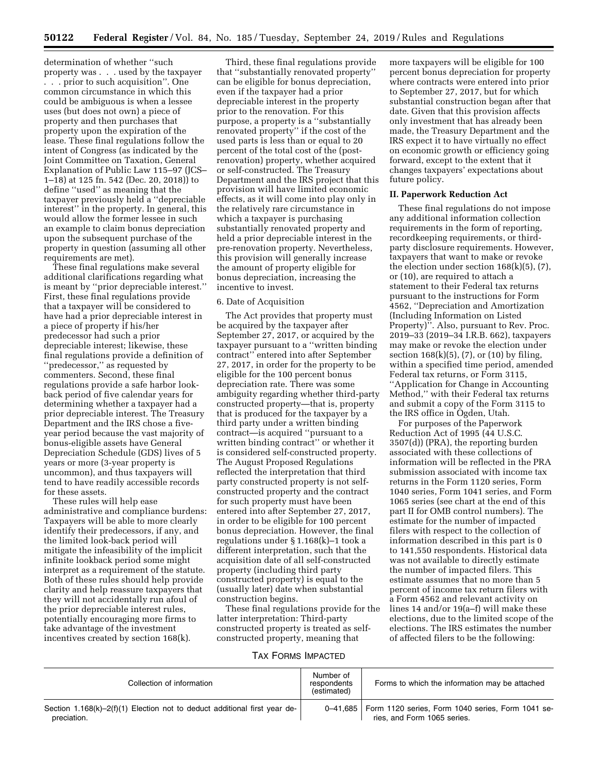determination of whether ''such property was . . . used by the taxpayer . . . prior to such acquisition''. One common circumstance in which this could be ambiguous is when a lessee uses (but does not own) a piece of property and then purchases that property upon the expiration of the lease. These final regulations follow the intent of Congress (as indicated by the Joint Committee on Taxation, General Explanation of Public Law 115–97 (JCS– 1–18) at 125 fn. 542 (Dec. 20, 2018)) to define ''used'' as meaning that the taxpayer previously held a ''depreciable interest'' in the property. In general, this would allow the former lessee in such an example to claim bonus depreciation upon the subsequent purchase of the property in question (assuming all other requirements are met).

These final regulations make several additional clarifications regarding what is meant by ''prior depreciable interest.'' First, these final regulations provide that a taxpayer will be considered to have had a prior depreciable interest in a piece of property if his/her predecessor had such a prior depreciable interest; likewise, these final regulations provide a definition of ''predecessor,'' as requested by commenters. Second, these final regulations provide a safe harbor lookback period of five calendar years for determining whether a taxpayer had a prior depreciable interest. The Treasury Department and the IRS chose a fiveyear period because the vast majority of bonus-eligible assets have General Depreciation Schedule (GDS) lives of 5 years or more (3-year property is uncommon), and thus taxpayers will tend to have readily accessible records for these assets.

These rules will help ease administrative and compliance burdens: Taxpayers will be able to more clearly identify their predecessors, if any, and the limited look-back period will mitigate the infeasibility of the implicit infinite lookback period some might interpret as a requirement of the statute. Both of these rules should help provide clarity and help reassure taxpayers that they will not accidentally run afoul of the prior depreciable interest rules, potentially encouraging more firms to take advantage of the investment incentives created by section 168(k).

Third, these final regulations provide that ''substantially renovated property'' can be eligible for bonus depreciation, even if the taxpayer had a prior depreciable interest in the property prior to the renovation. For this purpose, a property is a ''substantially renovated property'' if the cost of the used parts is less than or equal to 20 percent of the total cost of the (postrenovation) property, whether acquired or self-constructed. The Treasury Department and the IRS project that this provision will have limited economic effects, as it will come into play only in the relatively rare circumstance in which a taxpayer is purchasing substantially renovated property and held a prior depreciable interest in the pre-renovation property. Nevertheless, this provision will generally increase the amount of property eligible for bonus depreciation, increasing the incentive to invest.

### 6. Date of Acquisition

The Act provides that property must be acquired by the taxpayer after September 27, 2017, or acquired by the taxpayer pursuant to a ''written binding contract'' entered into after September 27, 2017, in order for the property to be eligible for the 100 percent bonus depreciation rate. There was some ambiguity regarding whether third-party constructed property—that is, property that is produced for the taxpayer by a third party under a written binding contract—is acquired ''pursuant to a written binding contract'' or whether it is considered self-constructed property. The August Proposed Regulations reflected the interpretation that third party constructed property is not selfconstructed property and the contract for such property must have been entered into after September 27, 2017, in order to be eligible for 100 percent bonus depreciation. However, the final regulations under § 1.168(k)–1 took a different interpretation, such that the acquisition date of all self-constructed property (including third party constructed property) is equal to the (usually later) date when substantial construction begins.

These final regulations provide for the latter interpretation: Third-party constructed property is treated as selfconstructed property, meaning that

TAX FORMS IMPACTED

more taxpayers will be eligible for 100 percent bonus depreciation for property where contracts were entered into prior to September 27, 2017, but for which substantial construction began after that date. Given that this provision affects only investment that has already been made, the Treasury Department and the IRS expect it to have virtually no effect on economic growth or efficiency going forward, except to the extent that it changes taxpayers' expectations about future policy.

### **II. Paperwork Reduction Act**

These final regulations do not impose any additional information collection requirements in the form of reporting, recordkeeping requirements, or thirdparty disclosure requirements. However, taxpayers that want to make or revoke the election under section  $168(k)(5)$ ,  $(7)$ , or (10), are required to attach a statement to their Federal tax returns pursuant to the instructions for Form 4562, ''Depreciation and Amortization (Including Information on Listed Property)''. Also, pursuant to Rev. Proc. 2019–33 (2019–34 I.R.B. 662), taxpayers may make or revoke the election under section  $168(k)(5)$ ,  $(7)$ , or  $(10)$  by filing, within a specified time period, amended Federal tax returns, or Form 3115, ''Application for Change in Accounting Method,'' with their Federal tax returns and submit a copy of the Form 3115 to the IRS office in Ogden, Utah.

For purposes of the Paperwork Reduction Act of 1995 (44 U.S.C. 3507(d)) (PRA), the reporting burden associated with these collections of information will be reflected in the PRA submission associated with income tax returns in the Form 1120 series, Form 1040 series, Form 1041 series, and Form 1065 series (see chart at the end of this part II for OMB control numbers). The estimate for the number of impacted filers with respect to the collection of information described in this part is 0 to 141,550 respondents. Historical data was not available to directly estimate the number of impacted filers. This estimate assumes that no more than 5 percent of income tax return filers with a Form 4562 and relevant activity on lines 14 and/or 19(a–f) will make these elections, due to the limited scope of the elections. The IRS estimates the number of affected filers to be the following:

| Collection of information                                                                | Number of<br>respondents<br>(estimated) | Forms to which the information may be attached                                              |
|------------------------------------------------------------------------------------------|-----------------------------------------|---------------------------------------------------------------------------------------------|
| Section 1.168(k)-2(f)(1) Election not to deduct additional first year de-<br>preciation. |                                         | 0-41,685   Form 1120 series, Form 1040 series, Form 1041 se-<br>ries, and Form 1065 series. |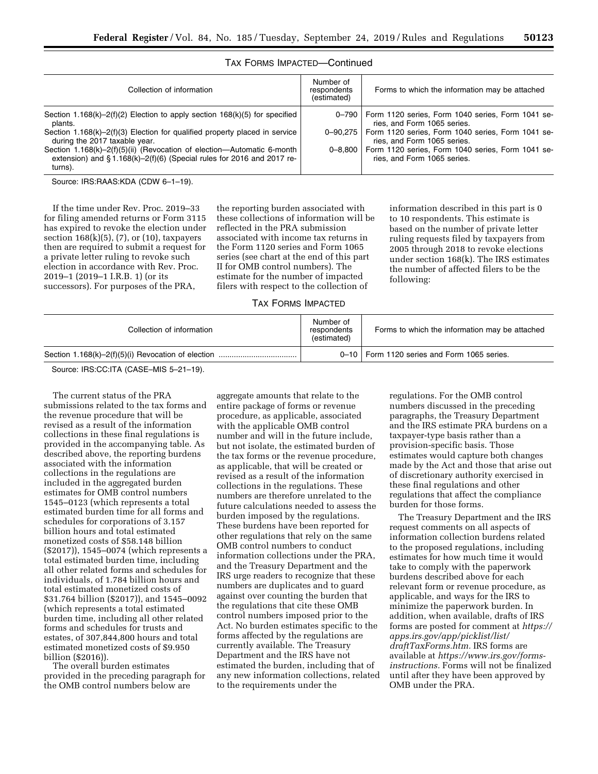| Collection of information                                                                                                                                  | Number of<br>respondents<br>(estimated) | Forms to which the information may be attached                                           |
|------------------------------------------------------------------------------------------------------------------------------------------------------------|-----------------------------------------|------------------------------------------------------------------------------------------|
| Section 1.168(k)-2(f)(2) Election to apply section $168(k)(5)$ for specified<br>plants.                                                                    |                                         | 0-790   Form 1120 series, Form 1040 series, Form 1041 se-<br>ries, and Form 1065 series. |
| Section 1.168 $(k)$ –2 $(f)(3)$ Election for qualified property placed in service<br>during the 2017 taxable year.                                         | $0 - 90.275$                            | Form 1120 series, Form 1040 series, Form 1041 se-<br>ries, and Form 1065 series.         |
| Section 1.168(k)-2(f)(5)(ii) (Revocation of election-Automatic 6-month<br>extension) and §1.168(k)-2(f)(6) (Special rules for 2016 and 2017 re-<br>turns). | $0 - 8.800$                             | Form 1120 series, Form 1040 series, Form 1041 se-<br>ries, and Form 1065 series.         |

## TAX FORMS IMPACTED—Continued

Source: IRS:RAAS:KDA (CDW 6–1–19).

If the time under Rev. Proc. 2019–33 for filing amended returns or Form 3115 has expired to revoke the election under section  $168(k)(5)$ ,  $(7)$ , or  $(10)$ , taxpayers then are required to submit a request for a private letter ruling to revoke such election in accordance with Rev. Proc. 2019–1 (2019–1 I.R.B. 1) (or its successors). For purposes of the PRA,

the reporting burden associated with these collections of information will be reflected in the PRA submission associated with income tax returns in the Form 1120 series and Form 1065 series (see chart at the end of this part II for OMB control numbers). The estimate for the number of impacted filers with respect to the collection of

information described in this part is 0 to 10 respondents. This estimate is based on the number of private letter ruling requests filed by taxpayers from 2005 through 2018 to revoke elections under section 168(k). The IRS estimates the number of affected filers to be the following:

## TAX FORMS IMPACTED

| Collection of information | Number of<br>respondents<br>(estimated) | Forms to which the information may be attached |
|---------------------------|-----------------------------------------|------------------------------------------------|
|                           |                                         | 0-10   Form 1120 series and Form 1065 series.  |

Source: IRS:CC:ITA (CASE–MIS 5–21–19).

The current status of the PRA submissions related to the tax forms and the revenue procedure that will be revised as a result of the information collections in these final regulations is provided in the accompanying table. As described above, the reporting burdens associated with the information collections in the regulations are included in the aggregated burden estimates for OMB control numbers 1545–0123 (which represents a total estimated burden time for all forms and schedules for corporations of 3.157 billion hours and total estimated monetized costs of \$58.148 billion (\$2017)), 1545–0074 (which represents a total estimated burden time, including all other related forms and schedules for individuals, of 1.784 billion hours and total estimated monetized costs of \$31.764 billion (\$2017)), and 1545–0092 (which represents a total estimated burden time, including all other related forms and schedules for trusts and estates, of 307,844,800 hours and total estimated monetized costs of \$9.950 billion (\$2016)).

The overall burden estimates provided in the preceding paragraph for the OMB control numbers below are

aggregate amounts that relate to the entire package of forms or revenue procedure, as applicable, associated with the applicable OMB control number and will in the future include, but not isolate, the estimated burden of the tax forms or the revenue procedure, as applicable, that will be created or revised as a result of the information collections in the regulations. These numbers are therefore unrelated to the future calculations needed to assess the burden imposed by the regulations. These burdens have been reported for other regulations that rely on the same OMB control numbers to conduct information collections under the PRA, and the Treasury Department and the IRS urge readers to recognize that these numbers are duplicates and to guard against over counting the burden that the regulations that cite these OMB control numbers imposed prior to the Act. No burden estimates specific to the forms affected by the regulations are currently available. The Treasury Department and the IRS have not estimated the burden, including that of any new information collections, related to the requirements under the

regulations. For the OMB control numbers discussed in the preceding paragraphs, the Treasury Department and the IRS estimate PRA burdens on a taxpayer-type basis rather than a provision-specific basis. Those estimates would capture both changes made by the Act and those that arise out of discretionary authority exercised in these final regulations and other regulations that affect the compliance burden for those forms.

The Treasury Department and the IRS request comments on all aspects of information collection burdens related to the proposed regulations, including estimates for how much time it would take to comply with the paperwork burdens described above for each relevant form or revenue procedure, as applicable, and ways for the IRS to minimize the paperwork burden. In addition, when available, drafts of IRS forms are posted for comment at *[https://](https://apps.irs.gov/app/picklist/list/draftTaxForms.htm) [apps.irs.gov/app/picklist/list/](https://apps.irs.gov/app/picklist/list/draftTaxForms.htm)  [draftTaxForms.htm.](https://apps.irs.gov/app/picklist/list/draftTaxForms.htm)* IRS forms are available at *[https://www.irs.gov/forms](https://www.irs.gov/forms-instructions)[instructions.](https://www.irs.gov/forms-instructions)* Forms will not be finalized until after they have been approved by OMB under the PRA.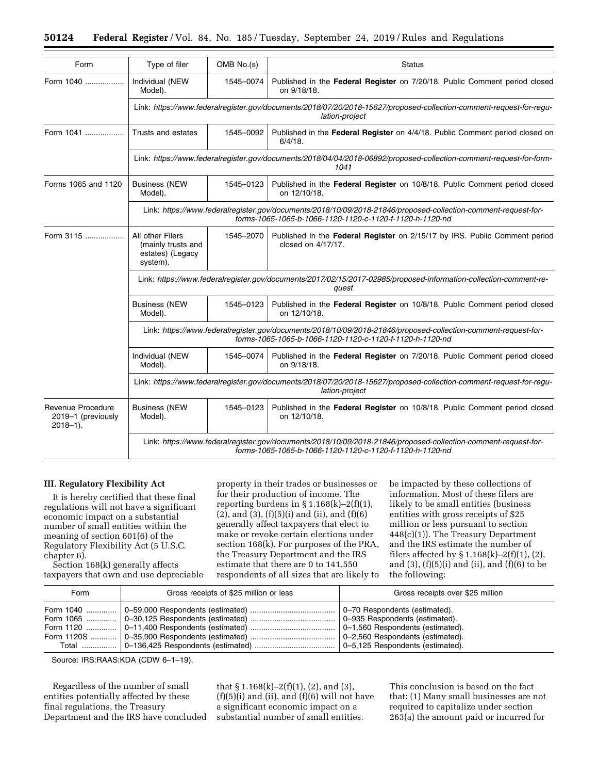| Form                                                     | Type of filer                                                                                                                                                              | OMB No.(s)                                                                                                                            | <b>Status</b>                                                                                    |  |
|----------------------------------------------------------|----------------------------------------------------------------------------------------------------------------------------------------------------------------------------|---------------------------------------------------------------------------------------------------------------------------------------|--------------------------------------------------------------------------------------------------|--|
| Form 1040                                                | Individual (NEW<br>Model).                                                                                                                                                 | 1545-0074                                                                                                                             | Published in the Federal Register on 7/20/18. Public Comment period closed<br>on 9/18/18.        |  |
|                                                          |                                                                                                                                                                            | Link: https://www.federalregister.gov/documents/2018/07/20/2018-15627/proposed-collection-comment-request-for-regu-<br>lation-project |                                                                                                  |  |
| Form 1041                                                | Trusts and estates                                                                                                                                                         | 1545-0092                                                                                                                             | Published in the Federal Register on 4/4/18. Public Comment period closed on<br>$6/4/18$ .       |  |
|                                                          | Link: https://www.federalregister.gov/documents/2018/04/04/2018-06892/proposed-collection-comment-request-for-form-<br>1041                                                |                                                                                                                                       |                                                                                                  |  |
| Forms 1065 and 1120                                      | <b>Business (NEW</b><br>1545-0123<br>Model).<br>on 12/10/18.                                                                                                               |                                                                                                                                       | Published in the Federal Register on 10/8/18. Public Comment period closed                       |  |
|                                                          | Link: https://www.federalregister.gov/documents/2018/10/09/2018-21846/proposed-collection-comment-request-for-<br>forms-1065-1065-b-1066-1120-1120-c-1120-f-1120-h-1120-nd |                                                                                                                                       |                                                                                                  |  |
| Form 3115                                                | All other Filers<br>(mainly trusts and<br>estates) (Legacy<br>system).                                                                                                     | 1545-2070                                                                                                                             | Published in the Federal Register on 2/15/17 by IRS. Public Comment period<br>closed on 4/17/17. |  |
|                                                          | Link: https://www.federalregister.gov/documents/2017/02/15/2017-02985/proposed-information-collection-comment-re-<br>quest                                                 |                                                                                                                                       |                                                                                                  |  |
|                                                          | <b>Business (NEW</b><br>Model).                                                                                                                                            | 1545-0123                                                                                                                             | Published in the Federal Register on 10/8/18. Public Comment period closed<br>on 12/10/18.       |  |
|                                                          | Link: https://www.federalregister.gov/documents/2018/10/09/2018-21846/proposed-collection-comment-request-for-<br>forms-1065-1065-b-1066-1120-1120-c-1120-f-1120-h-1120-nd |                                                                                                                                       |                                                                                                  |  |
|                                                          | Individual (NEW<br>Model).                                                                                                                                                 | 1545-0074                                                                                                                             | Published in the Federal Register on 7/20/18. Public Comment period closed<br>on 9/18/18.        |  |
|                                                          | Link: https://www.federalregister.gov/documents/2018/07/20/2018-15627/proposed-collection-comment-request-for-regu-<br>lation-project                                      |                                                                                                                                       |                                                                                                  |  |
| Revenue Procedure<br>2019-1 (previously<br>$2018 - 1$ ). | <b>Business (NEW</b><br>Model).                                                                                                                                            | 1545-0123                                                                                                                             | Published in the Federal Register on 10/8/18. Public Comment period closed<br>on 12/10/18.       |  |
|                                                          | Link: https://www.federalregister.gov/documents/2018/10/09/2018-21846/proposed-collection-comment-request-for-<br>forms-1065-1065-b-1066-1120-1120-c-1120-f-1120-h-1120-nd |                                                                                                                                       |                                                                                                  |  |

## **III. Regulatory Flexibility Act**

It is hereby certified that these final regulations will not have a significant economic impact on a substantial number of small entities within the meaning of section 601(6) of the Regulatory Flexibility Act (5 U.S.C. chapter 6).

Section 168(k) generally affects taxpayers that own and use depreciable property in their trades or businesses or for their production of income. The reporting burdens in  $\S 1.168(k) - 2(f)(1)$ ,  $(2)$ , and  $(3)$ ,  $(f)(5)(i)$  and  $(ii)$ , and  $(f)(6)$ generally affect taxpayers that elect to make or revoke certain elections under section 168(k). For purposes of the PRA, the Treasury Department and the IRS estimate that there are 0 to 141,550 respondents of all sizes that are likely to be impacted by these collections of information. Most of these filers are likely to be small entities (business entities with gross receipts of \$25 million or less pursuant to section 448(c)(1)). The Treasury Department and the IRS estimate the number of filers affected by  $\S 1.168(k) - 2(f)(1)$ , (2), and  $(3)$ ,  $(f)(5)(i)$  and  $(ii)$ , and  $(f)(6)$  to be the following:

| Form | Gross receipts of \$25 million or less | Gross receipts over \$25 million |
|------|----------------------------------------|----------------------------------|
|      |                                        |                                  |

Source: IRS:RAAS:KDA (CDW 6–1–19).

Regardless of the number of small entities potentially affected by these final regulations, the Treasury Department and the IRS have concluded

that § 1.168(k)–2(f)(1), (2), and (3),  $(f)(5)(i)$  and  $(ii)$ , and  $(f)(6)$  will not have a significant economic impact on a substantial number of small entities.

This conclusion is based on the fact that: (1) Many small businesses are not required to capitalize under section 263(a) the amount paid or incurred for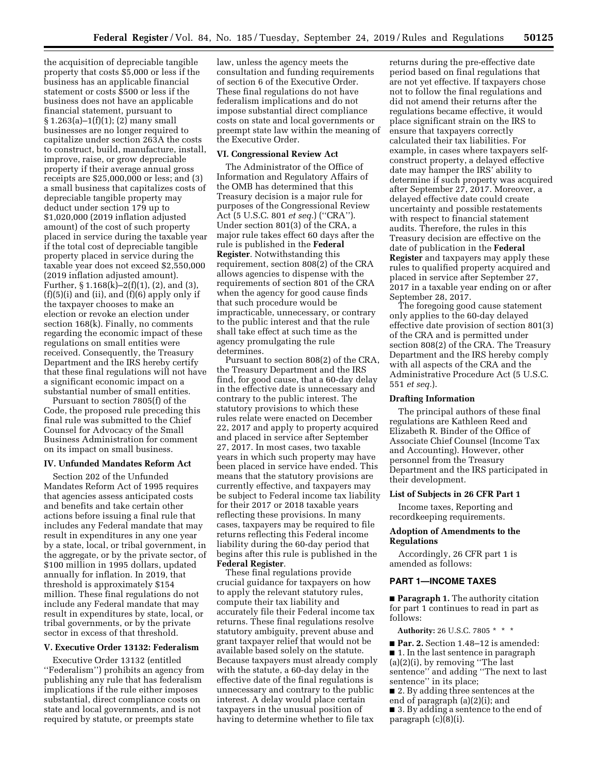the acquisition of depreciable tangible property that costs \$5,000 or less if the business has an applicable financial statement or costs \$500 or less if the business does not have an applicable financial statement, pursuant to § 1.263(a)–1(f)(1); (2) many small businesses are no longer required to capitalize under section 263A the costs to construct, build, manufacture, install, improve, raise, or grow depreciable property if their average annual gross receipts are \$25,000,000 or less; and (3) a small business that capitalizes costs of depreciable tangible property may deduct under section 179 up to \$1,020,000 (2019 inflation adjusted amount) of the cost of such property placed in service during the taxable year if the total cost of depreciable tangible property placed in service during the taxable year does not exceed \$2,550,000 (2019 inflation adjusted amount). Further,  $\S 1.168(k)-2(f)(1)$ , (2), and (3),  $(f)(5)(i)$  and  $(ii)$ , and  $(f)(6)$  apply only if the taxpayer chooses to make an election or revoke an election under section 168(k). Finally, no comments regarding the economic impact of these regulations on small entities were received. Consequently, the Treasury Department and the IRS hereby certify that these final regulations will not have a significant economic impact on a substantial number of small entities.

Pursuant to section 7805(f) of the Code, the proposed rule preceding this final rule was submitted to the Chief Counsel for Advocacy of the Small Business Administration for comment on its impact on small business.

## **IV. Unfunded Mandates Reform Act**

Section 202 of the Unfunded Mandates Reform Act of 1995 requires that agencies assess anticipated costs and benefits and take certain other actions before issuing a final rule that includes any Federal mandate that may result in expenditures in any one year by a state, local, or tribal government, in the aggregate, or by the private sector, of \$100 million in 1995 dollars, updated annually for inflation. In 2019, that threshold is approximately \$154 million. These final regulations do not include any Federal mandate that may result in expenditures by state, local, or tribal governments, or by the private sector in excess of that threshold.

## **V. Executive Order 13132: Federalism**

Executive Order 13132 (entitled ''Federalism'') prohibits an agency from publishing any rule that has federalism implications if the rule either imposes substantial, direct compliance costs on state and local governments, and is not required by statute, or preempts state

law, unless the agency meets the consultation and funding requirements of section 6 of the Executive Order. These final regulations do not have federalism implications and do not impose substantial direct compliance costs on state and local governments or preempt state law within the meaning of the Executive Order.

## **VI. Congressional Review Act**

The Administrator of the Office of Information and Regulatory Affairs of the OMB has determined that this Treasury decision is a major rule for purposes of the Congressional Review Act (5 U.S.C. 801 *et seq.*) (''CRA''). Under section 801(3) of the CRA, a major rule takes effect 60 days after the rule is published in the **Federal Register**. Notwithstanding this requirement, section 808(2) of the CRA allows agencies to dispense with the requirements of section 801 of the CRA when the agency for good cause finds that such procedure would be impracticable, unnecessary, or contrary to the public interest and that the rule shall take effect at such time as the agency promulgating the rule determines.

Pursuant to section 808(2) of the CRA, the Treasury Department and the IRS find, for good cause, that a 60-day delay in the effective date is unnecessary and contrary to the public interest. The statutory provisions to which these rules relate were enacted on December 22, 2017 and apply to property acquired and placed in service after September 27, 2017. In most cases, two taxable years in which such property may have been placed in service have ended. This means that the statutory provisions are currently effective, and taxpayers may be subject to Federal income tax liability for their 2017 or 2018 taxable years reflecting these provisions. In many cases, taxpayers may be required to file returns reflecting this Federal income liability during the 60-day period that begins after this rule is published in the **Federal Register**.

These final regulations provide crucial guidance for taxpayers on how to apply the relevant statutory rules, compute their tax liability and accurately file their Federal income tax returns. These final regulations resolve statutory ambiguity, prevent abuse and grant taxpayer relief that would not be available based solely on the statute. Because taxpayers must already comply with the statute, a 60-day delay in the effective date of the final regulations is unnecessary and contrary to the public interest. A delay would place certain taxpayers in the unusual position of having to determine whether to file tax

returns during the pre-effective date period based on final regulations that are not yet effective. If taxpayers chose not to follow the final regulations and did not amend their returns after the regulations became effective, it would place significant strain on the IRS to ensure that taxpayers correctly calculated their tax liabilities. For example, in cases where taxpayers selfconstruct property, a delayed effective date may hamper the IRS' ability to determine if such property was acquired after September 27, 2017. Moreover, a delayed effective date could create uncertainty and possible restatements with respect to financial statement audits. Therefore, the rules in this Treasury decision are effective on the date of publication in the **Federal Register** and taxpayers may apply these rules to qualified property acquired and placed in service after September 27, 2017 in a taxable year ending on or after September 28, 2017.

The foregoing good cause statement only applies to the 60-day delayed effective date provision of section 801(3) of the CRA and is permitted under section 808(2) of the CRA. The Treasury Department and the IRS hereby comply with all aspects of the CRA and the Administrative Procedure Act (5 U.S.C. 551 *et seq.*).

### **Drafting Information**

The principal authors of these final regulations are Kathleen Reed and Elizabeth R. Binder of the Office of Associate Chief Counsel (Income Tax and Accounting). However, other personnel from the Treasury Department and the IRS participated in their development.

### **List of Subjects in 26 CFR Part 1**

Income taxes, Reporting and recordkeeping requirements.

## **Adoption of Amendments to the Regulations**

Accordingly, 26 CFR part 1 is amended as follows:

# **PART 1—INCOME TAXES**

■ **Paragraph 1.** The authority citation for part 1 continues to read in part as follows:

**Authority:** 26 U.S.C. 7805 \* \* \*

■ **Par. 2.** Section 1.48-12 is amended: ■ 1. In the last sentence in paragraph (a)(2)(i), by removing ''The last sentence'' and adding ''The next to last sentence'' in its place;

■ 2. By adding three sentences at the end of paragraph (a)(2)(i); and ■ 3. By adding a sentence to the end of paragraph  $(c)(8)(i)$ .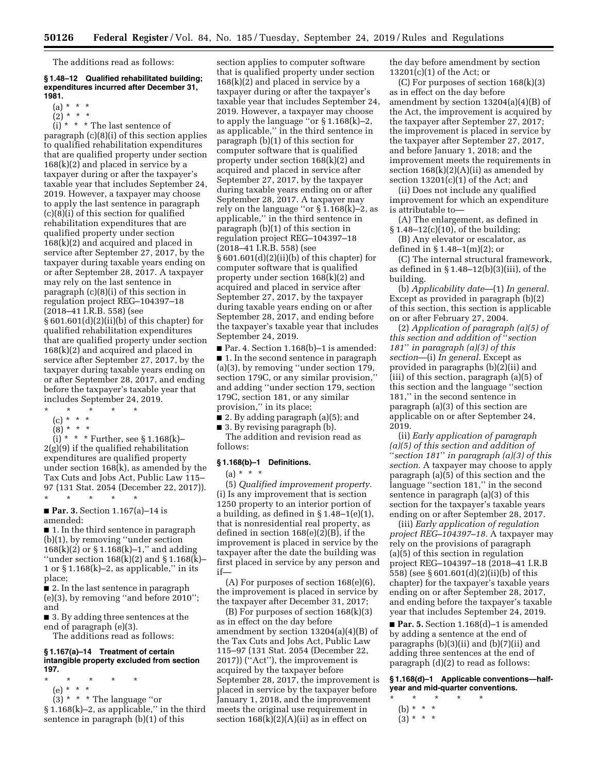The additions read as follows:

#### **§ 1.48–12 Qualified rehabilitated building; expenditures incurred after December 31, 1981.**

- $(a) * * * *$
- $(2)^*$  \* \*

 $(i) * * * The last sentence of$ 

paragraph (c)(8)(i) of this section applies to qualified rehabilitation expenditures that are qualified property under section 168(k)(2) and placed in service by a taxpayer during or after the taxpayer's taxable year that includes September 24, 2019. However, a taxpayer may choose to apply the last sentence in paragraph (c)(8)(i) of this section for qualified rehabilitation expenditures that are qualified property under section 168(k)(2) and acquired and placed in service after September 27, 2017, by the taxpayer during taxable years ending on or after September 28, 2017. A taxpayer may rely on the last sentence in paragraph (c)(8)(i) of this section in regulation project REG–104397–18 (2018–41 I.R.B. 558) (see § 601.601(d)(2)(ii)(b) of this chapter) for qualified rehabilitation expenditures that are qualified property under section 168(k)(2) and acquired and placed in service after September 27, 2017, by the taxpayer during taxable years ending on or after September 28, 2017, and ending before the taxpayer's taxable year that includes September 24, 2019.

- \* \* \* \* \*
- (c) \* \* \*
- $(8) * * * *$

 $(i) * * *$  Further, see § 1.168(k)– 2(g)(9) if the qualified rehabilitation expenditures are qualified property under section 168(k), as amended by the Tax Cuts and Jobs Act, Public Law 115– 97 (131 Stat. 2054 (December 22, 2017)). \* \* \* \* \*

■ **Par. 3.** Section 1.167(a)–14 is amended:

■ 1. In the third sentence in paragraph (b)(1), by removing ''under section 168(k)(2) or  $\S 1.168(k)-1$ ," and adding ''under section 168(k)(2) and § 1.168(k)– 1 or  $\S 1.168(k)-2$ , as applicable," in its place;

■ 2. In the last sentence in paragraph (e)(3), by removing ''and before 2010''; and

■ 3. By adding three sentences at the end of paragraph (e)(3).

The additions read as follows:

### **§ 1.167(a)–14 Treatment of certain intangible property excluded from section 197.**

- \* \* \* \* \*
- (e) \* \* \*

(3) \* \* \* The language ''or § 1.168(k)-2, as applicable," in the third sentence in paragraph (b)(1) of this

section applies to computer software that is qualified property under section  $168(k)(2)$  and placed in service by a taxpayer during or after the taxpayer's taxable year that includes September 24, 2019. However, a taxpayer may choose to apply the language "or  $\S 1.168(k) - 2$ , as applicable,'' in the third sentence in paragraph (b)(1) of this section for computer software that is qualified property under section 168(k)(2) and acquired and placed in service after September 27, 2017, by the taxpayer during taxable years ending on or after September 28, 2017. A taxpayer may rely on the language "or  $\frac{1}{2}$  1.168(k)–2, as applicable,'' in the third sentence in paragraph (b)(1) of this section in regulation project REG–104397–18 (2018–41 I.R.B. 558) (see § 601.601(d)(2)(ii)(b) of this chapter) for computer software that is qualified property under section 168(k)(2) and acquired and placed in service after September 27, 2017, by the taxpayer during taxable years ending on or after September 28, 2017, and ending before the taxpayer's taxable year that includes September 24, 2019.

 $\blacksquare$  Par. 4. Section 1.168(b)-1 is amended:

■ 1. In the second sentence in paragraph (a)(3), by removing ''under section 179, section 179C, or any similar provision,'' and adding ''under section 179, section 179C, section 181, or any similar provision,'' in its place;

■ 2. By adding paragraph (a)(5); and

■ 3. By revising paragraph (b).

The addition and revision read as follows:

## **§ 1.168(b)–1 Definitions.**

 $(a) * * * *$ 

(5) *Qualified improvement property.*  (i) Is any improvement that is section 1250 property to an interior portion of a building, as defined in  $\S 1.48-1(e)(1)$ , that is nonresidential real property, as defined in section 168(e)(2)(B), if the improvement is placed in service by the taxpayer after the date the building was first placed in service by any person and if—

(A) For purposes of section 168(e)(6), the improvement is placed in service by the taxpayer after December 31, 2017;

(B) For purposes of section 168(k)(3) as in effect on the day before amendment by section 13204(a)(4)(B) of the Tax Cuts and Jobs Act, Public Law 115–97 (131 Stat. 2054 (December 22, 2017)) (''Act''), the improvement is acquired by the taxpayer before September 28, 2017, the improvement is placed in service by the taxpayer before January 1, 2018, and the improvement meets the original use requirement in section  $168(k)(2)(A)(ii)$  as in effect on

the day before amendment by section 13201(c)(1) of the Act; or

(C) For purposes of section 168(k)(3) as in effect on the day before amendment by section 13204(a)(4)(B) of the Act, the improvement is acquired by the taxpayer after September 27, 2017; the improvement is placed in service by the taxpayer after September 27, 2017, and before January 1, 2018; and the improvement meets the requirements in section  $168(k)(2)(A)(ii)$  as amended by section 13201(c)(1) of the Act; and

(ii) Does not include any qualified improvement for which an expenditure is attributable to—

(A) The enlargement, as defined in § 1.48–12(c)(10), of the building;

(B) Any elevator or escalator, as defined in § 1.48–1(m)(2); or

(C) The internal structural framework, as defined in § 1.48–12(b)(3)(iii), of the building.

(b) *Applicability date*—(1) *In general.*  Except as provided in paragraph (b)(2) of this section, this section is applicable on or after February 27, 2004.

(2) *Application of paragraph (a)(5) of this section and addition of* ''*section 181*'' *in paragraph (a)(3) of this section*—(i) *In general.* Except as provided in paragraphs (b)(2)(ii) and (iii) of this section, paragraph (a)(5) of this section and the language ''section 181,'' in the second sentence in paragraph (a)(3) of this section are applicable on or after September 24, 2019.

(ii) *Early application of paragraph (a)(5) of this section and addition of*  ''*section 181*'' *in paragraph (a)(3) of this section.* A taxpayer may choose to apply paragraph (a)(5) of this section and the language ''section 181,'' in the second sentence in paragraph (a)(3) of this section for the taxpayer's taxable years ending on or after September 28, 2017.

(iii) *Early application of regulation project REG–104397–18.* A taxpayer may rely on the provisions of paragraph (a)(5) of this section in regulation project REG–104397–18 (2018–41 I.R.B 558) (see § 601.601(d)(2)(ii)(b) of this chapter) for the taxpayer's taxable years ending on or after September 28, 2017, and ending before the taxpayer's taxable year that includes September 24, 2019.

■ **Par. 5.** Section 1.168(d)–1 is amended by adding a sentence at the end of paragraphs (b)(3)(ii) and (b)(7)(ii) and adding three sentences at the end of paragraph (d)(2) to read as follows:

**§ 1.168(d)–1 Applicable conventions—halfyear and mid-quarter conventions.** 

- \* \* \* \* \* (b) \* \* \*
- $(3) * * * *$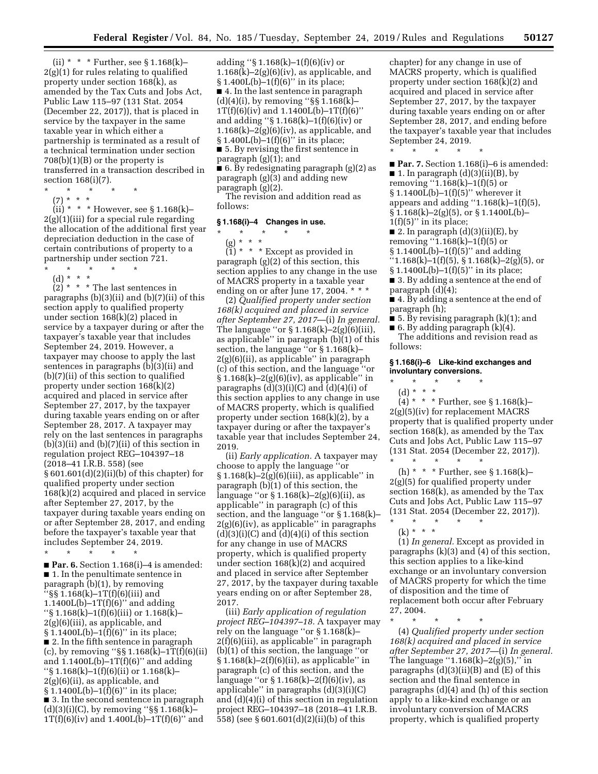(ii)  $* * *$  Further, see § 1.168(k)– 2(g)(1) for rules relating to qualified property under section 168(k), as amended by the Tax Cuts and Jobs Act, Public Law 115–97 (131 Stat. 2054 (December 22, 2017)), that is placed in service by the taxpayer in the same taxable year in which either a partnership is terminated as a result of a technical termination under section 708(b)(1)(B) or the property is transferred in a transaction described in section 168(i)(7).

- \* \* \* \* \*
- $(7) * * * *$

(ii) \* \* \* However, see § 1.168(k)–  $2(g)(1)(iii)$  for a special rule regarding the allocation of the additional first year depreciation deduction in the case of certain contributions of property to a partnership under section 721.  $\star$   $\star$   $\star$   $\star$ 

- (d) \* \* \*
- 

 $(2)$  \* \* \* The last sentences in paragraphs (b)(3)(ii) and (b)(7)(ii) of this section apply to qualified property under section 168(k)(2) placed in service by a taxpayer during or after the taxpayer's taxable year that includes September 24, 2019. However, a taxpayer may choose to apply the last sentences in paragraphs (b)(3)(ii) and (b)(7)(ii) of this section to qualified property under section 168(k)(2) acquired and placed in service after September 27, 2017, by the taxpayer during taxable years ending on or after September 28, 2017. A taxpayer may rely on the last sentences in paragraphs (b)(3)(ii) and (b)(7)(ii) of this section in regulation project REG–104397–18 (2018–41 I.R.B. 558) (see § 601.601(d)(2)(ii)(b) of this chapter) for qualified property under section 168(k)(2) acquired and placed in service after September 27, 2017, by the taxpayer during taxable years ending on or after September 28, 2017, and ending before the taxpayer's taxable year that includes September 24, 2019.

\* \* \* \* \*

■ **Par. 6.** Section 1.168(i)–4 is amended: ■ 1. In the penultimate sentence in paragraph (b)(1), by removing  $\cdot$  §§ 1.168(k)–1T(f)(6)(iii) and 1.1400 $L(b)$ –1T(f)(6)" and adding ''§ 1.168(k)–1(f)(6)(iii) or 1.168(k)–  $2(g)(6)(iii)$ , as applicable, and § 1.1400L(b)-1(f)(6)" in its place; ■ 2. In the fifth sentence in paragraph (c), by removing " $\S$  1.168(k)–1T(f)(6)(ii) and  $1.1400L(b)-1T(f)(6)$ " and adding ''§ 1.168(k)–1(f)(6)(ii) or 1.168(k)– 2(g)(6)(ii), as applicable, and  $§ 1.1400L(b)-1(f)(6)$ " in its place; ■ 3. In the second sentence in paragraph  $(d)(3)(i)(C)$ , by removing "§§ 1.168 $(k)$ –  $1T(f)(6)(iv)$  and  $1.400L(b)-1T(f)(6)'$  and

adding ''§ 1.168(k)–1(f)(6)(iv) or  $1.168(k)-2(g)(6)(iv)$ , as applicable, and § 1.400L(b)–1(f)(6)'' in its place; ■ 4. In the last sentence in paragraph  $(d)(4)(i)$ , by removing " $\S$ § 1.168 $(k)$ –  $1T(f)(6)(iv)$  and  $1.1400L(b)-1T(f)(6)$ " and adding ''§ 1.168(k)–1(f)(6)(iv) or  $1.168(k)-2(g)(6)(iv)$ , as applicable, and § 1.400L(b)–1(f)(6)'' in its place; ■ 5. By revising the first sentence in paragraph (g)(1); and ■ 6. By redesignating paragraph (g)(2) as paragraph (g)(3) and adding new

paragraph (g)(2). The revision and addition read as

follows:

### **§ 1.168(i)–4 Changes in use.**

\* \* \* \* \* (g) \* \* \*

 $(1)$  \* \* \* Except as provided in paragraph (g)(2) of this section, this section applies to any change in the use of MACRS property in a taxable year ending on or after June 17, 2004. \* \* \*

(2) *Qualified property under section 168(k) acquired and placed in service after September 27, 2017*—(i) *In general.*  The language "or  $\S 1.168(k) - 2(g)(6)(iii)$ , as applicable" in paragraph  $(b)(1)$  of this section, the language ''or § 1.168(k)– 2(g)(6)(ii), as applicable'' in paragraph (c) of this section, and the language ''or  $§ 1.168(k)-2(g)(6)(iv)$ , as applicable" in paragraphs  $(d)(3)(i)(C)$  and  $(d)(4)(i)$  of this section applies to any change in use of MACRS property, which is qualified property under section 168(k)(2), by a taxpayer during or after the taxpayer's taxable year that includes September 24, 2019.

(ii) *Early application.* A taxpayer may choose to apply the language ''or § 1.168(k)–2(g)(6)(iii), as applicable'' in paragraph (b)(1) of this section, the language "or  $\S 1.168(k) - 2(g)(6)(ii)$ , as applicable'' in paragraph (c) of this section, and the language ''or § 1.168(k)– 2(g)(6)(iv), as applicable'' in paragraphs  $(d)(3)(i)(C)$  and  $(d)(4)(i)$  of this section for any change in use of MACRS property, which is qualified property under section 168(k)(2) and acquired and placed in service after September 27, 2017, by the taxpayer during taxable years ending on or after September 28, 2017.

(iii) *Early application of regulation project REG–104397–18.* A taxpayer may rely on the language ''or § 1.168(k)– 2(f)(6)(iii), as applicable'' in paragraph (b)(1) of this section, the language ''or  $§ 1.168(k) - 2(f)(6)(ii)$ , as applicable" in paragraph (c) of this section, and the language ''or § 1.168(k)–2(f)(6)(iv), as applicable'' in paragraphs (d)(3)(i)(C) and (d)(4)(i) of this section in regulation project REG–104397–18 (2018–41 I.R.B. 558) (see § 601.601(d)(2)(ii)(b) of this

chapter) for any change in use of MACRS property, which is qualified property under section 168(k)(2) and acquired and placed in service after September 27, 2017, by the taxpayer during taxable years ending on or after September 28, 2017, and ending before the taxpayer's taxable year that includes September 24, 2019.

\* \* \* \* \* ■ **Par. 7.** Section 1.168(i)–6 is amended:  $\blacksquare$  1. In paragraph (d)(3)(ii)(B), by removing  $(1.168(k)-1(f)(5)$  or  $$1.1400L(b)-1(f)(5)"$  wherever it appears and adding "1.168 $(k)$ –1(f)(5),  $\S 1.168(k) - 2(g)(5)$ , or  $\S 1.1400L(b)$  $1(f)(5)$ " in its place;

■ 2. In paragraph  $(d)(3)(ii)(E)$ , by removing ''1.168(k)–1(f)(5) or  $$1.1400L(b)-1(f)(5)"$  and adding  $"1.168(k)-1(f)(5), § 1.168(k)-2(g)(5), or$ 

- $$1.1400L(b)-1(f)(5)"$  in its place; ■ 3. By adding a sentence at the end of
- paragraph (d)(4);

■ 4. By adding a sentence at the end of paragraph (h);

 $\blacksquare$  5. By revising paragraph (k)(1); and

■ 6. By adding paragraph (k)(4). The additions and revision read as follows:

## **§ 1.168(i)–6 Like-kind exchanges and involuntary conversions.**

- \* \* \* \* \*
	- (d) \* \* \*

 $(4) * * *$  Further, see § 1.168(k)– 2(g)(5)(iv) for replacement MACRS property that is qualified property under section 168(k), as amended by the Tax Cuts and Jobs Act, Public Law 115–97 (131 Stat. 2054 (December 22, 2017)). \* \* \* \* \*

(h) \* \* \* Further, see § 1.168(k)– 2(g)(5) for qualified property under section 168(k), as amended by the Tax Cuts and Jobs Act, Public Law 115–97 (131 Stat. 2054 (December 22, 2017)).

\* \* \* \* \* (k) \* \* \*

(1) *In general.* Except as provided in paragraphs (k)(3) and (4) of this section, this section applies to a like-kind exchange or an involuntary conversion of MACRS property for which the time of disposition and the time of replacement both occur after February 27, 2004.

\* \* \* \* \*

(4) *Qualified property under section 168(k) acquired and placed in service after September 27, 2017*—(i) *In general.*  The language  $(1.168(k)-2(g)(5))$ ," in paragraphs  $(d)(3)(ii)(B)$  and  $(E)$  of this section and the final sentence in paragraphs (d)(4) and (h) of this section apply to a like-kind exchange or an involuntary conversion of MACRS property, which is qualified property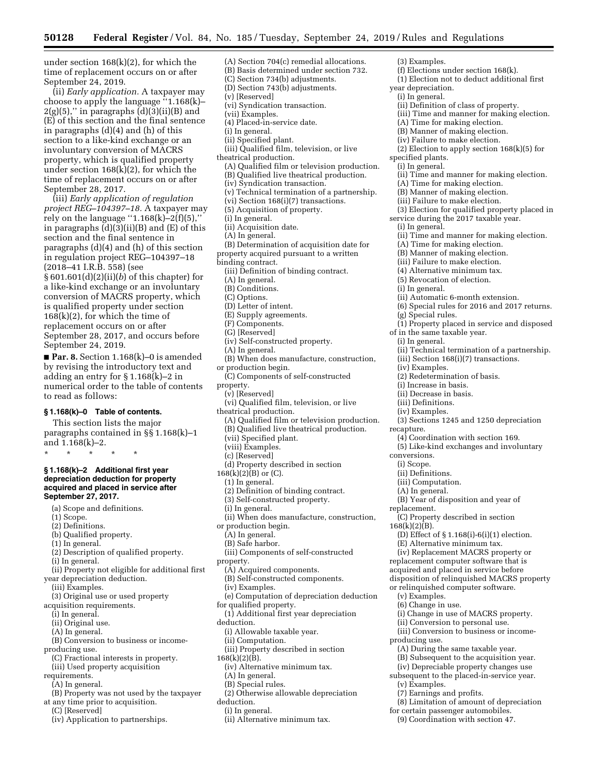under section 168(k)(2), for which the time of replacement occurs on or after September 24, 2019.

(ii) *Early application.* A taxpayer may choose to apply the language ''1.168(k)–  $2(g)(5)$ ," in paragraphs  $(d)(3)(ii)(B)$  and (E) of this section and the final sentence in paragraphs (d)(4) and (h) of this section to a like-kind exchange or an involuntary conversion of MACRS property, which is qualified property under section 168(k)(2), for which the time of replacement occurs on or after September 28, 2017.

(iii) *Early application of regulation project REG–104397–18.* A taxpayer may rely on the language "1.168 $(k)$ –2 $(f)(5)$ ," in paragraphs  $(d)(3)(ii)(B)$  and  $(E)$  of this section and the final sentence in paragraphs (d)(4) and (h) of this section in regulation project REG–104397–18 (2018–41 I.R.B. 558) (see § 601.601(d)(2)(ii)(*b*) of this chapter) for a like-kind exchange or an involuntary conversion of MACRS property, which is qualified property under section 168(k)(2), for which the time of replacement occurs on or after September 28, 2017, and occurs before September 24, 2019.

■ **Par. 8.** Section 1.168(k)–0 is amended by revising the introductory text and adding an entry for § 1.168(k)–2 in numerical order to the table of contents to read as follows:

## **§ 1.168(k)–0 Table of contents.**

This section lists the major paragraphs contained in §§ 1.168(k)–1 and 1.168(k)–2.

\* \* \* \* \*

## **§ 1.168(k)–2 Additional first year depreciation deduction for property acquired and placed in service after September 27, 2017.**

- (a) Scope and definitions.
- (1) Scope.
- (2) Definitions.
- (b) Qualified property.
- (1) In general.
- (2) Description of qualified property.
- (i) In general.
- (ii) Property not eligible for additional first year depreciation deduction.
- (iii) Examples.
- (3) Original use or used property
- acquisition requirements.
	- (i) In general.
	- (ii) Original use.
	- (A) In general.
	-
- (B) Conversion to business or income-
- producing use.
- (C) Fractional interests in property. (iii) Used property acquisition
- requirements.
- (A) In general.
- (B) Property was not used by the taxpayer
- at any time prior to acquisition.
- (C) [Reserved]
- (iv) Application to partnerships.
- (A) Section 704(c) remedial allocations. (B) Basis determined under section 732. (C) Section 734(b) adjustments. (D) Section 743(b) adjustments. (v) [Reserved] (vi) Syndication transaction. (vii) Examples. (4) Placed-in-service date. (i) In general. (ii) Specified plant. (iii) Qualified film, television, or live theatrical production. (A) Qualified film or television production. (B) Qualified live theatrical production. (iv) Syndication transaction. (v) Technical termination of a partnership. (vi) Section 168(i)(7) transactions. (5) Acquisition of property. (i) In general. (ii) Acquisition date. (A) In general. (B) Determination of acquisition date for property acquired pursuant to a written binding contract. (iii) Definition of binding contract. (A) In general. (B) Conditions.
	- (C) Options.
	-
	- (D) Letter of intent. (E) Supply agreements.
	- (F) Components.
	- (G) [Reserved]
	-
	- (iv) Self-constructed property.
	- (A) In general.
	- (B) When does manufacture, construction, or production begin.
	- (C) Components of self-constructed
	- property.
	- (v) [Reserved]
	- (vi) Qualified film, television, or live
	- theatrical production.
		- (A) Qualified film or television production.
		- (B) Qualified live theatrical production.
		- (vii) Specified plant.
		- (viii) Examples.
		- (c) [Reserved]
		- (d) Property described in section
	- $168(k)(2)(B)$  or (C).
		- (1) In general.
	- (2) Definition of binding contract.
	- (3) Self-constructed property.
	- (i) In general.
	- (ii) When does manufacture, construction,
	- or production begin.
		- (A) In general.
		- (B) Safe harbor.
	- (iii) Components of self-constructed
	- property.
	- (A) Acquired components.
	- (B) Self-constructed components.
	- (iv) Examples.
	- (e) Computation of depreciation deduction
	- for qualified property.
	- (1) Additional first year depreciation
	- deduction.
		- (i) Allowable taxable year.
		- (ii) Computation.
		- (iii) Property described in section
	- $168(k)(2)(B)$ .
		- (iv) Alternative minimum tax.
		- (A) In general.
	- (B) Special rules.
	- (2) Otherwise allowable depreciation
	- deduction.
		- (i) In general.
		- (ii) Alternative minimum tax.
- (3) Examples. (f) Elections under section 168(k). (1) Election not to deduct additional first year depreciation. (i) In general. (ii) Definition of class of property. (iii) Time and manner for making election. (A) Time for making election. (B) Manner of making election. (iv) Failure to make election. (2) Election to apply section 168(k)(5) for specified plants. (i) In general. (ii) Time and manner for making election. (A) Time for making election. (B) Manner of making election. (iii) Failure to make election. (3) Election for qualified property placed in service during the 2017 taxable year. (i) In general. (ii) Time and manner for making election. (A) Time for making election. (B) Manner of making election. (iii) Failure to make election. (4) Alternative minimum tax. (5) Revocation of election. (i) In general. (ii) Automatic 6-month extension. (6) Special rules for 2016 and 2017 returns. (g) Special rules. (1) Property placed in service and disposed of in the same taxable year. (i) In general. (ii) Technical termination of a partnership. (iii) Section 168(i)(7) transactions. (iv) Examples. (2) Redetermination of basis. (i) Increase in basis. (ii) Decrease in basis. (iii) Definitions. (iv) Examples. (3) Sections 1245 and 1250 depreciation recapture. (4) Coordination with section 169. (5) Like-kind exchanges and involuntary conversions. (i) Scope. (ii) Definitions. (iii) Computation. (A) In general. (B) Year of disposition and year of replacement. (C) Property described in section  $168(k)(2)$  $(B)$ . (D) Effect of § 1.168(i)-6(i)(1) election. (E) Alternative minimum tax. (iv) Replacement MACRS property or replacement computer software that is acquired and placed in service before disposition of relinquished MACRS property or relinquished computer software. (v) Examples. (6) Change in use. (i) Change in use of MACRS property. (ii) Conversion to personal use. (iii) Conversion to business or incomeproducing use. (A) During the same taxable year. (B) Subsequent to the acquisition year. (iv) Depreciable property changes use subsequent to the placed-in-service year.
	- (v) Examples.
	- (7) Earnings and profits.
- (8) Limitation of amount of depreciation for certain passenger automobiles.
- 
- (9) Coordination with section 47.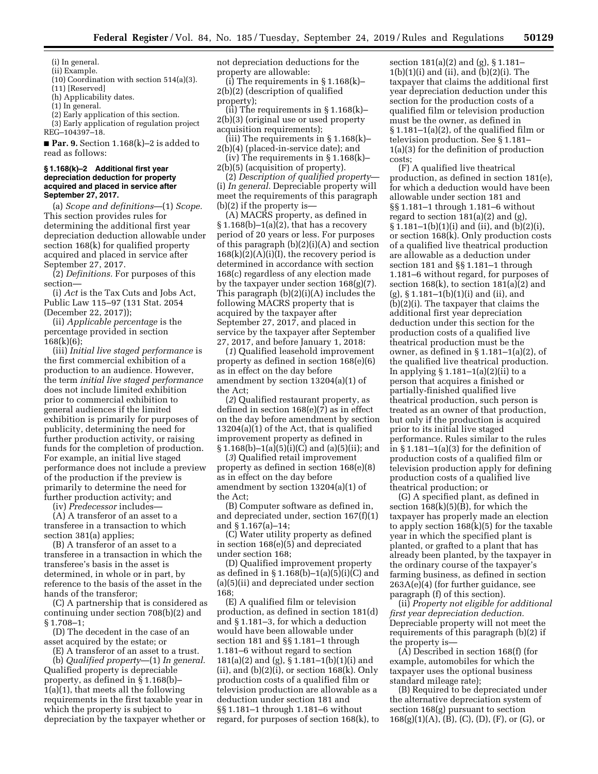(i) In general. (ii) Example.

(10) Coordination with section 514(a)(3).

(11) [Reserved]

(h) Applicability dates.

(1) In general.

(2) Early application of this section.

(3) Early application of regulation project

REG–104397–18. ■ **Par. 9.** Section 1.168(k)–2 is added to

read as follows:

#### **§ 1.168(k)–2 Additional first year depreciation deduction for property acquired and placed in service after September 27, 2017.**

(a) *Scope and definitions*—(1) *Scope.*  This section provides rules for determining the additional first year depreciation deduction allowable under section 168(k) for qualified property acquired and placed in service after September 27, 2017.

(2) *Definitions.* For purposes of this section—

(i) *Act* is the Tax Cuts and Jobs Act, Public Law 115–97 (131 Stat. 2054 (December 22, 2017));

(ii) *Applicable percentage* is the percentage provided in section 168(k)(6);

(iii) *Initial live staged performance* is the first commercial exhibition of a production to an audience. However, the term *initial live staged performance*  does not include limited exhibition prior to commercial exhibition to general audiences if the limited exhibition is primarily for purposes of publicity, determining the need for further production activity, or raising funds for the completion of production. For example, an initial live staged performance does not include a preview of the production if the preview is primarily to determine the need for further production activity; and

(iv) *Predecessor* includes—

(A) A transferor of an asset to a transferee in a transaction to which section 381(a) applies;

(B) A transferor of an asset to a transferee in a transaction in which the transferee's basis in the asset is determined, in whole or in part, by reference to the basis of the asset in the hands of the transferor;

(C) A partnership that is considered as continuing under section 708(b)(2) and § 1.708–1;

(D) The decedent in the case of an asset acquired by the estate; or

(E) A transferor of an asset to a trust.

(b) *Qualified property*—(1) *In general.*  Qualified property is depreciable property, as defined in § 1.168(b)– 1(a)(1), that meets all the following requirements in the first taxable year in which the property is subject to depreciation by the taxpayer whether or

not depreciation deductions for the property are allowable:

(i) The requirements in  $\S 1.168(k)$ – 2(b)(2) (description of qualified property);

(ii) The requirements in  $\S 1.168(k)$ – 2(b)(3) (original use or used property acquisition requirements);

(iii) The requirements in  $\S 1.168(k)$ – 2(b)(4) (placed-in-service date); and

(iv) The requirements in § 1.168(k)– 2(b)(5) (acquisition of property).

(2) *Description of qualified property*— (i) *In general.* Depreciable property will meet the requirements of this paragraph (b)(2) if the property is—

(A) MACRS property, as defined in  $§ 1.168(b)-1(a)(2),$  that has a recovery period of 20 years or less. For purposes of this paragraph (b)(2)(i)(A) and section  $168(k)(2)(A)(i)(I)$ , the recovery period is determined in accordance with section 168(c) regardless of any election made by the taxpayer under section 168(g)(7). This paragraph (b)(2)(i)(A) includes the following MACRS property that is acquired by the taxpayer after September 27, 2017, and placed in service by the taxpayer after September 27, 2017, and before January 1, 2018:

(*1*) Qualified leasehold improvement property as defined in section 168(e)(6) as in effect on the day before amendment by section 13204(a)(1) of the Act;

(*2*) Qualified restaurant property, as defined in section 168(e)(7) as in effect on the day before amendment by section 13204(a)(1) of the Act, that is qualified improvement property as defined in  $\S 1.168(b) - 1(a)(5)(i)(C)$  and  $(a)(5)(ii)$ ; and

(*3*) Qualified retail improvement property as defined in section 168(e)(8) as in effect on the day before amendment by section 13204(a)(1) of the Act;

(B) Computer software as defined in, and depreciated under, section 167(f)(1) and § 1.167(a)–14;

(C) Water utility property as defined in section 168(e)(5) and depreciated under section 168;

(D) Qualified improvement property as defined in  $\S 1.168(b) - 1(a)(5)(i)(C)$  and (a)(5)(ii) and depreciated under section 168;

(E) A qualified film or television production, as defined in section 181(d) and § 1.181–3, for which a deduction would have been allowable under section 181 and §§ 1.181–1 through 1.181–6 without regard to section 181(a)(2) and (g), § 1.181–1(b)(1)(i) and  $(ii)$ , and  $(b)(2)(i)$ , or section 168 $(k)$ . Only production costs of a qualified film or television production are allowable as a deduction under section 181 and §§ 1.181–1 through 1.181–6 without regard, for purposes of section 168(k), to

section 181(a)(2) and (g), § 1.181–  $1(b)(1)(i)$  and (ii), and  $(b)(2)(i)$ . The taxpayer that claims the additional first year depreciation deduction under this section for the production costs of a qualified film or television production must be the owner, as defined in § 1.181–1(a)(2), of the qualified film or television production. See § 1.181– 1(a)(3) for the definition of production costs;

(F) A qualified live theatrical production, as defined in section 181(e), for which a deduction would have been allowable under section 181 and §§ 1.181–1 through 1.181–6 without regard to section  $181(a)(2)$  and  $(g)$ ,  $\S 1.181-1(b)(1)(i)$  and (ii), and (b)(2)(i), or section 168(k). Only production costs of a qualified live theatrical production are allowable as a deduction under section 181 and §§ 1.181–1 through 1.181–6 without regard, for purposes of section  $168(k)$ , to section  $181(a)(2)$  and (g), § 1.181–1(b)(1)(i) and (ii), and (b)(2)(i). The taxpayer that claims the additional first year depreciation deduction under this section for the production costs of a qualified live theatrical production must be the owner, as defined in § 1.181–1(a)(2), of the qualified live theatrical production. In applying  $\S 1.181-1(a)(2)(ii)$  to a person that acquires a finished or partially-finished qualified live theatrical production, such person is treated as an owner of that production, but only if the production is acquired prior to its initial live staged performance. Rules similar to the rules in § 1.181–1(a)(3) for the definition of production costs of a qualified film or television production apply for defining production costs of a qualified live theatrical production; or

(G) A specified plant, as defined in section  $168(k)(5)(B)$ , for which the taxpayer has properly made an election to apply section  $168(k)(5)$  for the taxable year in which the specified plant is planted, or grafted to a plant that has already been planted, by the taxpayer in the ordinary course of the taxpayer's farming business, as defined in section 263A(e)(4) (for further guidance, see paragraph (f) of this section).

(ii) *Property not eligible for additional first year depreciation deduction.*  Depreciable property will not meet the requirements of this paragraph (b)(2) if the property is—

(A) Described in section 168(f) (for example, automobiles for which the taxpayer uses the optional business standard mileage rate);

(B) Required to be depreciated under the alternative depreciation system of section 168(g) pursuant to section  $168(g)(1)(A), (B), (C), (D), (F),$  or  $(G),$  or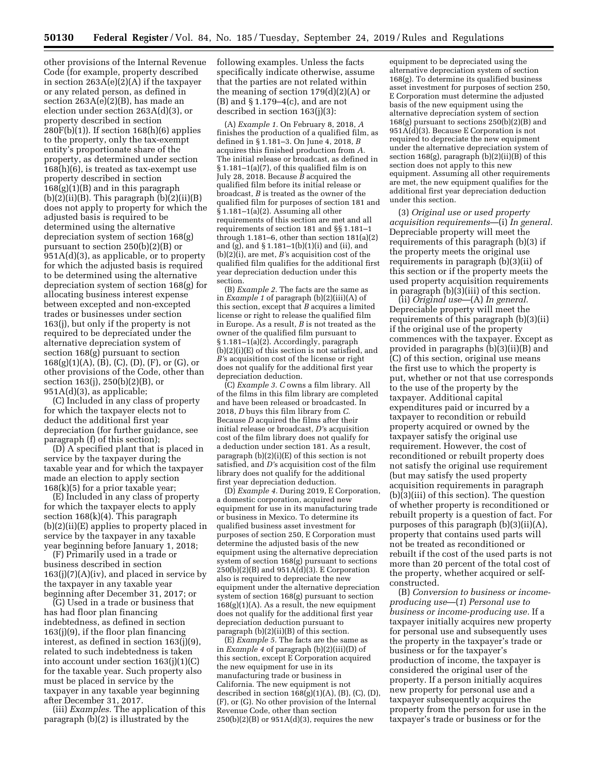other provisions of the Internal Revenue Code (for example, property described in section 263A(e)(2)(A) if the taxpayer or any related person, as defined in section  $263A(e)(2)(B)$ , has made an election under section 263A(d)(3), or property described in section 280F(b)(1)). If section 168(h)(6) applies to the property, only the tax-exempt entity's proportionate share of the property, as determined under section 168(h)(6), is treated as tax-exempt use property described in section  $168(g)(1)(B)$  and in this paragraph  $(b)(2)(ii)(B)$ . This paragraph  $(b)(2)(ii)(B)$ does not apply to property for which the adjusted basis is required to be determined using the alternative depreciation system of section 168(g) pursuant to section 250(b)(2)(B) or 951A(d)(3), as applicable, or to property for which the adjusted basis is required to be determined using the alternative depreciation system of section 168(g) for allocating business interest expense between excepted and non-excepted trades or businesses under section 163(j), but only if the property is not required to be depreciated under the alternative depreciation system of section 168(g) pursuant to section  $168(g)(1)(A), (B), (C), (D), (F), or (G), or$ other provisions of the Code, other than section 163(j), 250(b)(2)(B), or 951A(d)(3), as applicable;

(C) Included in any class of property for which the taxpayer elects not to deduct the additional first year depreciation (for further guidance, see paragraph (f) of this section);

(D) A specified plant that is placed in service by the taxpayer during the taxable year and for which the taxpayer made an election to apply section 168(k)(5) for a prior taxable year;

(E) Included in any class of property for which the taxpayer elects to apply section 168(k)(4). This paragraph (b)(2)(ii)(E) applies to property placed in service by the taxpayer in any taxable year beginning before January 1, 2018;

(F) Primarily used in a trade or business described in section  $163(j)(7)(A)(iv)$ , and placed in service by the taxpayer in any taxable year beginning after December 31, 2017; or

(G) Used in a trade or business that has had floor plan financing indebtedness, as defined in section 163(j)(9), if the floor plan financing interest, as defined in section 163(j)(9), related to such indebtedness is taken into account under section 163(j)(1)(C) for the taxable year. Such property also must be placed in service by the taxpayer in any taxable year beginning after December 31, 2017.

(iii) *Examples.* The application of this paragraph (b)(2) is illustrated by the

following examples. Unless the facts specifically indicate otherwise, assume that the parties are not related within the meaning of section 179(d)(2)(A) or (B) and § 1.179–4(c), and are not described in section 163(j)(3):

(A) *Example 1.* On February 8, 2018, *A*  finishes the production of a qualified film, as defined in § 1.181–3. On June 4, 2018, *B*  acquires this finished production from *A.*  The initial release or broadcast, as defined in § 1.181–1(a)(7), of this qualified film is on July 28, 2018. Because *B* acquired the qualified film before its initial release or broadcast, *B* is treated as the owner of the qualified film for purposes of section 181 and § 1.181–1(a)(2). Assuming all other requirements of this section are met and all requirements of section 181 and §§ 1.181–1 through 1.181–6, other than section 181(a)(2) and  $(g)$ , and  $\S 1.181 - 1(b)(1)(i)$  and  $(ii)$ , and (b)(2)(i), are met, *B'*s acquisition cost of the qualified film qualifies for the additional first year depreciation deduction under this section.

(B) *Example 2.* The facts are the same as in *Example 1* of paragraph (b)(2)(iii)(A) of this section, except that *B* acquires a limited license or right to release the qualified film in Europe. As a result, *B* is not treated as the owner of the qualified film pursuant to § 1.181–1(a)(2). Accordingly, paragraph (b)(2)(i)(E) of this section is not satisfied, and *B'*s acquisition cost of the license or right does not qualify for the additional first year depreciation deduction.

(C) *Example 3. C* owns a film library. All of the films in this film library are completed and have been released or broadcasted. In 2018, *D* buys this film library from *C*. Because *D* acquired the films after their initial release or broadcast, *D'*s acquisition cost of the film library does not qualify for a deduction under section 181. As a result, paragraph (b)(2)(i)(E) of this section is not satisfied, and *D'*s acquisition cost of the film library does not qualify for the additional first year depreciation deduction.

(D) *Example 4.* During 2019, E Corporation, a domestic corporation, acquired new equipment for use in its manufacturing trade or business in Mexico. To determine its qualified business asset investment for purposes of section 250, E Corporation must determine the adjusted basis of the new equipment using the alternative depreciation system of section 168(g) pursuant to sections  $250(b)(2)(B)$  and  $951A(d)(3)$ . E Corporation also is required to depreciate the new equipment under the alternative depreciation system of section 168(g) pursuant to section  $168(g)(1)(A)$ . As a result, the new equipment does not qualify for the additional first year depreciation deduction pursuant to paragraph (b)(2)(ii)(B) of this section.

(E) *Example 5.* The facts are the same as in *Example 4* of paragraph (b)(2)(iii)(D) of this section, except E Corporation acquired the new equipment for use in its manufacturing trade or business in California. The new equipment is not described in section  $168(g)(1)(A)$ , (B), (C), (D), (F), or (G). No other provision of the Internal Revenue Code, other than section  $250(b)(2)(B)$  or  $951A(d)(3)$ , requires the new

equipment to be depreciated using the alternative depreciation system of section 168(g). To determine its qualified business asset investment for purposes of section 250, E Corporation must determine the adjusted basis of the new equipment using the alternative depreciation system of section 168(g) pursuant to sections 250(b)(2)(B) and 951A(d)(3). Because E Corporation is not required to depreciate the new equipment under the alternative depreciation system of section 168(g), paragraph (b)(2)(ii)(B) of this section does not apply to this new equipment. Assuming all other requirements are met, the new equipment qualifies for the additional first year depreciation deduction under this section.

(3) *Original use or used property acquisition requirements*—(i) *In general.*  Depreciable property will meet the requirements of this paragraph (b)(3) if the property meets the original use requirements in paragraph (b)(3)(ii) of this section or if the property meets the used property acquisition requirements in paragraph (b)(3)(iii) of this section.

(ii) *Original use*—(A) *In general.*  Depreciable property will meet the requirements of this paragraph (b)(3)(ii) if the original use of the property commences with the taxpayer. Except as provided in paragraphs (b)(3)(ii)(B) and (C) of this section, original use means the first use to which the property is put, whether or not that use corresponds to the use of the property by the taxpayer. Additional capital expenditures paid or incurred by a taxpayer to recondition or rebuild property acquired or owned by the taxpayer satisfy the original use requirement. However, the cost of reconditioned or rebuilt property does not satisfy the original use requirement (but may satisfy the used property acquisition requirements in paragraph (b)(3)(iii) of this section). The question of whether property is reconditioned or rebuilt property is a question of fact. For purposes of this paragraph (b)(3)(ii)(A), property that contains used parts will not be treated as reconditioned or rebuilt if the cost of the used parts is not more than 20 percent of the total cost of the property, whether acquired or selfconstructed.

(B) *Conversion to business or incomeproducing use*—(*1*) *Personal use to business or income-producing use.* If a taxpayer initially acquires new property for personal use and subsequently uses the property in the taxpayer's trade or business or for the taxpayer's production of income, the taxpayer is considered the original user of the property. If a person initially acquires new property for personal use and a taxpayer subsequently acquires the property from the person for use in the taxpayer's trade or business or for the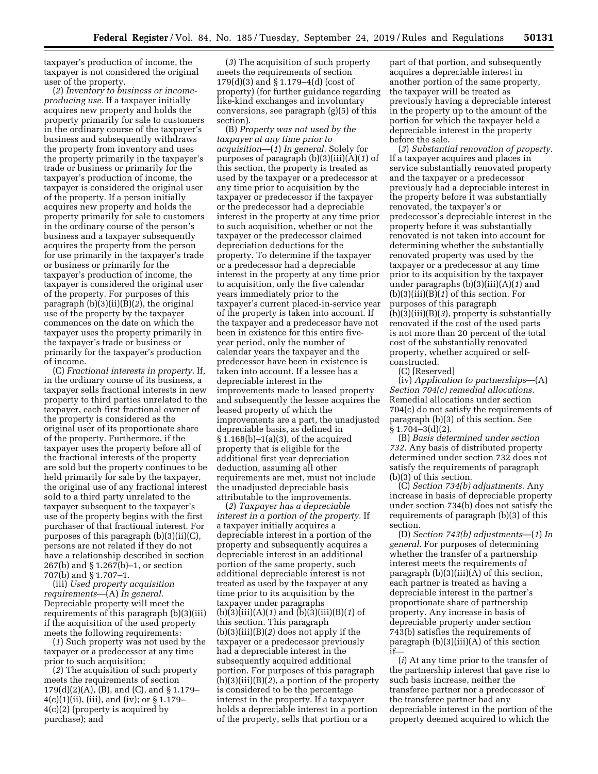taxpayer's production of income, the taxpayer is not considered the original user of the property.

(*2*) *Inventory to business or incomeproducing use.* If a taxpayer initially acquires new property and holds the property primarily for sale to customers in the ordinary course of the taxpayer's business and subsequently withdraws the property from inventory and uses the property primarily in the taxpayer's trade or business or primarily for the taxpayer's production of income, the taxpayer is considered the original user of the property. If a person initially acquires new property and holds the property primarily for sale to customers in the ordinary course of the person's business and a taxpayer subsequently acquires the property from the person for use primarily in the taxpayer's trade or business or primarily for the taxpayer's production of income, the taxpayer is considered the original user of the property. For purposes of this paragraph (b)(3)(ii)(B)(*2*), the original use of the property by the taxpayer commences on the date on which the taxpayer uses the property primarily in the taxpayer's trade or business or primarily for the taxpayer's production of income.

(C) *Fractional interests in property.* If, in the ordinary course of its business, a taxpayer sells fractional interests in new property to third parties unrelated to the taxpayer, each first fractional owner of the property is considered as the original user of its proportionate share of the property. Furthermore, if the taxpayer uses the property before all of the fractional interests of the property are sold but the property continues to be held primarily for sale by the taxpayer, the original use of any fractional interest sold to a third party unrelated to the taxpayer subsequent to the taxpayer's use of the property begins with the first purchaser of that fractional interest. For purposes of this paragraph (b)(3)(ii)(C), persons are not related if they do not have a relationship described in section 267(b) and § 1.267(b)–1, or section 707(b) and § 1.707–1.

(iii) *Used property acquisition requirements*—(A) *In general.*  Depreciable property will meet the requirements of this paragraph (b)(3)(iii) if the acquisition of the used property meets the following requirements:

(*1*) Such property was not used by the taxpayer or a predecessor at any time prior to such acquisition;

(*2*) The acquisition of such property meets the requirements of section 179(d)(2)(A), (B), and (C), and § 1.179– 4(c)(1)(ii), (iii), and (iv); or § 1.179– 4(c)(2) (property is acquired by purchase); and

(*3*) The acquisition of such property meets the requirements of section 179(d)(3) and § 1.179–4(d) (cost of property) (for further guidance regarding like-kind exchanges and involuntary conversions, see paragraph (g)(5) of this section).

(B) *Property was not used by the taxpayer at any time prior to acquisition*—(*1*) *In general.* Solely for purposes of paragraph (b)(3)(iii)(A)(*1*) of this section, the property is treated as used by the taxpayer or a predecessor at any time prior to acquisition by the taxpayer or predecessor if the taxpayer or the predecessor had a depreciable interest in the property at any time prior to such acquisition, whether or not the taxpayer or the predecessor claimed depreciation deductions for the property. To determine if the taxpayer or a predecessor had a depreciable interest in the property at any time prior to acquisition, only the five calendar years immediately prior to the taxpayer's current placed-in-service year of the property is taken into account. If the taxpayer and a predecessor have not been in existence for this entire fiveyear period, only the number of calendar years the taxpayer and the predecessor have been in existence is taken into account. If a lessee has a depreciable interest in the improvements made to leased property and subsequently the lessee acquires the leased property of which the improvements are a part, the unadjusted depreciable basis, as defined in § 1.168(b)–1(a)(3), of the acquired property that is eligible for the additional first year depreciation deduction, assuming all other requirements are met, must not include the unadjusted depreciable basis attributable to the improvements.

(*2*) *Taxpayer has a depreciable interest in a portion of the property.* If a taxpayer initially acquires a depreciable interest in a portion of the property and subsequently acquires a depreciable interest in an additional portion of the same property, such additional depreciable interest is not treated as used by the taxpayer at any time prior to its acquisition by the taxpayer under paragraphs (b)(3)(iii)(A)(*1*) and (b)(3)(iii)(B)(*1*) of this section. This paragraph (b)(3)(iii)(B)(*2*) does not apply if the taxpayer or a predecessor previously had a depreciable interest in the subsequently acquired additional portion. For purposes of this paragraph (b)(3)(iii)(B)(*2*), a portion of the property is considered to be the percentage interest in the property. If a taxpayer holds a depreciable interest in a portion of the property, sells that portion or a

part of that portion, and subsequently acquires a depreciable interest in another portion of the same property, the taxpayer will be treated as previously having a depreciable interest in the property up to the amount of the portion for which the taxpayer held a depreciable interest in the property before the sale.

(*3*) *Substantial renovation of property.*  If a taxpayer acquires and places in service substantially renovated property and the taxpayer or a predecessor previously had a depreciable interest in the property before it was substantially renovated, the taxpayer's or predecessor's depreciable interest in the property before it was substantially renovated is not taken into account for determining whether the substantially renovated property was used by the taxpayer or a predecessor at any time prior to its acquisition by the taxpayer under paragraphs (b)(3)(iii)(A)(*1*) and (b)(3)(iii)(B)(*1*) of this section. For purposes of this paragraph (b)(3)(iii)(B)(*3*), property is substantially renovated if the cost of the used parts is not more than 20 percent of the total cost of the substantially renovated property, whether acquired or selfconstructed.

(C) [Reserved]

(iv) *Application to partnerships*—(A) *Section 704(c) remedial allocations.*  Remedial allocations under section 704(c) do not satisfy the requirements of paragraph (b)(3) of this section. See  $§ 1.704 - 3(d)(2).$ 

(B) *Basis determined under section 732.* Any basis of distributed property determined under section 732 does not satisfy the requirements of paragraph (b)(3) of this section.

(C) *Section 734(b) adjustments.* Any increase in basis of depreciable property under section 734(b) does not satisfy the requirements of paragraph (b)(3) of this section.

(D) *Section 743(b) adjustments*—(*1*) *In general.* For purposes of determining whether the transfer of a partnership interest meets the requirements of paragraph (b)(3)(iii)(A) of this section, each partner is treated as having a depreciable interest in the partner's proportionate share of partnership property. Any increase in basis of depreciable property under section 743(b) satisfies the requirements of paragraph (b)(3)(iii)(A) of this section if—

(*i*) At any time prior to the transfer of the partnership interest that gave rise to such basis increase, neither the transferee partner nor a predecessor of the transferee partner had any depreciable interest in the portion of the property deemed acquired to which the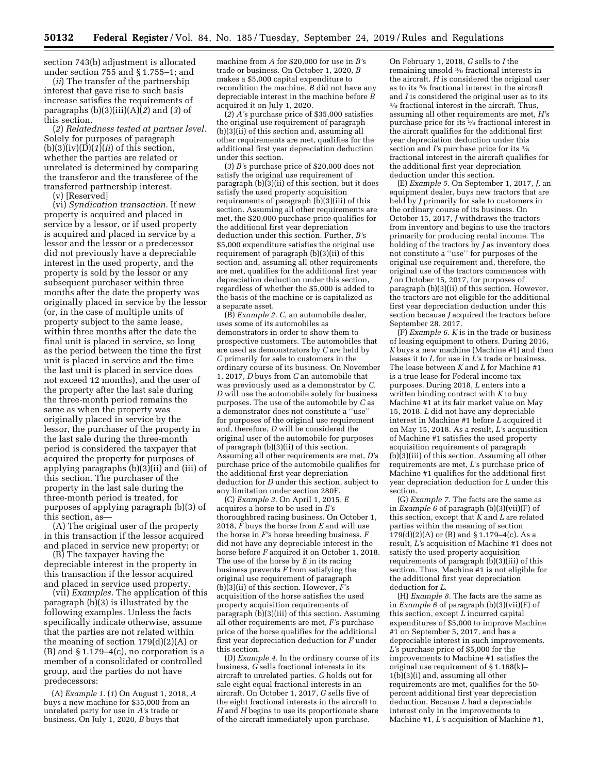section 743(b) adjustment is allocated under section 755 and § 1.755–1; and

(*ii*) The transfer of the partnership interest that gave rise to such basis increase satisfies the requirements of paragraphs (b)(3)(iii)(A)(*2*) and (*3*) of this section.

(*2*) *Relatedness tested at partner level.*  Solely for purposes of paragraph (b)(3)(iv)(D)(*1*)(*ii*) of this section, whether the parties are related or unrelated is determined by comparing the transferor and the transferee of the transferred partnership interest.

(v) [Reserved]

(vi) *Syndication transaction.* If new property is acquired and placed in service by a lessor, or if used property is acquired and placed in service by a lessor and the lessor or a predecessor did not previously have a depreciable interest in the used property, and the property is sold by the lessor or any subsequent purchaser within three months after the date the property was originally placed in service by the lessor (or, in the case of multiple units of property subject to the same lease, within three months after the date the final unit is placed in service, so long as the period between the time the first unit is placed in service and the time the last unit is placed in service does not exceed 12 months), and the user of the property after the last sale during the three-month period remains the same as when the property was originally placed in service by the lessor, the purchaser of the property in the last sale during the three-month period is considered the taxpayer that acquired the property for purposes of applying paragraphs (b)(3)(ii) and (iii) of this section. The purchaser of the property in the last sale during the three-month period is treated, for purposes of applying paragraph (b)(3) of this section, as—

(A) The original user of the property in this transaction if the lessor acquired and placed in service new property; or

(B) The taxpayer having the depreciable interest in the property in this transaction if the lessor acquired and placed in service used property.

(vii) *Examples.* The application of this paragraph (b)(3) is illustrated by the following examples. Unless the facts specifically indicate otherwise, assume that the parties are not related within the meaning of section 179(d)(2)(A) or (B) and § 1.179–4(c), no corporation is a member of a consolidated or controlled group, and the parties do not have predecessors:

(A) *Example 1.* (*1*) On August 1, 2018, *A*  buys a new machine for \$35,000 from an unrelated party for use in *A'*s trade or business. On July 1, 2020, *B* buys that

machine from *A* for \$20,000 for use in *B'*s trade or business. On October 1, 2020, *B*  makes a \$5,000 capital expenditure to recondition the machine. *B* did not have any depreciable interest in the machine before *B*  acquired it on July 1, 2020.

(*2*) *A'*s purchase price of \$35,000 satisfies the original use requirement of paragraph (b)(3)(ii) of this section and, assuming all other requirements are met, qualifies for the additional first year depreciation deduction under this section.

(*3*) *B'*s purchase price of \$20,000 does not satisfy the original use requirement of paragraph (b)(3)(ii) of this section, but it does satisfy the used property acquisition requirements of paragraph (b)(3)(iii) of this section. Assuming all other requirements are met, the \$20,000 purchase price qualifies for the additional first year depreciation deduction under this section. Further, *B'*s \$5,000 expenditure satisfies the original use requirement of paragraph (b)(3)(ii) of this section and, assuming all other requirements are met, qualifies for the additional first year depreciation deduction under this section, regardless of whether the \$5,000 is added to the basis of the machine or is capitalized as a separate asset.

(B) *Example 2. C,* an automobile dealer, uses some of its automobiles as demonstrators in order to show them to prospective customers. The automobiles that are used as demonstrators by *C* are held by *C* primarily for sale to customers in the ordinary course of its business. On November 1, 2017, *D* buys from *C* an automobile that was previously used as a demonstrator by *C. D* will use the automobile solely for business purposes. The use of the automobile by *C* as a demonstrator does not constitute a ''use'' for purposes of the original use requirement and, therefore, *D* will be considered the original user of the automobile for purposes of paragraph (b)(3)(ii) of this section. Assuming all other requirements are met, *D'*s purchase price of the automobile qualifies for the additional first year depreciation deduction for *D* under this section, subject to any limitation under section 280F.

(C) *Example 3.* On April 1, 2015, *E*  acquires a horse to be used in *E'*s thoroughbred racing business. On October 1, 2018, *F* buys the horse from *E* and will use the horse in *F'*s horse breeding business. *F*  did not have any depreciable interest in the horse before *F* acquired it on October 1, 2018. The use of the horse by *E* in its racing business prevents *F* from satisfying the original use requirement of paragraph (b)(3)(ii) of this section. However, *F'*s acquisition of the horse satisfies the used property acquisition requirements of paragraph (b)(3)(iii) of this section. Assuming all other requirements are met, *F'*s purchase price of the horse qualifies for the additional first year depreciation deduction for *F* under this section.

(D) *Example 4.* In the ordinary course of its business, *G* sells fractional interests in its aircraft to unrelated parties. *G* holds out for sale eight equal fractional interests in an aircraft. On October 1, 2017, *G* sells five of the eight fractional interests in the aircraft to *H* and *H* begins to use its proportionate share of the aircraft immediately upon purchase.

On February 1, 2018, *G* sells to *I* the remaining unsold 3⁄8 fractional interests in the aircraft. *H* is considered the original user as to its 5⁄8 fractional interest in the aircraft and  $I$  is considered the original user as to its  $\frac{3}{6}$  fractional interest in the aircraft. Thus, assuming all other requirements are met, *H'*s purchase price for its 5⁄8 fractional interest in the aircraft qualifies for the additional first year depreciation deduction under this section and *I'*s purchase price for its 3⁄8 fractional interest in the aircraft qualifies for the additional first year depreciation deduction under this section.

(E) *Example 5.* On September 1, 2017, *J,* an equipment dealer, buys new tractors that are held by *J* primarily for sale to customers in the ordinary course of its business. On October 15, 2017, *J* withdraws the tractors from inventory and begins to use the tractors primarily for producing rental income. The holding of the tractors by *J* as inventory does not constitute a ''use'' for purposes of the original use requirement and, therefore, the original use of the tractors commences with *J* on October 15, 2017, for purposes of paragraph (b)(3)(ii) of this section. However, the tractors are not eligible for the additional first year depreciation deduction under this section because *J* acquired the tractors before September 28, 2017.

(F) *Example 6. K* is in the trade or business of leasing equipment to others. During 2016, *K* buys a new machine (Machine #1) and then leases it to *L* for use in *L'*s trade or business. The lease between *K* and *L* for Machine #1 is a true lease for Federal income tax purposes. During 2018, *L* enters into a written binding contract with *K* to buy Machine #1 at its fair market value on May 15, 2018. *L* did not have any depreciable interest in Machine #1 before *L* acquired it on May 15, 2018. As a result, *L'*s acquisition of Machine #1 satisfies the used property acquisition requirements of paragraph  $(b)(3)(iii)$  of this section. Assuming all other requirements are met, *L'*s purchase price of Machine #1 qualifies for the additional first year depreciation deduction for *L* under this section.

(G) *Example 7.* The facts are the same as in *Example 6* of paragraph (b)(3)(vii)(F) of this section, except that *K* and *L* are related parties within the meaning of section  $179(d)(2)(A)$  or (B) and § 1.179–4(c). As a result, *L'*s acquisition of Machine #1 does not satisfy the used property acquisition requirements of paragraph (b)(3)(iii) of this section. Thus, Machine #1 is not eligible for the additional first year depreciation deduction for *L.* 

(H) *Example 8.* The facts are the same as in *Example 6* of paragraph (b)(3)(vii)(F) of this section, except *L* incurred capital expenditures of \$5,000 to improve Machine #1 on September 5, 2017, and has a depreciable interest in such improvements. *L'*s purchase price of \$5,000 for the improvements to Machine #1 satisfies the original use requirement of § 1.168(k)– 1(b)(3)(i) and, assuming all other requirements are met, qualifies for the 50 percent additional first year depreciation deduction. Because *L* had a depreciable interest only in the improvements to Machine #1, *L'*s acquisition of Machine #1,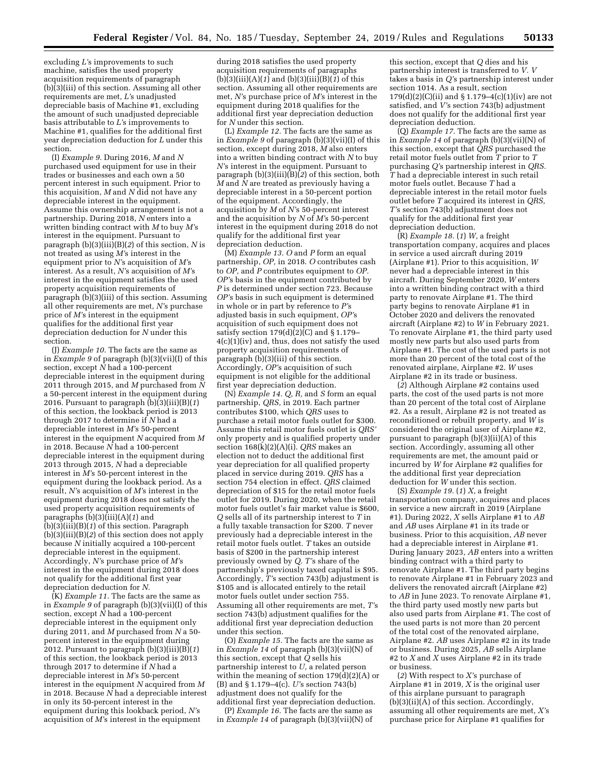excluding *L'*s improvements to such machine, satisfies the used property acquisition requirements of paragraph (b)(3)(iii) of this section. Assuming all other requirements are met, *L'*s unadjusted depreciable basis of Machine #1, excluding the amount of such unadjusted depreciable basis attributable to *L'*s improvements to Machine #1, qualifies for the additional first year depreciation deduction for *L* under this section.

(I) *Example 9.* During 2016, *M* and *N*  purchased used equipment for use in their trades or businesses and each own a 50 percent interest in such equipment. Prior to this acquisition, *M* and *N* did not have any depreciable interest in the equipment. Assume this ownership arrangement is not a partnership. During 2018, *N* enters into a written binding contract with *M* to buy *M'*s interest in the equipment. Pursuant to paragraph (b)(3)(iii)(B)(*2*) of this section, *N* is not treated as using *M'*s interest in the equipment prior to *N'*s acquisition of *M'*s interest. As a result, *N'*s acquisition of *M'*s interest in the equipment satisfies the used property acquisition requirements of paragraph (b)(3)(iii) of this section. Assuming all other requirements are met, *N'*s purchase price of *M'*s interest in the equipment qualifies for the additional first year depreciation deduction for *N* under this section.

(J) *Example 10.* The facts are the same as in *Example 9* of paragraph (b)(3)(vii)(I) of this section, except *N* had a 100-percent depreciable interest in the equipment during 2011 through 2015, and *M* purchased from *N*  a 50-percent interest in the equipment during 2016. Pursuant to paragraph  $(b)(3)(iii)(B)(1)$ of this section, the lookback period is 2013 through 2017 to determine if *N* had a depreciable interest in *M'*s 50-percent interest in the equipment *N* acquired from *M*  in 2018. Because *N* had a 100-percent depreciable interest in the equipment during 2013 through 2015, *N* had a depreciable interest in *M'*s 50-percent interest in the equipment during the lookback period. As a result, *N'*s acquisition of *M'*s interest in the equipment during 2018 does not satisfy the used property acquisition requirements of paragraphs (b)(3)(iii)(A)(*1*) and (b)(3)(iii)(B)(*1*) of this section. Paragraph (b)(3)(iii)(B)(*2*) of this section does not apply because *N* initially acquired a 100-percent depreciable interest in the equipment. Accordingly, *N'*s purchase price of *M'*s interest in the equipment during 2018 does not qualify for the additional first year depreciation deduction for *N.* 

(K) *Example 11.* The facts are the same as in *Example 9* of paragraph (b)(3)(vii)(I) of this section, except *N* had a 100-percent depreciable interest in the equipment only during 2011, and *M* purchased from *N* a 50 percent interest in the equipment during 2012. Pursuant to paragraph (b)(3)(iii)(B)(*1*) of this section, the lookback period is 2013 through 2017 to determine if *N* had a depreciable interest in *M'*s 50-percent interest in the equipment *N* acquired from *M*  in 2018. Because *N* had a depreciable interest in only its 50-percent interest in the equipment during this lookback period, *N'*s acquisition of *M'*s interest in the equipment

during 2018 satisfies the used property acquisition requirements of paragraphs  $(b)(3)(iii)(A)(1)$  and  $(b)(3)(iii)(B)(1)$  of this section. Assuming all other requirements are met, *N'*s purchase price of *M'*s interest in the equipment during 2018 qualifies for the additional first year depreciation deduction for *N* under this section.

(L) *Example 12.* The facts are the same as in *Example 9* of paragraph (b)(3)(vii)(I) of this section, except during 2018, *M* also enters into a written binding contract with *N* to buy *N'*s interest in the equipment. Pursuant to paragraph (b)(3)(iii)(B)(*2*) of this section, both  $\dot{M}$  and  $\dot{N}$  are treated as previously having a depreciable interest in a 50-percent portion of the equipment. Accordingly, the acquisition by *M* of *N'*s 50-percent interest and the acquisition by *N* of *M'*s 50-percent interest in the equipment during 2018 do not qualify for the additional first year depreciation deduction.

(M) *Example 13. O* and *P* form an equal partnership, *OP,* in 2018. *O* contributes cash to *OP,* and *P* contributes equipment to *OP. OP'*s basis in the equipment contributed by *P* is determined under section 723. Because *OP'*s basis in such equipment is determined in whole or in part by reference to *P'*s adjusted basis in such equipment, *OP'*s acquisition of such equipment does not satisfy section  $179(d)(2)(C)$  and § 1.179– 4(c)(1)(iv) and, thus, does not satisfy the used property acquisition requirements of paragraph (b)(3)(iii) of this section. Accordingly, *OP'*s acquisition of such equipment is not eligible for the additional first year depreciation deduction.

(N) *Example 14. Q, R,* and *S* form an equal partnership, *QRS,* in 2019. Each partner contributes \$100, which *QRS* uses to purchase a retail motor fuels outlet for \$300. Assume this retail motor fuels outlet is *QRS'*  only property and is qualified property under section 168(k)(2)(A)(i). *QRS* makes an election not to deduct the additional first year depreciation for all qualified property placed in service during 2019. *QRS* has a section 754 election in effect. *QRS* claimed depreciation of \$15 for the retail motor fuels outlet for 2019. During 2020, when the retail motor fuels outlet's fair market value is \$600, *Q* sells all of its partnership interest to *T* in a fully taxable transaction for \$200. *T* never previously had a depreciable interest in the retail motor fuels outlet. *T* takes an outside basis of \$200 in the partnership interest previously owned by *Q. T'*s share of the partnership's previously taxed capital is \$95. Accordingly, *T'*s section 743(b) adjustment is \$105 and is allocated entirely to the retail motor fuels outlet under section 755. Assuming all other requirements are met, *T'*s section 743(b) adjustment qualifies for the additional first year depreciation deduction under this section.

(O) *Example 15.* The facts are the same as in *Example 14* of paragraph (b)(3)(vii)(N) of this section, except that *Q* sells his partnership interest to *U,* a related person within the meaning of section  $179(\hat{d})(2)(A)$  or (B) and § 1.179–4(c). *U'*s section 743(b) adjustment does not qualify for the additional first year depreciation deduction.

(P) *Example 16.* The facts are the same as in *Example 14* of paragraph (b)(3)(vii)(N) of this section, except that *Q* dies and his partnership interest is transferred to *V. V*  takes a basis in *Q'*s partnership interest under section 1014. As a result, section 179(d)(2)(C)(ii) and § 1.179-4(c)(1)(iv) are not satisfied, and *V'*s section 743(b) adjustment does not qualify for the additional first year depreciation deduction.

(Q) *Example 17.* The facts are the same as in *Example 14* of paragraph (b)(3)(vii)(N) of this section, except that *QRS* purchased the retail motor fuels outlet from *T* prior to *T*  purchasing *Q'*s partnership interest in *QRS. T* had a depreciable interest in such retail motor fuels outlet. Because *T* had a depreciable interest in the retail motor fuels outlet before *T* acquired its interest in *QRS, T'*s section 743(b) adjustment does not qualify for the additional first year depreciation deduction.

(R) *Example 18.* (*1*) *W,* a freight transportation company, acquires and places in service a used aircraft during 2019 (Airplane #1). Prior to this acquisition, *W*  never had a depreciable interest in this aircraft. During September 2020, *W* enters into a written binding contract with a third party to renovate Airplane #1. The third party begins to renovate Airplane #1 in October 2020 and delivers the renovated aircraft (Airplane #2) to *W* in February 2021. To renovate Airplane #1, the third party used mostly new parts but also used parts from Airplane #1. The cost of the used parts is not more than 20 percent of the total cost of the renovated airplane, Airplane #2. *W* uses Airplane #2 in its trade or business.

(*2*) Although Airplane #2 contains used parts, the cost of the used parts is not more than 20 percent of the total cost of Airplane #2. As a result, Airplane #2 is not treated as reconditioned or rebuilt property, and *W* is considered the original user of Airplane #2, pursuant to paragraph (b)(3)(ii)(A) of this section. Accordingly, assuming all other requirements are met, the amount paid or incurred by *W* for Airplane #2 qualifies for the additional first year depreciation deduction for *W* under this section.

(S) *Example 19.* (*1*) *X,* a freight transportation company, acquires and places in service a new aircraft in 2019 (Airplane #1). During 2022, *X* sells Airplane #1 to *AB*  and *AB* uses Airplane #1 in its trade or business. Prior to this acquisition, *AB* never had a depreciable interest in Airplane #1. During January 2023, *AB* enters into a written binding contract with a third party to renovate Airplane #1. The third party begins to renovate Airplane #1 in February 2023 and delivers the renovated aircraft (Airplane #2) to *AB* in June 2023. To renovate Airplane #1, the third party used mostly new parts but also used parts from Airplane #1. The cost of the used parts is not more than 20 percent of the total cost of the renovated airplane, Airplane #2. *AB* uses Airplane #2 in its trade or business. During 2025, *AB* sells Airplane #2 to *X* and *X* uses Airplane #2 in its trade or business.

(*2*) With respect to *X'*s purchase of Airplane #1 in 2019, *X* is the original user of this airplane pursuant to paragraph (b)(3)(ii)(A) of this section. Accordingly, assuming all other requirements are met, *X'*s purchase price for Airplane #1 qualifies for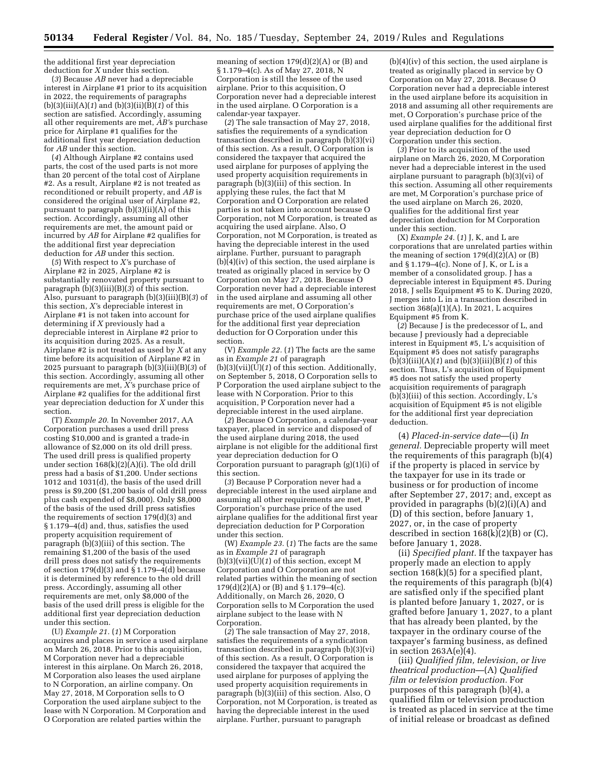the additional first year depreciation deduction for *X* under this section.

(*3*) Because *AB* never had a depreciable interest in Airplane #1 prior to its acquisition in 2022, the requirements of paragraphs (b)(3)(iii)(A)(*1*) and (b)(3)(ii)(B)(*1*) of this section are satisfied. Accordingly, assuming all other requirements are met, *AB'*s purchase price for Airplane #1 qualifies for the additional first year depreciation deduction for *AB* under this section.

(*4*) Although Airplane #2 contains used parts, the cost of the used parts is not more than 20 percent of the total cost of Airplane #2. As a result, Airplane #2 is not treated as reconditioned or rebuilt property, and *AB* is considered the original user of Airplane #2, pursuant to paragraph (b)(3)(ii)(A) of this section. Accordingly, assuming all other requirements are met, the amount paid or incurred by *AB* for Airplane #2 qualifies for the additional first year depreciation deduction for *AB* under this section.

(*5*) With respect to *X'*s purchase of Airplane #2 in 2025, Airplane #2 is substantially renovated property pursuant to paragraph  $(b)(3)(iii)(B)(\overline{3})$  of this section. Also, pursuant to paragraph (b)(3)(iii)(B)(*3*) of this section, *X'*s depreciable interest in Airplane #1 is not taken into account for determining if *X* previously had a depreciable interest in Airplane #2 prior to its acquisition during 2025. As a result, Airplane #2 is not treated as used by *X* at any time before its acquisition of Airplane #2 in 2025 pursuant to paragraph (b)(3)(iii)(B)(*3*) of this section. Accordingly, assuming all other requirements are met, *X'*s purchase price of Airplane #2 qualifies for the additional first year depreciation deduction for *X* under this section.

(T) *Example 20.* In November 2017, AA Corporation purchases a used drill press costing \$10,000 and is granted a trade-in allowance of \$2,000 on its old drill press. The used drill press is qualified property under section 168(k)(2)(A)(i). The old drill press had a basis of \$1,200. Under sections 1012 and 1031(d), the basis of the used drill press is \$9,200 (\$1,200 basis of old drill press plus cash expended of \$8,000). Only \$8,000 of the basis of the used drill press satisfies the requirements of section 179(d)(3) and § 1.179–4(d) and, thus, satisfies the used property acquisition requirement of paragraph (b)(3)(iii) of this section. The remaining \$1,200 of the basis of the used drill press does not satisfy the requirements of section 179(d)(3) and § 1.179-4(d) because it is determined by reference to the old drill press. Accordingly, assuming all other requirements are met, only \$8,000 of the basis of the used drill press is eligible for the additional first year depreciation deduction under this section.

(U) *Example 21.* (*1*) M Corporation acquires and places in service a used airplane on March 26, 2018. Prior to this acquisition, M Corporation never had a depreciable interest in this airplane. On March 26, 2018, M Corporation also leases the used airplane to N Corporation, an airline company. On May 27, 2018, M Corporation sells to O Corporation the used airplane subject to the lease with N Corporation. M Corporation and O Corporation are related parties within the

meaning of section  $179(d)(2)(A)$  or  $(B)$  and § 1.179–4(c). As of May 27, 2018, N Corporation is still the lessee of the used airplane. Prior to this acquisition, O Corporation never had a depreciable interest in the used airplane. O Corporation is a calendar-year taxpayer.

(*2*) The sale transaction of May 27, 2018, satisfies the requirements of a syndication transaction described in paragraph (b)(3)(vi) of this section. As a result, O Corporation is considered the taxpayer that acquired the used airplane for purposes of applying the used property acquisition requirements in paragraph (b)(3)(iii) of this section. In applying these rules, the fact that M Corporation and O Corporation are related parties is not taken into account because O Corporation, not M Corporation, is treated as acquiring the used airplane. Also, O Corporation, not M Corporation, is treated as having the depreciable interest in the used airplane. Further, pursuant to paragraph (b)(4)(iv) of this section, the used airplane is treated as originally placed in service by O Corporation on May 27, 2018. Because O Corporation never had a depreciable interest in the used airplane and assuming all other requirements are met, O Corporation's purchase price of the used airplane qualifies for the additional first year depreciation deduction for O Corporation under this section.

(V) *Example 22.* (*1*) The facts are the same as in *Example 21* of paragraph (b)(3)(vii)(U)(*1*) of this section. Additionally, on September 5, 2018, O Corporation sells to P Corporation the used airplane subject to the lease with N Corporation. Prior to this acquisition, P Corporation never had a depreciable interest in the used airplane.

(*2*) Because O Corporation, a calendar-year taxpayer, placed in service and disposed of the used airplane during 2018, the used airplane is not eligible for the additional first year depreciation deduction for O Corporation pursuant to paragraph (g)(1)(i) of this section.

(*3*) Because P Corporation never had a depreciable interest in the used airplane and assuming all other requirements are met, P Corporation's purchase price of the used airplane qualifies for the additional first year depreciation deduction for P Corporation under this section.

(W) *Example 23.* (*1*) The facts are the same as in *Example 21* of paragraph (b)(3)(vii)(U)(*1*) of this section, except M Corporation and O Corporation are not related parties within the meaning of section  $179(d)(2)(A)$  or (B) and § 1.179–4(c). Additionally, on March 26, 2020, O Corporation sells to M Corporation the used airplane subject to the lease with N Corporation.

(*2*) The sale transaction of May 27, 2018, satisfies the requirements of a syndication transaction described in paragraph (b)(3)(vi) of this section. As a result, O Corporation is considered the taxpayer that acquired the used airplane for purposes of applying the used property acquisition requirements in paragraph (b)(3)(iii) of this section. Also, O Corporation, not M Corporation, is treated as having the depreciable interest in the used airplane. Further, pursuant to paragraph

(b)(4)(iv) of this section, the used airplane is treated as originally placed in service by O Corporation on May 27, 2018. Because O Corporation never had a depreciable interest in the used airplane before its acquisition in 2018 and assuming all other requirements are met, O Corporation's purchase price of the used airplane qualifies for the additional first year depreciation deduction for O Corporation under this section.

(*3*) Prior to its acquisition of the used airplane on March 26, 2020, M Corporation never had a depreciable interest in the used airplane pursuant to paragraph (b)(3)(vi) of this section. Assuming all other requirements are met, M Corporation's purchase price of the used airplane on March 26, 2020, qualifies for the additional first year depreciation deduction for M Corporation under this section.

(X) *Example 24.* (*1*) J, K, and L are corporations that are unrelated parties within the meaning of section  $179(d)(2)(A)$  or  $(B)$ and § 1.179–4(c). None of J, K, or L is a member of a consolidated group. J has a depreciable interest in Equipment #5. During 2018, J sells Equipment #5 to K. During 2020, J merges into L in a transaction described in section  $368(a)(1)(A)$ . In 2021, L acquires Equipment #5 from K.

(*2*) Because J is the predecessor of L, and because J previously had a depreciable interest in Equipment #5, L's acquisition of Equipment #5 does not satisfy paragraphs  $(b)(3)(iii)(A)(1)$  and  $(b)(3)(iii)(B)(1)$  of this section. Thus, L's acquisition of Equipment #5 does not satisfy the used property acquisition requirements of paragraph (b)(3)(iii) of this section. Accordingly, L's acquisition of Equipment #5 is not eligible for the additional first year depreciation deduction.

(4) *Placed-in-service date*—(i) *In general.* Depreciable property will meet the requirements of this paragraph (b)(4) if the property is placed in service by the taxpayer for use in its trade or business or for production of income after September 27, 2017; and, except as provided in paragraphs (b)(2)(i)(A) and (D) of this section, before January 1, 2027, or, in the case of property described in section  $168(k)(2)(B)$  or  $(C)$ , before January 1, 2028.

(ii) *Specified plant.* If the taxpayer has properly made an election to apply section 168(k)(5) for a specified plant, the requirements of this paragraph (b)(4) are satisfied only if the specified plant is planted before January 1, 2027, or is grafted before January 1, 2027, to a plant that has already been planted, by the taxpayer in the ordinary course of the taxpayer's farming business, as defined in section  $263A(e)(4)$ .

(iii) *Qualified film, television, or live theatrical production*—(A) *Qualified film or television production.* For purposes of this paragraph (b)(4), a qualified film or television production is treated as placed in service at the time of initial release or broadcast as defined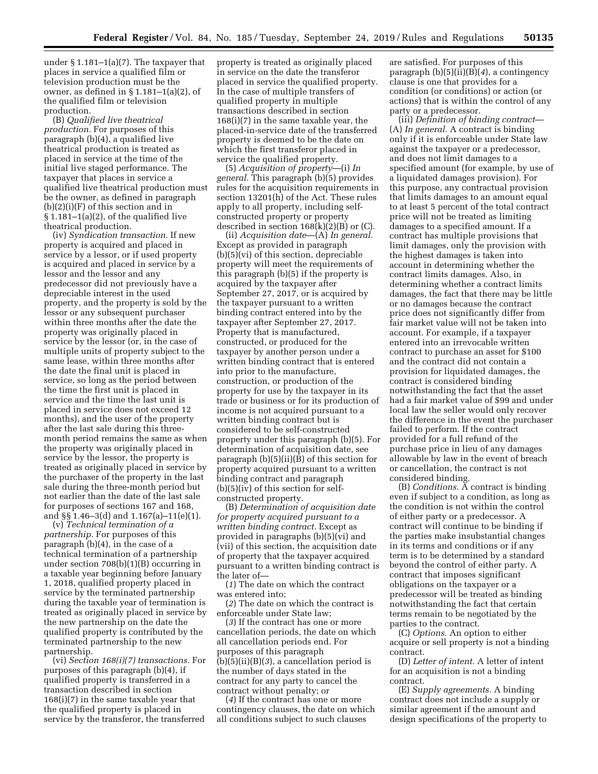under § 1.181–1(a)(7). The taxpayer that places in service a qualified film or television production must be the owner, as defined in § 1.181–1(a)(2), of the qualified film or television production.

(B) *Qualified live theatrical production.* For purposes of this paragraph (b)(4), a qualified live theatrical production is treated as placed in service at the time of the initial live staged performance. The taxpayer that places in service a qualified live theatrical production must be the owner, as defined in paragraph  $(b)(2)(i)(F)$  of this section and in  $§ 1.181-1(a)(2),$  of the qualified live theatrical production.

(iv) *Syndication transaction.* If new property is acquired and placed in service by a lessor, or if used property is acquired and placed in service by a lessor and the lessor and any predecessor did not previously have a depreciable interest in the used property, and the property is sold by the lessor or any subsequent purchaser within three months after the date the property was originally placed in service by the lessor (or, in the case of multiple units of property subject to the same lease, within three months after the date the final unit is placed in service, so long as the period between the time the first unit is placed in service and the time the last unit is placed in service does not exceed 12 months), and the user of the property after the last sale during this threemonth period remains the same as when the property was originally placed in service by the lessor, the property is treated as originally placed in service by the purchaser of the property in the last sale during the three-month period but not earlier than the date of the last sale for purposes of sections 167 and 168, and §§ 1.46–3(d) and 1.167(a)–11(e)(1).

(v) *Technical termination of a partnership.* For purposes of this paragraph (b)(4), in the case of a technical termination of a partnership under section 708(b)(1)(B) occurring in a taxable year beginning before January 1, 2018, qualified property placed in service by the terminated partnership during the taxable year of termination is treated as originally placed in service by the new partnership on the date the qualified property is contributed by the terminated partnership to the new partnership.

(vi) *Section 168(i)(7) transactions.* For purposes of this paragraph (b)(4), if qualified property is transferred in a transaction described in section 168(i)(7) in the same taxable year that the qualified property is placed in service by the transferor, the transferred

property is treated as originally placed in service on the date the transferor placed in service the qualified property. In the case of multiple transfers of qualified property in multiple transactions described in section 168(i)(7) in the same taxable year, the placed-in-service date of the transferred property is deemed to be the date on which the first transferor placed in service the qualified property.

(5) *Acquisition of property*—(i) *In general.* This paragraph (b)(5) provides rules for the acquisition requirements in section 13201(h) of the Act. These rules apply to all property, including selfconstructed property or property described in section  $168(k)(2)(B)$  or (C).

(ii) *Acquisition date*—(A) *In general.*  Except as provided in paragraph (b)(5)(vi) of this section, depreciable property will meet the requirements of this paragraph (b)(5) if the property is acquired by the taxpayer after September 27, 2017, or is acquired by the taxpayer pursuant to a written binding contract entered into by the taxpayer after September 27, 2017. Property that is manufactured, constructed, or produced for the taxpayer by another person under a written binding contract that is entered into prior to the manufacture, construction, or production of the property for use by the taxpayer in its trade or business or for its production of income is not acquired pursuant to a written binding contract but is considered to be self-constructed property under this paragraph (b)(5). For determination of acquisition date, see paragraph (b)(5)(ii)(B) of this section for property acquired pursuant to a written binding contract and paragraph (b)(5)(iv) of this section for selfconstructed property.

(B) *Determination of acquisition date for property acquired pursuant to a written binding contract.* Except as provided in paragraphs (b)(5)(vi) and (vii) of this section, the acquisition date of property that the taxpayer acquired pursuant to a written binding contract is the later of—

(*1*) The date on which the contract was entered into;

(*2*) The date on which the contract is enforceable under State law;

(*3*) If the contract has one or more cancellation periods, the date on which all cancellation periods end. For purposes of this paragraph (b)(5)(ii)(B)(*3*), a cancellation period is the number of days stated in the contract for any party to cancel the contract without penalty; or

(*4*) If the contract has one or more contingency clauses, the date on which all conditions subject to such clauses

are satisfied. For purposes of this paragraph (b)(5)(ii)(B)(*4*), a contingency clause is one that provides for a condition (or conditions) or action (or actions) that is within the control of any party or a predecessor.

(iii) *Definition of binding contract*— (A) *In general.* A contract is binding only if it is enforceable under State law against the taxpayer or a predecessor, and does not limit damages to a specified amount (for example, by use of a liquidated damages provision). For this purpose, any contractual provision that limits damages to an amount equal to at least 5 percent of the total contract price will not be treated as limiting damages to a specified amount. If a contract has multiple provisions that limit damages, only the provision with the highest damages is taken into account in determining whether the contract limits damages. Also, in determining whether a contract limits damages, the fact that there may be little or no damages because the contract price does not significantly differ from fair market value will not be taken into account. For example, if a taxpayer entered into an irrevocable written contract to purchase an asset for \$100 and the contract did not contain a provision for liquidated damages, the contract is considered binding notwithstanding the fact that the asset had a fair market value of \$99 and under local law the seller would only recover the difference in the event the purchaser failed to perform. If the contract provided for a full refund of the purchase price in lieu of any damages allowable by law in the event of breach or cancellation, the contract is not considered binding.

(B) *Conditions.* A contract is binding even if subject to a condition, as long as the condition is not within the control of either party or a predecessor. A contract will continue to be binding if the parties make insubstantial changes in its terms and conditions or if any term is to be determined by a standard beyond the control of either party. A contract that imposes significant obligations on the taxpayer or a predecessor will be treated as binding notwithstanding the fact that certain terms remain to be negotiated by the parties to the contract.

(C) *Options.* An option to either acquire or sell property is not a binding contract.

(D) *Letter of intent.* A letter of intent for an acquisition is not a binding contract.

(E) *Supply agreements.* A binding contract does not include a supply or similar agreement if the amount and design specifications of the property to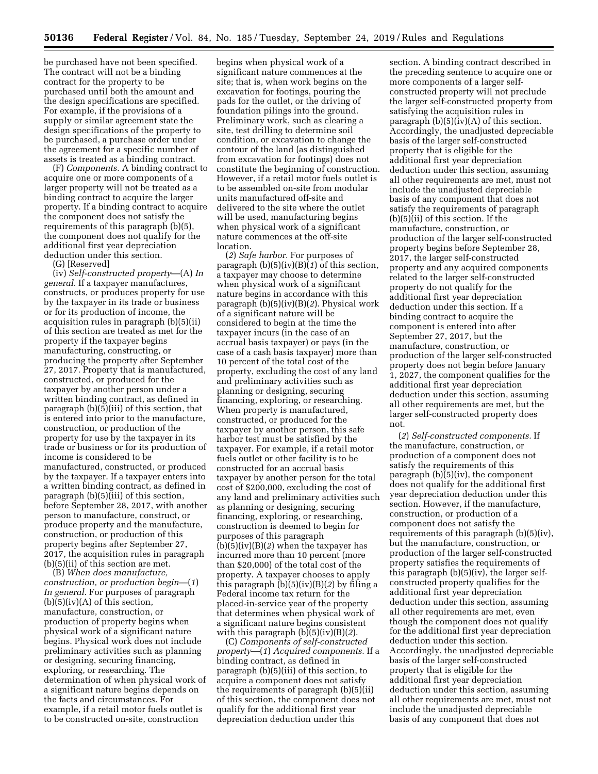be purchased have not been specified. The contract will not be a binding contract for the property to be purchased until both the amount and the design specifications are specified. For example, if the provisions of a supply or similar agreement state the design specifications of the property to be purchased, a purchase order under the agreement for a specific number of assets is treated as a binding contract.

(F) *Components.* A binding contract to acquire one or more components of a larger property will not be treated as a binding contract to acquire the larger property. If a binding contract to acquire the component does not satisfy the requirements of this paragraph (b)(5), the component does not qualify for the additional first year depreciation deduction under this section.

(G) [Reserved]

(iv) *Self-constructed property*—(A) *In general.* If a taxpayer manufactures, constructs, or produces property for use by the taxpayer in its trade or business or for its production of income, the acquisition rules in paragraph (b)(5)(ii) of this section are treated as met for the property if the taxpayer begins manufacturing, constructing, or producing the property after September 27, 2017. Property that is manufactured, constructed, or produced for the taxpayer by another person under a written binding contract, as defined in paragraph (b)(5)(iii) of this section, that is entered into prior to the manufacture, construction, or production of the property for use by the taxpayer in its trade or business or for its production of income is considered to be manufactured, constructed, or produced by the taxpayer. If a taxpayer enters into a written binding contract, as defined in paragraph (b)(5)(iii) of this section, before September 28, 2017, with another person to manufacture, construct, or produce property and the manufacture, construction, or production of this property begins after September 27, 2017, the acquisition rules in paragraph (b)(5)(ii) of this section are met.

(B) *When does manufacture, construction, or production begin*—(*1*) *In general.* For purposes of paragraph  $(b)(5)(iv)(A)$  of this section, manufacture, construction, or production of property begins when physical work of a significant nature begins. Physical work does not include preliminary activities such as planning or designing, securing financing, exploring, or researching. The determination of when physical work of a significant nature begins depends on the facts and circumstances. For example, if a retail motor fuels outlet is to be constructed on-site, construction

begins when physical work of a significant nature commences at the site; that is, when work begins on the excavation for footings, pouring the pads for the outlet, or the driving of foundation pilings into the ground. Preliminary work, such as clearing a site, test drilling to determine soil condition, or excavation to change the contour of the land (as distinguished from excavation for footings) does not constitute the beginning of construction. However, if a retail motor fuels outlet is to be assembled on-site from modular units manufactured off-site and delivered to the site where the outlet will be used, manufacturing begins when physical work of a significant nature commences at the off-site location.

(*2*) *Safe harbor.* For purposes of paragraph (b)(5)(iv)(B)(*1*) of this section, a taxpayer may choose to determine when physical work of a significant nature begins in accordance with this paragraph (b)(5)(iv)(B)(*2*). Physical work of a significant nature will be considered to begin at the time the taxpayer incurs (in the case of an accrual basis taxpayer) or pays (in the case of a cash basis taxpayer) more than 10 percent of the total cost of the property, excluding the cost of any land and preliminary activities such as planning or designing, securing financing, exploring, or researching. When property is manufactured, constructed, or produced for the taxpayer by another person, this safe harbor test must be satisfied by the taxpayer. For example, if a retail motor fuels outlet or other facility is to be constructed for an accrual basis taxpayer by another person for the total cost of \$200,000, excluding the cost of any land and preliminary activities such as planning or designing, securing financing, exploring, or researching, construction is deemed to begin for purposes of this paragraph (b)(5)(iv)(B)(*2*) when the taxpayer has incurred more than 10 percent (more than \$20,000) of the total cost of the property. A taxpayer chooses to apply this paragraph (b)(5)(iv)(B)(*2*) by filing a Federal income tax return for the placed-in-service year of the property that determines when physical work of a significant nature begins consistent with this paragraph (b)(5)(iv)(B)(*2*).

(C) *Components of self-constructed property*—(*1*) *Acquired components.* If a binding contract, as defined in paragraph (b)(5)(iii) of this section, to acquire a component does not satisfy the requirements of paragraph (b)(5)(ii) of this section, the component does not qualify for the additional first year depreciation deduction under this

section. A binding contract described in the preceding sentence to acquire one or more components of a larger selfconstructed property will not preclude the larger self-constructed property from satisfying the acquisition rules in paragraph  $(b)(5)(iv)(A)$  of this section. Accordingly, the unadjusted depreciable basis of the larger self-constructed property that is eligible for the additional first year depreciation deduction under this section, assuming all other requirements are met, must not include the unadjusted depreciable basis of any component that does not satisfy the requirements of paragraph (b)(5)(ii) of this section. If the manufacture, construction, or production of the larger self-constructed property begins before September 28, 2017, the larger self-constructed property and any acquired components related to the larger self-constructed property do not qualify for the additional first year depreciation deduction under this section. If a binding contract to acquire the component is entered into after September 27, 2017, but the manufacture, construction, or production of the larger self-constructed property does not begin before January 1, 2027, the component qualifies for the additional first year depreciation deduction under this section, assuming all other requirements are met, but the larger self-constructed property does not.

(*2*) *Self-constructed components.* If the manufacture, construction, or production of a component does not satisfy the requirements of this paragraph (b)(5)(iv), the component does not qualify for the additional first year depreciation deduction under this section. However, if the manufacture, construction, or production of a component does not satisfy the requirements of this paragraph (b)(5)(iv), but the manufacture, construction, or production of the larger self-constructed property satisfies the requirements of this paragraph (b)(5)(iv), the larger selfconstructed property qualifies for the additional first year depreciation deduction under this section, assuming all other requirements are met, even though the component does not qualify for the additional first year depreciation deduction under this section. Accordingly, the unadjusted depreciable basis of the larger self-constructed property that is eligible for the additional first year depreciation deduction under this section, assuming all other requirements are met, must not include the unadjusted depreciable basis of any component that does not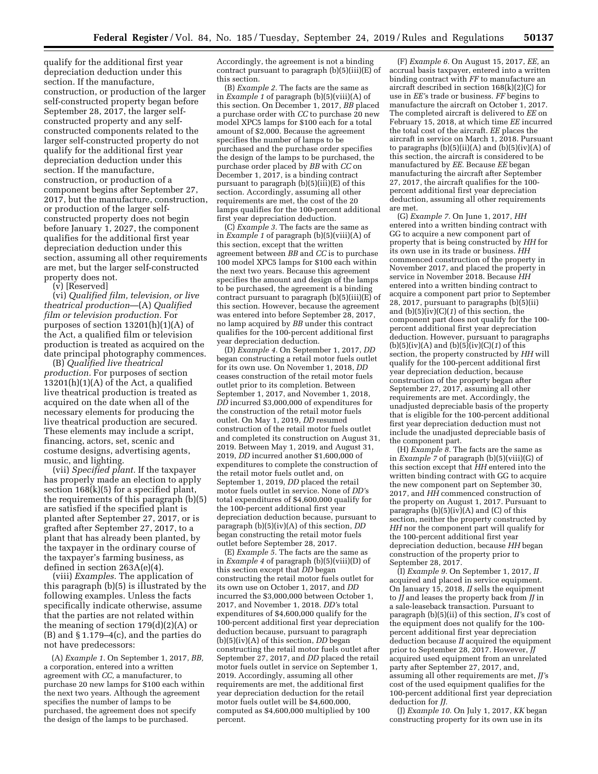qualify for the additional first year depreciation deduction under this section. If the manufacture, construction, or production of the larger self-constructed property began before September 28, 2017, the larger selfconstructed property and any selfconstructed components related to the larger self-constructed property do not qualify for the additional first year depreciation deduction under this section. If the manufacture, construction, or production of a component begins after September 27, 2017, but the manufacture, construction, or production of the larger selfconstructed property does not begin before January 1, 2027, the component qualifies for the additional first year depreciation deduction under this section, assuming all other requirements are met, but the larger self-constructed property does not.

(v) [Reserved]

(vi) *Qualified film, television, or live theatrical production*—(A) *Qualified film or television production.* For purposes of section 13201(h)(1)(A) of the Act, a qualified film or television production is treated as acquired on the date principal photography commences.

(B) *Qualified live theatrical production.* For purposes of section  $13201(h)(1)(A)$  of the Act, a qualified live theatrical production is treated as acquired on the date when all of the necessary elements for producing the live theatrical production are secured. These elements may include a script, financing, actors, set, scenic and costume designs, advertising agents, music, and lighting.

(vii) *Specified plant.* If the taxpayer has properly made an election to apply section 168(k)(5) for a specified plant, the requirements of this paragraph (b)(5) are satisfied if the specified plant is planted after September 27, 2017, or is grafted after September 27, 2017, to a plant that has already been planted, by the taxpayer in the ordinary course of the taxpayer's farming business, as defined in section 263A(e)(4).

(viii) *Examples.* The application of this paragraph (b)(5) is illustrated by the following examples. Unless the facts specifically indicate otherwise, assume that the parties are not related within the meaning of section 179(d)(2)(A) or (B) and § 1.179–4(c), and the parties do not have predecessors:

(A) *Example 1.* On September 1, 2017, *BB,*  a corporation, entered into a written agreement with *CC,* a manufacturer, to purchase 20 new lamps for \$100 each within the next two years. Although the agreement specifies the number of lamps to be purchased, the agreement does not specify the design of the lamps to be purchased.

Accordingly, the agreement is not a binding contract pursuant to paragraph (b)(5)(iii)(E) of this section.

(B) *Example 2.* The facts are the same as in *Example 1* of paragraph (b)(5)(viii)(A) of this section. On December 1, 2017, *BB* placed a purchase order with *CC* to purchase 20 new model XPC5 lamps for \$100 each for a total amount of \$2,000. Because the agreement specifies the number of lamps to be purchased and the purchase order specifies the design of the lamps to be purchased, the purchase order placed by *BB* with *CC* on December 1, 2017, is a binding contract pursuant to paragraph (b)(5)(iii)(E) of this section. Accordingly, assuming all other requirements are met, the cost of the 20 lamps qualifies for the 100-percent additional first year depreciation deduction.

(C) *Example 3.* The facts are the same as in *Example 1* of paragraph (b)(5)(viii)(A) of this section, except that the written agreement between *BB* and *CC* is to purchase 100 model XPC5 lamps for \$100 each within the next two years. Because this agreement specifies the amount and design of the lamps to be purchased, the agreement is a binding contract pursuant to paragraph  $(b)(5)(iii)(E)$  of this section. However, because the agreement was entered into before September 28, 2017, no lamp acquired by *BB* under this contract qualifies for the 100-percent additional first year depreciation deduction.

(D) *Example 4.* On September 1, 2017, *DD*  began constructing a retail motor fuels outlet for its own use. On November 1, 2018, *DD*  ceases construction of the retail motor fuels outlet prior to its completion. Between September 1, 2017, and November 1, 2018, *DD* incurred \$3,000,000 of expenditures for the construction of the retail motor fuels outlet. On May 1, 2019, *DD* resumed construction of the retail motor fuels outlet and completed its construction on August 31, 2019. Between May 1, 2019, and August 31, 2019, *DD* incurred another \$1,600,000 of expenditures to complete the construction of the retail motor fuels outlet and, on September 1, 2019, *DD* placed the retail motor fuels outlet in service. None of *DD'*s total expenditures of \$4,600,000 qualify for the 100-percent additional first year depreciation deduction because, pursuant to paragraph (b)(5)(iv)(A) of this section, *DD*  began constructing the retail motor fuels outlet before September 28, 2017.

(E) *Example 5.* The facts are the same as in *Example 4* of paragraph (b)(5)(viii)(D) of this section except that *DD* began constructing the retail motor fuels outlet for its own use on October 1, 2017, and *DD*  incurred the \$3,000,000 between October 1, 2017, and November 1, 2018. *DD'*s total expenditures of \$4,600,000 qualify for the 100-percent additional first year depreciation deduction because, pursuant to paragraph (b)(5)(iv)(A) of this section, *DD* began constructing the retail motor fuels outlet after September 27, 2017, and *DD* placed the retail motor fuels outlet in service on September 1, 2019. Accordingly, assuming all other requirements are met, the additional first year depreciation deduction for the retail motor fuels outlet will be \$4,600,000, computed as \$4,600,000 multiplied by 100 percent.

(F) *Example 6.* On August 15, 2017, *EE,* an accrual basis taxpayer, entered into a written binding contract with *FF* to manufacture an aircraft described in section 168(k)(2)(C) for use in *EE'*s trade or business. *FF* begins to manufacture the aircraft on October 1, 2017. The completed aircraft is delivered to *EE* on February 15, 2018, at which time *EE* incurred the total cost of the aircraft. *EE* places the aircraft in service on March 1, 2018. Pursuant to paragraphs  $(b)(5)(ii)(A)$  and  $(b)(5)(iv)(A)$  of this section, the aircraft is considered to be manufactured by *EE.* Because *EE* began manufacturing the aircraft after September 27, 2017, the aircraft qualifies for the 100 percent additional first year depreciation deduction, assuming all other requirements are met.

(G) *Example 7.* On June 1, 2017, *HH*  entered into a written binding contract with GG to acquire a new component part of property that is being constructed by *HH* for its own use in its trade or business. *HH*  commenced construction of the property in November 2017, and placed the property in service in November 2018. Because *HH*  entered into a written binding contract to acquire a component part prior to September 28, 2017, pursuant to paragraphs (b)(5)(ii) and  $(b)(5)(iv)(C)(1)$  of this section, the component part does not qualify for the 100 percent additional first year depreciation deduction. However, pursuant to paragraphs  $(b)(5)(iv)(A)$  and  $(b)(5)(iv)(C)(1)$  of this section, the property constructed by *HH* will qualify for the 100-percent additional first year depreciation deduction, because construction of the property began after September 27, 2017, assuming all other requirements are met. Accordingly, the unadjusted depreciable basis of the property that is eligible for the 100-percent additional first year depreciation deduction must not include the unadjusted depreciable basis of the component part.

(H)  $\overline{Example 8}$ . The facts are the same as in *Example 7* of paragraph (b)(5)(viii)(G) of this section except that *HH* entered into the written binding contract with GG to acquire the new component part on September 30, 2017, and *HH* commenced construction of the property on August 1, 2017. Pursuant to paragraphs  $(b)(5)(iv)(A)$  and  $(C)$  of this section, neither the property constructed by *HH* nor the component part will qualify for the 100-percent additional first year depreciation deduction, because *HH* began construction of the property prior to September 28, 2017.

(I) *Example 9.* On September 1, 2017, *II*  acquired and placed in service equipment. On January 15, 2018, *II* sells the equipment to *JJ* and leases the property back from *JJ* in a sale-leaseback transaction. Pursuant to paragraph (b)(5)(ii) of this section, *II'*s cost of the equipment does not qualify for the 100 percent additional first year depreciation deduction because *II* acquired the equipment prior to September 28, 2017. However, *JJ*  acquired used equipment from an unrelated party after September 27, 2017, and, assuming all other requirements are met, *JJ'*s cost of the used equipment qualifies for the 100-percent additional first year depreciation deduction for *JJ.* 

(J) *Example 10.* On July 1, 2017, *KK* began constructing property for its own use in its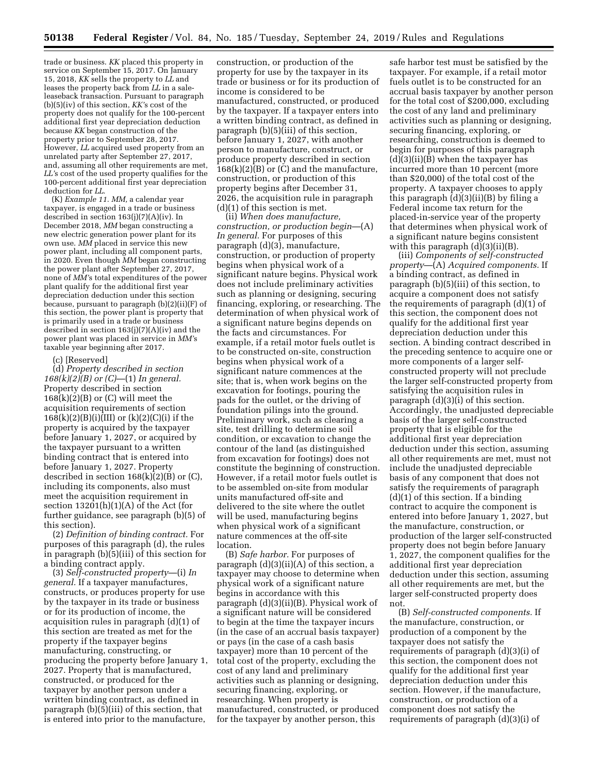trade or business. *KK* placed this property in service on September 15, 2017. On January 15, 2018, *KK* sells the property to *LL* and leases the property back from *LL* in a saleleaseback transaction. Pursuant to paragraph (b)(5)(iv) of this section, *KK'*s cost of the property does not qualify for the 100-percent additional first year depreciation deduction because *KK* began construction of the property prior to September 28, 2017. However, *LL* acquired used property from an unrelated party after September 27, 2017, and, assuming all other requirements are met, *LL'*s cost of the used property qualifies for the 100-percent additional first year depreciation deduction for *LL.* 

(K) *Example 11. MM,* a calendar year taxpayer, is engaged in a trade or business described in section 163(j)(7)(A)(iv). In December 2018, *MM* began constructing a new electric generation power plant for its own use. *MM* placed in service this new power plant, including all component parts, in 2020. Even though *MM* began constructing the power plant after September 27, 2017, none of *MM'*s total expenditures of the power plant qualify for the additional first year depreciation deduction under this section because, pursuant to paragraph (b)(2)(ii)(F) of this section, the power plant is property that is primarily used in a trade or business described in section 163(j)(7)(A)(iv) and the power plant was placed in service in *MM'*s taxable year beginning after 2017.

### (c) [Reserved]

(d) *Property described in section 168(k)(2)(B) or (C)*—(1) *In general.*  Property described in section  $168(k)(2)(B)$  or  $(C)$  will meet the acquisition requirements of section  $168(k)(2)(B)(i)(III)$  or  $(k)(2)(C)(i)$  if the property is acquired by the taxpayer before January 1, 2027, or acquired by the taxpayer pursuant to a written binding contract that is entered into before January 1, 2027. Property described in section  $168(k)(2)(B)$  or  $(C)$ , including its components, also must meet the acquisition requirement in section  $13201(h)(1)(A)$  of the Act (for further guidance, see paragraph (b)(5) of this section).

(2) *Definition of binding contract.* For purposes of this paragraph (d), the rules in paragraph (b)(5)(iii) of this section for a binding contract apply.

(3) *Self-constructed property*—(i) *In general.* If a taxpayer manufactures, constructs, or produces property for use by the taxpayer in its trade or business or for its production of income, the acquisition rules in paragraph (d)(1) of this section are treated as met for the property if the taxpayer begins manufacturing, constructing, or producing the property before January 1, 2027. Property that is manufactured, constructed, or produced for the taxpayer by another person under a written binding contract, as defined in paragraph (b)(5)(iii) of this section, that is entered into prior to the manufacture,

construction, or production of the property for use by the taxpayer in its trade or business or for its production of income is considered to be manufactured, constructed, or produced by the taxpayer. If a taxpayer enters into a written binding contract, as defined in paragraph (b)(5)(iii) of this section, before January 1, 2027, with another person to manufacture, construct, or produce property described in section  $168(k)(2)(B)$  or (C) and the manufacture, construction, or production of this property begins after December 31, 2026, the acquisition rule in paragraph (d)(1) of this section is met.

(ii) *When does manufacture, construction, or production begin*—(A) *In general.* For purposes of this paragraph (d)(3), manufacture, construction, or production of property begins when physical work of a significant nature begins. Physical work does not include preliminary activities such as planning or designing, securing financing, exploring, or researching. The determination of when physical work of a significant nature begins depends on the facts and circumstances. For example, if a retail motor fuels outlet is to be constructed on-site, construction begins when physical work of a significant nature commences at the site; that is, when work begins on the excavation for footings, pouring the pads for the outlet, or the driving of foundation pilings into the ground. Preliminary work, such as clearing a site, test drilling to determine soil condition, or excavation to change the contour of the land (as distinguished from excavation for footings) does not constitute the beginning of construction. However, if a retail motor fuels outlet is to be assembled on-site from modular units manufactured off-site and delivered to the site where the outlet will be used, manufacturing begins when physical work of a significant nature commences at the off-site location.

(B) *Safe harbor.* For purposes of paragraph (d)(3)(ii)(A) of this section, a taxpayer may choose to determine when physical work of a significant nature begins in accordance with this paragraph (d)(3)(ii)(B). Physical work of a significant nature will be considered to begin at the time the taxpayer incurs (in the case of an accrual basis taxpayer) or pays (in the case of a cash basis taxpayer) more than 10 percent of the total cost of the property, excluding the cost of any land and preliminary activities such as planning or designing, securing financing, exploring, or researching. When property is manufactured, constructed, or produced for the taxpayer by another person, this

safe harbor test must be satisfied by the taxpayer. For example, if a retail motor fuels outlet is to be constructed for an accrual basis taxpayer by another person for the total cost of \$200,000, excluding the cost of any land and preliminary activities such as planning or designing, securing financing, exploring, or researching, construction is deemed to begin for purposes of this paragraph (d)(3)(ii)(B) when the taxpayer has incurred more than 10 percent (more than \$20,000) of the total cost of the property. A taxpayer chooses to apply this paragraph  $(d)(3)(ii)(B)$  by filing a Federal income tax return for the placed-in-service year of the property that determines when physical work of a significant nature begins consistent with this paragraph (d)(3)(ii)(B).

(iii) *Components of self-constructed property*—(A) *Acquired components.* If a binding contract, as defined in paragraph (b)(5)(iii) of this section, to acquire a component does not satisfy the requirements of paragraph (d)(1) of this section, the component does not qualify for the additional first year depreciation deduction under this section. A binding contract described in the preceding sentence to acquire one or more components of a larger selfconstructed property will not preclude the larger self-constructed property from satisfying the acquisition rules in paragraph (d)(3)(i) of this section. Accordingly, the unadjusted depreciable basis of the larger self-constructed property that is eligible for the additional first year depreciation deduction under this section, assuming all other requirements are met, must not include the unadjusted depreciable basis of any component that does not satisfy the requirements of paragraph (d)(1) of this section. If a binding contract to acquire the component is entered into before January 1, 2027, but the manufacture, construction, or production of the larger self-constructed property does not begin before January 1, 2027, the component qualifies for the additional first year depreciation deduction under this section, assuming all other requirements are met, but the larger self-constructed property does not.

(B) *Self-constructed components.* If the manufacture, construction, or production of a component by the taxpayer does not satisfy the requirements of paragraph (d)(3)(i) of this section, the component does not qualify for the additional first year depreciation deduction under this section. However, if the manufacture, construction, or production of a component does not satisfy the requirements of paragraph (d)(3)(i) of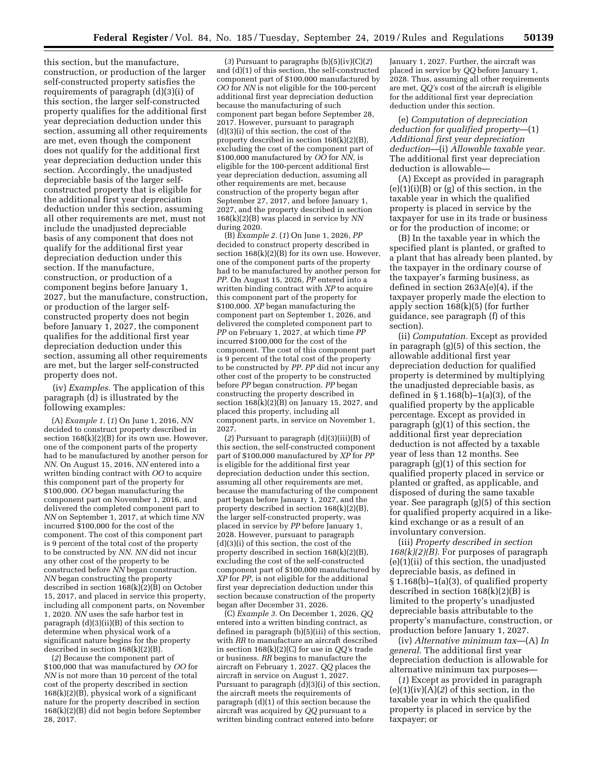this section, but the manufacture, construction, or production of the larger self-constructed property satisfies the requirements of paragraph (d)(3)(i) of this section, the larger self-constructed property qualifies for the additional first year depreciation deduction under this section, assuming all other requirements are met, even though the component does not qualify for the additional first year depreciation deduction under this section. Accordingly, the unadjusted depreciable basis of the larger selfconstructed property that is eligible for the additional first year depreciation deduction under this section, assuming all other requirements are met, must not include the unadjusted depreciable basis of any component that does not qualify for the additional first year depreciation deduction under this section. If the manufacture, construction, or production of a component begins before January 1, 2027, but the manufacture, construction, or production of the larger selfconstructed property does not begin before January 1, 2027, the component qualifies for the additional first year depreciation deduction under this section, assuming all other requirements are met, but the larger self-constructed property does not.

(iv) *Examples.* The application of this paragraph (d) is illustrated by the following examples:

(A) *Example 1.* (*1*) On June 1, 2016, *NN*  decided to construct property described in section 168(k)(2)(B) for its own use. However, one of the component parts of the property had to be manufactured by another person for *NN.* On August 15, 2016, *NN* entered into a written binding contract with *OO* to acquire this component part of the property for \$100,000. *OO* began manufacturing the component part on November 1, 2016, and delivered the completed component part to *NN* on September 1, 2017, at which time *NN*  incurred \$100,000 for the cost of the component. The cost of this component part is 9 percent of the total cost of the property to be constructed by *NN. NN* did not incur any other cost of the property to be constructed before *NN* began construction. *NN* began constructing the property described in section  $168(k)(2)(B)$  on October 15, 2017, and placed in service this property, including all component parts, on November 1, 2020. *NN* uses the safe harbor test in paragraph (d)(3)(ii)(B) of this section to determine when physical work of a significant nature begins for the property described in section 168(k)(2)(B).

(*2*) Because the component part of \$100,000 that was manufactured by *OO* for *NN* is not more than 10 percent of the total cost of the property described in section  $168(k)(2)(B)$ , physical work of a significant nature for the property described in section 168(k)(2)(B) did not begin before September 28, 2017.

(*3*) Pursuant to paragraphs (b)(5)(iv)(C)(*2*) and (d)(1) of this section, the self-constructed component part of \$100,000 manufactured by *OO* for *NN* is not eligible for the 100-percent additional first year depreciation deduction because the manufacturing of such component part began before September 28, 2017. However, pursuant to paragraph (d)(3)(i) of this section, the cost of the property described in section 168(k)(2)(B), excluding the cost of the component part of \$100,000 manufactured by *OO* for *NN,* is eligible for the 100-percent additional first year depreciation deduction, assuming all other requirements are met, because construction of the property began after September 27, 2017, and before January 1, 2027, and the property described in section 168(k)(2)(B) was placed in service by *NN*  during 2020.

(B) *Example 2.* (*1*) On June 1, 2026, *PP*  decided to construct property described in section  $168(k)(2)(B)$  for its own use. However, one of the component parts of the property had to be manufactured by another person for *PP.* On August 15, 2026, *PP* entered into a written binding contract with *XP* to acquire this component part of the property for \$100,000. *XP* began manufacturing the component part on September 1, 2026, and delivered the completed component part to *PP* on February 1, 2027, at which time *PP*  incurred \$100,000 for the cost of the component. The cost of this component part is 9 percent of the total cost of the property to be constructed by *PP. PP* did not incur any other cost of the property to be constructed before *PP* began construction. *PP* began constructing the property described in section  $168(k)(2)(B)$  on January 15, 2027, and placed this property, including all component parts, in service on November 1, 2027.

(*2*) Pursuant to paragraph (d)(3)(iii)(B) of this section, the self-constructed component part of \$100,000 manufactured by *XP* for *PP*  is eligible for the additional first year depreciation deduction under this section, assuming all other requirements are met, because the manufacturing of the component part began before January 1, 2027, and the property described in section 168(k)(2)(B), the larger self-constructed property, was placed in service by *PP* before January 1, 2028. However, pursuant to paragraph (d)(3)(i) of this section, the cost of the property described in section 168(k)(2)(B), excluding the cost of the self-constructed component part of \$100,000 manufactured by *XP* for *PP,* is not eligible for the additional first year depreciation deduction under this section because construction of the property began after December 31, 2026.

(C) *Example 3.* On December 1, 2026, *QQ*  entered into a written binding contract, as defined in paragraph (b)(5)(iii) of this section, with *RR* to manufacture an aircraft described in section 168(k)(2)(C) for use in *QQ'*s trade or business. *RR* begins to manufacture the aircraft on February 1, 2027. *QQ* places the aircraft in service on August 1, 2027. Pursuant to paragraph (d)(3)(i) of this section, the aircraft meets the requirements of paragraph (d)(1) of this section because the aircraft was acquired by *QQ* pursuant to a written binding contract entered into before

January 1, 2027. Further, the aircraft was placed in service by *QQ* before January 1, 2028. Thus, assuming all other requirements are met, *QQ'*s cost of the aircraft is eligible for the additional first year depreciation deduction under this section.

(e) *Computation of depreciation deduction for qualified property*—(1) *Additional first year depreciation deduction*—(i) *Allowable taxable year.*  The additional first year depreciation deduction is allowable—

(A) Except as provided in paragraph  $(e)(1)(i)(B)$  or  $(g)$  of this section, in the taxable year in which the qualified property is placed in service by the taxpayer for use in its trade or business or for the production of income; or

(B) In the taxable year in which the specified plant is planted, or grafted to a plant that has already been planted, by the taxpayer in the ordinary course of the taxpayer's farming business, as defined in section 263A(e)(4), if the taxpayer properly made the election to apply section 168(k)(5) (for further guidance, see paragraph (f) of this section).

(ii) *Computation.* Except as provided in paragraph (g)(5) of this section, the allowable additional first year depreciation deduction for qualified property is determined by multiplying the unadjusted depreciable basis, as defined in § 1.168(b)–1(a)(3), of the qualified property by the applicable percentage. Except as provided in paragraph (g)(1) of this section, the additional first year depreciation deduction is not affected by a taxable year of less than 12 months. See paragraph (g)(1) of this section for qualified property placed in service or planted or grafted, as applicable, and disposed of during the same taxable year. See paragraph (g)(5) of this section for qualified property acquired in a likekind exchange or as a result of an involuntary conversion.

(iii) *Property described in section 168(k)(2)(B).* For purposes of paragraph (e)(1)(ii) of this section, the unadjusted depreciable basis, as defined in § 1.168(b)–1(a)(3), of qualified property described in section 168(k)(2)(B) is limited to the property's unadjusted depreciable basis attributable to the property's manufacture, construction, or production before January 1, 2027.

(iv) *Alternative minimum tax*—(A) *In general.* The additional first year depreciation deduction is allowable for alternative minimum tax purposes—

(*1*) Except as provided in paragraph  $(e)(1)(iv)(A)(2)$  of this section, in the taxable year in which the qualified property is placed in service by the taxpayer; or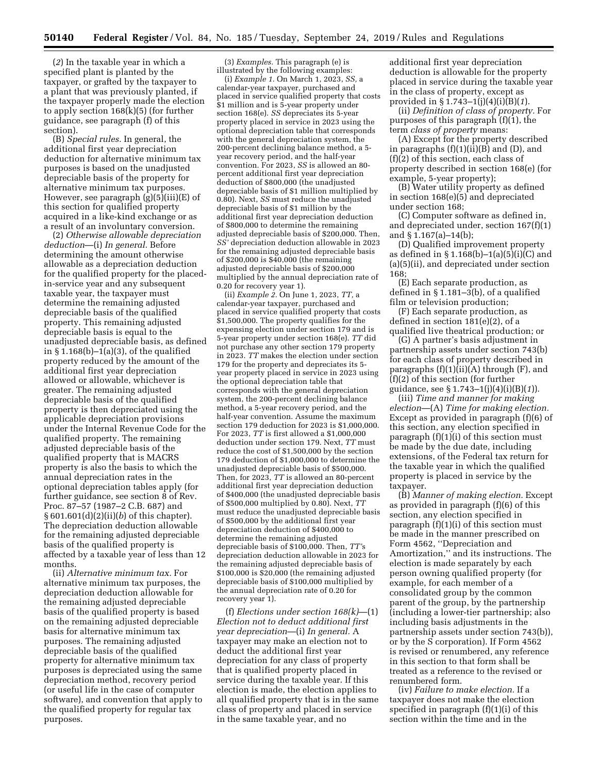(*2*) In the taxable year in which a specified plant is planted by the taxpayer, or grafted by the taxpayer to a plant that was previously planted, if the taxpayer properly made the election to apply section 168(k)(5) (for further guidance, see paragraph (f) of this section).

(B) *Special rules.* In general, the additional first year depreciation deduction for alternative minimum tax purposes is based on the unadjusted depreciable basis of the property for alternative minimum tax purposes. However, see paragraph (g)(5)(iii)(E) of this section for qualified property acquired in a like-kind exchange or as a result of an involuntary conversion.

(2) *Otherwise allowable depreciation deduction*—(i) *In general.* Before determining the amount otherwise allowable as a depreciation deduction for the qualified property for the placedin-service year and any subsequent taxable year, the taxpayer must determine the remaining adjusted depreciable basis of the qualified property. This remaining adjusted depreciable basis is equal to the unadjusted depreciable basis, as defined in  $\S 1.168(b) - 1(a)(3)$ , of the qualified property reduced by the amount of the additional first year depreciation allowed or allowable, whichever is greater. The remaining adjusted depreciable basis of the qualified property is then depreciated using the applicable depreciation provisions under the Internal Revenue Code for the qualified property. The remaining adjusted depreciable basis of the qualified property that is MACRS property is also the basis to which the annual depreciation rates in the optional depreciation tables apply (for further guidance, see section 8 of Rev. Proc. 87–57 (1987–2 C.B. 687) and § 601.601(d)(2)(ii)(*b*) of this chapter). The depreciation deduction allowable for the remaining adjusted depreciable basis of the qualified property is affected by a taxable year of less than 12 months.

(ii) *Alternative minimum tax.* For alternative minimum tax purposes, the depreciation deduction allowable for the remaining adjusted depreciable basis of the qualified property is based on the remaining adjusted depreciable basis for alternative minimum tax purposes. The remaining adjusted depreciable basis of the qualified property for alternative minimum tax purposes is depreciated using the same depreciation method, recovery period (or useful life in the case of computer software), and convention that apply to the qualified property for regular tax purposes.

(3) *Examples.* This paragraph (e) is illustrated by the following examples:

(i) *Example 1.* On March 1, 2023, *SS,* a calendar-year taxpayer, purchased and placed in service qualified property that costs \$1 million and is 5-year property under section 168(e). *SS* depreciates its 5-year property placed in service in 2023 using the optional depreciation table that corresponds with the general depreciation system, the 200-percent declining balance method, a 5 year recovery period, and the half-year convention. For 2023, *SS* is allowed an 80 percent additional first year depreciation deduction of \$800,000 (the unadjusted depreciable basis of \$1 million multiplied by 0.80). Next, *SS* must reduce the unadjusted depreciable basis of \$1 million by the additional first year depreciation deduction of \$800,000 to determine the remaining adjusted depreciable basis of \$200,000. Then, *SS'* depreciation deduction allowable in 2023 for the remaining adjusted depreciable basis of \$200,000 is \$40,000 (the remaining adjusted depreciable basis of \$200,000 multiplied by the annual depreciation rate of 0.20 for recovery year 1).

(ii) *Example 2.* On June 1, 2023, *TT,* a calendar-year taxpayer, purchased and placed in service qualified property that costs  $$1,500,000$ . The property qualifies for the expensing election under section 179 and is 5-year property under section 168(e). *TT* did not purchase any other section 179 property in 2023. *TT* makes the election under section 179 for the property and depreciates its 5 year property placed in service in 2023 using the optional depreciation table that corresponds with the general depreciation system, the 200-percent declining balance method, a 5-year recovery period, and the half-year convention. Assume the maximum section 179 deduction for 2023 is \$1,000,000. For 2023, *TT* is first allowed a \$1,000,000 deduction under section 179. Next, *TT* must reduce the cost of \$1,500,000 by the section 179 deduction of \$1,000,000 to determine the unadjusted depreciable basis of \$500,000. Then, for 2023, *TT* is allowed an 80-percent additional first year depreciation deduction of \$400,000 (the unadjusted depreciable basis of \$500,000 multiplied by 0.80). Next, *TT*  must reduce the unadjusted depreciable basis of \$500,000 by the additional first year depreciation deduction of \$400,000 to determine the remaining adjusted depreciable basis of \$100,000. Then, *TT'*s depreciation deduction allowable in 2023 for the remaining adjusted depreciable basis of \$100,000 is \$20,000 (the remaining adjusted depreciable basis of \$100,000 multiplied by the annual depreciation rate of 0.20 for recovery year 1).

(f) *Elections under section 168(k)*—(1) *Election not to deduct additional first year depreciation*—(i) *In general.* A taxpayer may make an election not to deduct the additional first year depreciation for any class of property that is qualified property placed in service during the taxable year. If this election is made, the election applies to all qualified property that is in the same class of property and placed in service in the same taxable year, and no

additional first year depreciation deduction is allowable for the property placed in service during the taxable year in the class of property, except as provided in § 1.743–1(j)(4)(i)(B)(*1*).

(ii) *Definition of class of property.* For purposes of this paragraph (f)(1), the term *class of property* means:

(A) Except for the property described in paragraphs  $(f)(1)(ii)(B)$  and  $(D)$ , and (f)(2) of this section, each class of property described in section 168(e) (for example, 5-year property);

(B) Water utility property as defined in section 168(e)(5) and depreciated under section 168;

(C) Computer software as defined in, and depreciated under, section 167(f)(1) and § 1.167(a)–14(b);

(D) Qualified improvement property as defined in § 1.168(b)–1(a)(5)(i)(C) and (a)(5)(ii), and depreciated under section 168;

(E) Each separate production, as defined in § 1.181–3(b), of a qualified film or television production;

(F) Each separate production, as defined in section 181(e)(2), of a qualified live theatrical production; or

(G) A partner's basis adjustment in partnership assets under section 743(b) for each class of property described in paragraphs  $(f)(1)\overline{(i)}$  through  $(F)$ , and (f)(2) of this section (for further guidance, see § 1.743–1(j)(4)(i)(B)(*1*)).

(iii) *Time and manner for making election*—(A) *Time for making election.*  Except as provided in paragraph (f)(6) of this section, any election specified in paragraph (f)(1)(i) of this section must be made by the due date, including extensions, of the Federal tax return for the taxable year in which the qualified property is placed in service by the taxpayer.

(B) *Manner of making election.* Except as provided in paragraph (f)(6) of this section, any election specified in paragraph (f)(1)(i) of this section must be made in the manner prescribed on Form 4562, ''Depreciation and Amortization,'' and its instructions. The election is made separately by each person owning qualified property (for example, for each member of a consolidated group by the common parent of the group, by the partnership (including a lower-tier partnership; also including basis adjustments in the partnership assets under section 743(b)), or by the S corporation). If Form 4562 is revised or renumbered, any reference in this section to that form shall be treated as a reference to the revised or renumbered form.

(iv) *Failure to make election.* If a taxpayer does not make the election specified in paragraph  $(f)(1)(i)$  of this section within the time and in the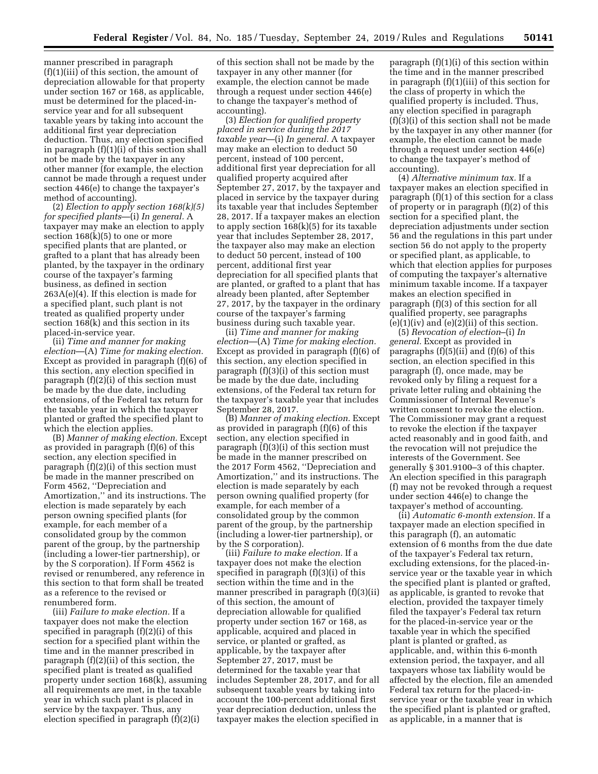manner prescribed in paragraph (f)(1)(iii) of this section, the amount of depreciation allowable for that property under section 167 or 168, as applicable, must be determined for the placed-inservice year and for all subsequent taxable years by taking into account the additional first year depreciation deduction. Thus, any election specified in paragraph (f)(1)(i) of this section shall not be made by the taxpayer in any other manner (for example, the election cannot be made through a request under section 446(e) to change the taxpayer's method of accounting).

(2) *Election to apply section 168(k)(5) for specified plants*—(i) *In general.* A taxpayer may make an election to apply section  $168(k)(5)$  to one or more specified plants that are planted, or grafted to a plant that has already been planted, by the taxpayer in the ordinary course of the taxpayer's farming business, as defined in section 263A(e)(4). If this election is made for a specified plant, such plant is not treated as qualified property under section 168(k) and this section in its placed-in-service year.

(ii) *Time and manner for making election*—(A) *Time for making election.*  Except as provided in paragraph (f)(6) of this section, any election specified in paragraph (f)(2)(i) of this section must be made by the due date, including extensions, of the Federal tax return for the taxable year in which the taxpayer planted or grafted the specified plant to which the election applies.

(B) *Manner of making election.* Except as provided in paragraph (f)(6) of this section, any election specified in paragraph (f)(2)(i) of this section must be made in the manner prescribed on Form 4562, ''Depreciation and Amortization,'' and its instructions. The election is made separately by each person owning specified plants (for example, for each member of a consolidated group by the common parent of the group, by the partnership (including a lower-tier partnership), or by the S corporation). If Form 4562 is revised or renumbered, any reference in this section to that form shall be treated as a reference to the revised or renumbered form.

(iii) *Failure to make election.* If a taxpayer does not make the election specified in paragraph (f)(2)(i) of this section for a specified plant within the time and in the manner prescribed in paragraph (f)(2)(ii) of this section, the specified plant is treated as qualified property under section 168(k), assuming all requirements are met, in the taxable year in which such plant is placed in service by the taxpayer. Thus, any election specified in paragraph (f)(2)(i)

of this section shall not be made by the taxpayer in any other manner (for example, the election cannot be made through a request under section 446(e) to change the taxpayer's method of accounting).

(3) *Election for qualified property placed in service during the 2017 taxable year*—(i) *In general.* A taxpayer may make an election to deduct 50 percent, instead of 100 percent, additional first year depreciation for all qualified property acquired after September 27, 2017, by the taxpayer and placed in service by the taxpayer during its taxable year that includes September 28, 2017. If a taxpayer makes an election to apply section  $168(k)(5)$  for its taxable year that includes September 28, 2017, the taxpayer also may make an election to deduct 50 percent, instead of 100 percent, additional first year depreciation for all specified plants that are planted, or grafted to a plant that has already been planted, after September 27, 2017, by the taxpayer in the ordinary course of the taxpayer's farming business during such taxable year.

(ii) *Time and manner for making election*—(A) *Time for making election.*  Except as provided in paragraph (f)(6) of this section, any election specified in paragraph (f)(3)(i) of this section must be made by the due date, including extensions, of the Federal tax return for the taxpayer's taxable year that includes September 28, 2017.

(B) *Manner of making election.* Except as provided in paragraph (f)(6) of this section, any election specified in paragraph (f)(3)(i) of this section must be made in the manner prescribed on the 2017 Form 4562, ''Depreciation and Amortization,'' and its instructions. The election is made separately by each person owning qualified property (for example, for each member of a consolidated group by the common parent of the group, by the partnership (including a lower-tier partnership), or by the S corporation).

(iii) *Failure to make election.* If a taxpayer does not make the election specified in paragraph (f)(3)(i) of this section within the time and in the manner prescribed in paragraph (f)(3)(ii) of this section, the amount of depreciation allowable for qualified property under section 167 or 168, as applicable, acquired and placed in service, or planted or grafted, as applicable, by the taxpayer after September 27, 2017, must be determined for the taxable year that includes September 28, 2017, and for all subsequent taxable years by taking into account the 100-percent additional first year depreciation deduction, unless the taxpayer makes the election specified in

paragraph (f)(1)(i) of this section within the time and in the manner prescribed in paragraph (f)(1)(iii) of this section for the class of property in which the qualified property is included. Thus, any election specified in paragraph (f)(3)(i) of this section shall not be made by the taxpayer in any other manner (for example, the election cannot be made through a request under section 446(e) to change the taxpayer's method of accounting).

(4) *Alternative minimum tax.* If a taxpayer makes an election specified in paragraph (f)(1) of this section for a class of property or in paragraph (f)(2) of this section for a specified plant, the depreciation adjustments under section 56 and the regulations in this part under section 56 do not apply to the property or specified plant, as applicable, to which that election applies for purposes of computing the taxpayer's alternative minimum taxable income. If a taxpayer makes an election specified in paragraph (f)(3) of this section for all qualified property, see paragraphs  $(e)(1)(iv)$  and  $(e)(2)(ii)$  of this section.

(5) *Revocation of election*–(i) *In general.* Except as provided in paragraphs  $(f)(5)(ii)$  and  $(f)(6)$  of this section, an election specified in this paragraph (f), once made, may be revoked only by filing a request for a private letter ruling and obtaining the Commissioner of Internal Revenue's written consent to revoke the election. The Commissioner may grant a request to revoke the election if the taxpayer acted reasonably and in good faith, and the revocation will not prejudice the interests of the Government. See generally § 301.9100–3 of this chapter. An election specified in this paragraph (f) may not be revoked through a request under section 446(e) to change the taxpayer's method of accounting.

(ii) *Automatic 6-month extension.* If a taxpayer made an election specified in this paragraph (f), an automatic extension of 6 months from the due date of the taxpayer's Federal tax return, excluding extensions, for the placed-inservice year or the taxable year in which the specified plant is planted or grafted, as applicable, is granted to revoke that election, provided the taxpayer timely filed the taxpayer's Federal tax return for the placed-in-service year or the taxable year in which the specified plant is planted or grafted, as applicable, and, within this 6-month extension period, the taxpayer, and all taxpayers whose tax liability would be affected by the election, file an amended Federal tax return for the placed-inservice year or the taxable year in which the specified plant is planted or grafted, as applicable, in a manner that is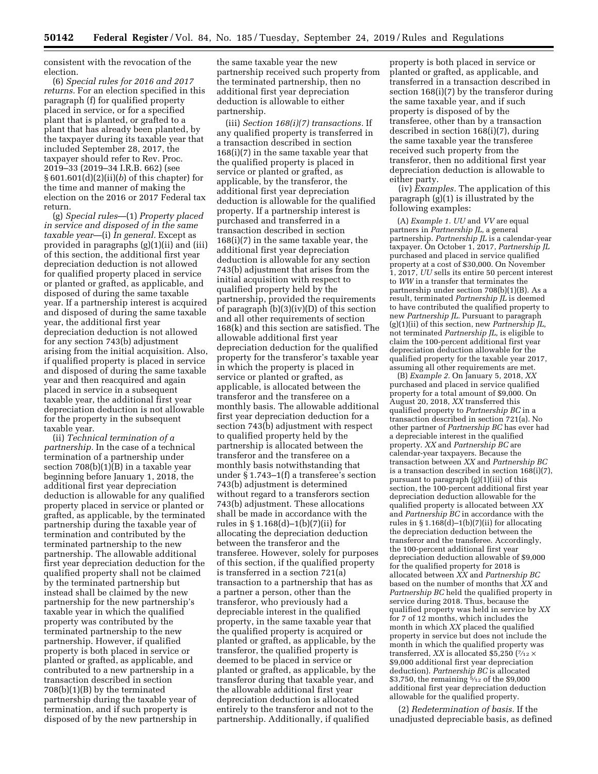consistent with the revocation of the election.

(6) *Special rules for 2016 and 2017 returns.* For an election specified in this paragraph (f) for qualified property placed in service, or for a specified plant that is planted, or grafted to a plant that has already been planted, by the taxpayer during its taxable year that included September 28, 2017, the taxpayer should refer to Rev. Proc. 2019–33 (2019–34 I.R.B. 662) (see § 601.601(d)(2)(ii)(*b*) of this chapter) for the time and manner of making the election on the 2016 or 2017 Federal tax return.

(g) *Special rules*—(1) *Property placed in service and disposed of in the same taxable year*—(i) *In general.* Except as provided in paragraphs (g)(1)(ii) and (iii) of this section, the additional first year depreciation deduction is not allowed for qualified property placed in service or planted or grafted, as applicable, and disposed of during the same taxable year. If a partnership interest is acquired and disposed of during the same taxable year, the additional first year depreciation deduction is not allowed for any section 743(b) adjustment arising from the initial acquisition. Also, if qualified property is placed in service and disposed of during the same taxable year and then reacquired and again placed in service in a subsequent taxable year, the additional first year depreciation deduction is not allowable for the property in the subsequent taxable year.

(ii) *Technical termination of a partnership.* In the case of a technical termination of a partnership under section  $708(b)(1)(B)$  in a taxable year beginning before January 1, 2018, the additional first year depreciation deduction is allowable for any qualified property placed in service or planted or grafted, as applicable, by the terminated partnership during the taxable year of termination and contributed by the terminated partnership to the new partnership. The allowable additional first year depreciation deduction for the qualified property shall not be claimed by the terminated partnership but instead shall be claimed by the new partnership for the new partnership's taxable year in which the qualified property was contributed by the terminated partnership to the new partnership. However, if qualified property is both placed in service or planted or grafted, as applicable, and contributed to a new partnership in a transaction described in section 708(b)(1)(B) by the terminated partnership during the taxable year of termination, and if such property is disposed of by the new partnership in

the same taxable year the new partnership received such property from the terminated partnership, then no additional first year depreciation deduction is allowable to either partnership.

(iii) *Section 168(i)(7) transactions.* If any qualified property is transferred in a transaction described in section 168(i)(7) in the same taxable year that the qualified property is placed in service or planted or grafted, as applicable, by the transferor, the additional first year depreciation deduction is allowable for the qualified property. If a partnership interest is purchased and transferred in a transaction described in section 168(i)(7) in the same taxable year, the additional first year depreciation deduction is allowable for any section 743(b) adjustment that arises from the initial acquisition with respect to qualified property held by the partnership, provided the requirements of paragraph (b)(3)(iv)(D) of this section and all other requirements of section 168(k) and this section are satisfied. The allowable additional first year depreciation deduction for the qualified property for the transferor's taxable year in which the property is placed in service or planted or grafted, as applicable, is allocated between the transferor and the transferee on a monthly basis. The allowable additional first year depreciation deduction for a section 743(b) adjustment with respect to qualified property held by the partnership is allocated between the transferor and the transferee on a monthly basis notwithstanding that under § 1.743–1(f) a transferee's section 743(b) adjustment is determined without regard to a transferors section 743(b) adjustment. These allocations shall be made in accordance with the rules in § 1.168(d)–1(b)(7)(ii) for allocating the depreciation deduction between the transferor and the transferee. However, solely for purposes of this section, if the qualified property is transferred in a section 721(a) transaction to a partnership that has as a partner a person, other than the transferor, who previously had a depreciable interest in the qualified property, in the same taxable year that the qualified property is acquired or planted or grafted, as applicable, by the transferor, the qualified property is deemed to be placed in service or planted or grafted, as applicable, by the transferor during that taxable year, and the allowable additional first year depreciation deduction is allocated entirely to the transferor and not to the partnership. Additionally, if qualified

property is both placed in service or planted or grafted, as applicable, and transferred in a transaction described in section 168(i)(7) by the transferor during the same taxable year, and if such property is disposed of by the transferee, other than by a transaction described in section 168(i)(7), during the same taxable year the transferee received such property from the transferor, then no additional first year depreciation deduction is allowable to either party.

(iv) *Examples.* The application of this paragraph (g)(1) is illustrated by the following examples:

(A) *Example 1. UU* and *VV* are equal partners in *Partnership JL,* a general partnership. *Partnership JL* is a calendar-year taxpayer. On October 1, 2017, *Partnership JL*  purchased and placed in service qualified property at a cost of \$30,000. On November 1, 2017, *UU* sells its entire 50 percent interest to *WW* in a transfer that terminates the partnership under section 708(b)(1)(B). As a result, terminated *Partnership JL* is deemed to have contributed the qualified property to new *Partnership JL.* Pursuant to paragraph (g)(1)(ii) of this section, new *Partnership JL,*  not terminated *Partnership JL,* is eligible to claim the 100-percent additional first year depreciation deduction allowable for the qualified property for the taxable year 2017, assuming all other requirements are met.

(B) *Example 2.* On January 5, 2018, *XX*  purchased and placed in service qualified property for a total amount of \$9,000. On August 20, 2018, *XX* transferred this qualified property to *Partnership BC* in a transaction described in section 721(a). No other partner of *Partnership BC* has ever had a depreciable interest in the qualified property. *XX* and *Partnership BC* are calendar-year taxpayers. Because the transaction between *XX* and *Partnership BC*  is a transaction described in section 168(i)(7), pursuant to paragraph (g)(1)(iii) of this section, the 100-percent additional first year depreciation deduction allowable for the qualified property is allocated between *XX*  and *Partnership BC* in accordance with the rules in  $\S 1.168(d) - 1(b)(7)(ii)$  for allocating the depreciation deduction between the transferor and the transferee. Accordingly, the 100-percent additional first year depreciation deduction allowable of \$9,000 for the qualified property for 2018 is allocated between *XX* and *Partnership BC*  based on the number of months that *XX* and *Partnership BC* held the qualified property in service during 2018. Thus, because the qualified property was held in service by *XX*  for 7 of 12 months, which includes the month in which *XX* placed the qualified property in service but does not include the month in which the qualified property was transferred, *XX* is allocated \$5,250 ( $\frac{7}{12} \times$ \$9,000 additional first year depreciation deduction). *Partnership BC* is allocated \$3,750, the remaining  $\frac{5}{12}$  of the \$9,000 additional first year depreciation deduction allowable for the qualified property.

(2) *Redetermination of basis.* If the unadjusted depreciable basis, as defined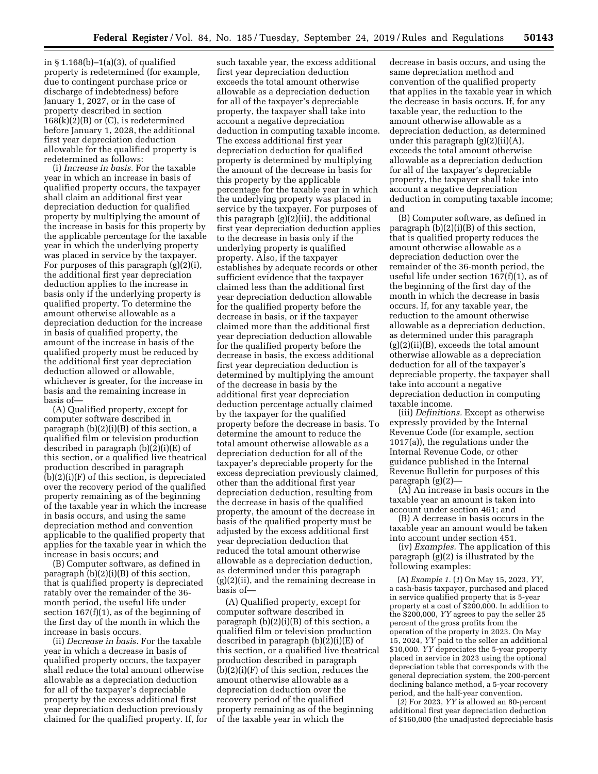in § 1.168(b)–1(a)(3), of qualified property is redetermined (for example, due to contingent purchase price or discharge of indebtedness) before January 1, 2027, or in the case of property described in section  $168(k)(2)(B)$  or  $(C)$ , is redetermined before January 1, 2028, the additional first year depreciation deduction allowable for the qualified property is redetermined as follows:

(i) *Increase in basis.* For the taxable year in which an increase in basis of qualified property occurs, the taxpayer shall claim an additional first year depreciation deduction for qualified property by multiplying the amount of the increase in basis for this property by the applicable percentage for the taxable year in which the underlying property was placed in service by the taxpayer. For purposes of this paragraph (g)(2)(i), the additional first year depreciation deduction applies to the increase in basis only if the underlying property is qualified property. To determine the amount otherwise allowable as a depreciation deduction for the increase in basis of qualified property, the amount of the increase in basis of the qualified property must be reduced by the additional first year depreciation deduction allowed or allowable, whichever is greater, for the increase in basis and the remaining increase in basis of—

(A) Qualified property, except for computer software described in paragraph (b)(2)(i)(B) of this section, a qualified film or television production described in paragraph (b)(2)(i)(E) of this section, or a qualified live theatrical production described in paragraph (b)(2)(i)(F) of this section, is depreciated over the recovery period of the qualified property remaining as of the beginning of the taxable year in which the increase in basis occurs, and using the same depreciation method and convention applicable to the qualified property that applies for the taxable year in which the increase in basis occurs; and

(B) Computer software, as defined in paragraph (b)(2)(i)(B) of this section, that is qualified property is depreciated ratably over the remainder of the 36 month period, the useful life under section 167(f)(1), as of the beginning of the first day of the month in which the increase in basis occurs.

(ii) *Decrease in basis.* For the taxable year in which a decrease in basis of qualified property occurs, the taxpayer shall reduce the total amount otherwise allowable as a depreciation deduction for all of the taxpayer's depreciable property by the excess additional first year depreciation deduction previously claimed for the qualified property. If, for

such taxable year, the excess additional first year depreciation deduction exceeds the total amount otherwise allowable as a depreciation deduction for all of the taxpayer's depreciable property, the taxpayer shall take into account a negative depreciation deduction in computing taxable income. The excess additional first year depreciation deduction for qualified property is determined by multiplying the amount of the decrease in basis for this property by the applicable percentage for the taxable year in which the underlying property was placed in service by the taxpayer. For purposes of this paragraph  $(g)(i)$  (ii), the additional first year depreciation deduction applies to the decrease in basis only if the underlying property is qualified property. Also, if the taxpayer establishes by adequate records or other sufficient evidence that the taxpayer claimed less than the additional first year depreciation deduction allowable for the qualified property before the decrease in basis, or if the taxpayer claimed more than the additional first year depreciation deduction allowable for the qualified property before the decrease in basis, the excess additional first year depreciation deduction is determined by multiplying the amount of the decrease in basis by the additional first year depreciation deduction percentage actually claimed by the taxpayer for the qualified property before the decrease in basis. To determine the amount to reduce the total amount otherwise allowable as a depreciation deduction for all of the taxpayer's depreciable property for the excess depreciation previously claimed, other than the additional first year depreciation deduction, resulting from the decrease in basis of the qualified property, the amount of the decrease in basis of the qualified property must be adjusted by the excess additional first year depreciation deduction that reduced the total amount otherwise allowable as a depreciation deduction, as determined under this paragraph (g)(2)(ii), and the remaining decrease in basis of—

(A) Qualified property, except for computer software described in paragraph (b)(2)(i)(B) of this section, a qualified film or television production described in paragraph (b)(2)(i)(E) of this section, or a qualified live theatrical production described in paragraph (b)(2)(i)(F) of this section, reduces the amount otherwise allowable as a depreciation deduction over the recovery period of the qualified property remaining as of the beginning of the taxable year in which the

decrease in basis occurs, and using the same depreciation method and convention of the qualified property that applies in the taxable year in which the decrease in basis occurs. If, for any taxable year, the reduction to the amount otherwise allowable as a depreciation deduction, as determined under this paragraph (g)(2)(ii)(A), exceeds the total amount otherwise allowable as a depreciation deduction for all of the taxpayer's depreciable property, the taxpayer shall take into account a negative depreciation deduction in computing taxable income; and

(B) Computer software, as defined in paragraph (b)(2)(i)(B) of this section, that is qualified property reduces the amount otherwise allowable as a depreciation deduction over the remainder of the 36-month period, the useful life under section 167(f)(1), as of the beginning of the first day of the month in which the decrease in basis occurs. If, for any taxable year, the reduction to the amount otherwise allowable as a depreciation deduction, as determined under this paragraph  $(g)(2)(ii)(B)$ , exceeds the total amount otherwise allowable as a depreciation deduction for all of the taxpayer's depreciable property, the taxpayer shall take into account a negative depreciation deduction in computing taxable income.

(iii) *Definitions.* Except as otherwise expressly provided by the Internal Revenue Code (for example, section 1017(a)), the regulations under the Internal Revenue Code, or other guidance published in the Internal Revenue Bulletin for purposes of this paragraph (g)(2)—

(A) An increase in basis occurs in the taxable year an amount is taken into account under section 461; and

(B) A decrease in basis occurs in the taxable year an amount would be taken into account under section 451.

(iv) *Examples.* The application of this paragraph (g)(2) is illustrated by the following examples:

(A) *Example 1.* (*1*) On May 15, 2023, *YY,*  a cash-basis taxpayer, purchased and placed in service qualified property that is 5-year property at a cost of \$200,000. In addition to the \$200,000, *YY* agrees to pay the seller 25 percent of the gross profits from the operation of the property in 2023. On May 15, 2024, *YY* paid to the seller an additional \$10,000. *YY* depreciates the 5-year property placed in service in 2023 using the optional depreciation table that corresponds with the general depreciation system, the 200-percent declining balance method, a 5-year recovery period, and the half-year convention.

(*2*) For 2023, *YY* is allowed an 80-percent additional first year depreciation deduction of \$160,000 (the unadjusted depreciable basis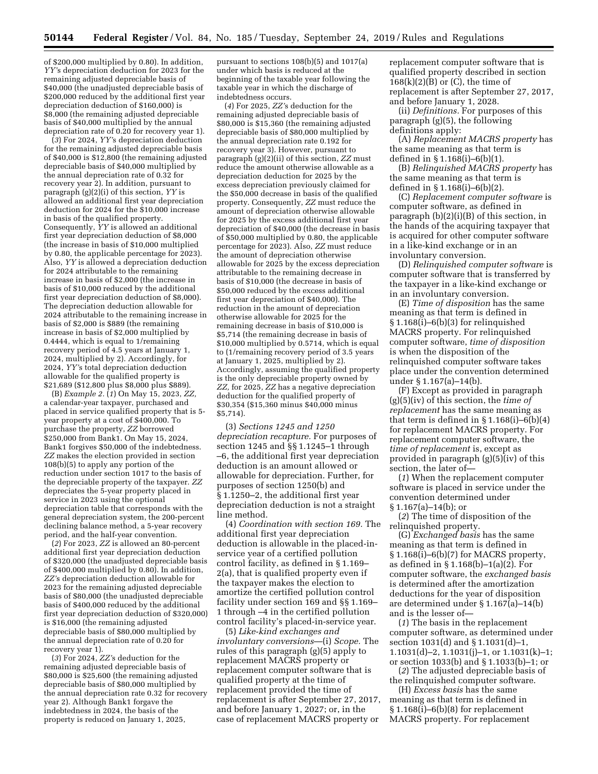of \$200,000 multiplied by 0.80). In addition, *YY'*s depreciation deduction for 2023 for the remaining adjusted depreciable basis of \$40,000 (the unadjusted depreciable basis of \$200,000 reduced by the additional first year depreciation deduction of \$160,000) is \$8,000 (the remaining adjusted depreciable basis of \$40,000 multiplied by the annual depreciation rate of 0.20 for recovery year 1).

(*3*) For 2024, *YY'*s depreciation deduction for the remaining adjusted depreciable basis of \$40,000 is \$12,800 (the remaining adjusted depreciable basis of \$40,000 multiplied by the annual depreciation rate of 0.32 for recovery year 2). In addition, pursuant to paragraph (g)(2)(i) of this section, *YY* is allowed an additional first year depreciation deduction for 2024 for the \$10,000 increase in basis of the qualified property. Consequently, *YY* is allowed an additional first year depreciation deduction of \$8,000 (the increase in basis of \$10,000 multiplied by 0.80, the applicable percentage for 2023). Also, *YY* is allowed a depreciation deduction for 2024 attributable to the remaining increase in basis of \$2,000 (the increase in basis of \$10,000 reduced by the additional first year depreciation deduction of \$8,000). The depreciation deduction allowable for 2024 attributable to the remaining increase in basis of \$2,000 is \$889 (the remaining increase in basis of \$2,000 multiplied by 0.4444, which is equal to 1/remaining recovery period of 4.5 years at January 1, 2024, multiplied by 2). Accordingly, for 2024, *YY'*s total depreciation deduction allowable for the qualified property is \$21,689 (\$12,800 plus \$8,000 plus \$889).

(B) *Example 2.* (*1*) On May 15, 2023, *ZZ,*  a calendar-year taxpayer, purchased and placed in service qualified property that is 5 year property at a cost of \$400,000. To purchase the property, *ZZ* borrowed \$250,000 from Bank1. On May 15, 2024, Bank1 forgives \$50,000 of the indebtedness. *ZZ* makes the election provided in section 108(b)(5) to apply any portion of the reduction under section 1017 to the basis of the depreciable property of the taxpayer. *ZZ*  depreciates the 5-year property placed in service in 2023 using the optional depreciation table that corresponds with the general depreciation system, the 200-percent declining balance method, a 5-year recovery period, and the half-year convention.

(*2*) For 2023, *ZZ* is allowed an 80-percent additional first year depreciation deduction of \$320,000 (the unadjusted depreciable basis of \$400,000 multiplied by 0.80). In addition, *ZZ'*s depreciation deduction allowable for 2023 for the remaining adjusted depreciable basis of \$80,000 (the unadjusted depreciable basis of \$400,000 reduced by the additional first year depreciation deduction of \$320,000) is \$16,000 (the remaining adjusted depreciable basis of \$80,000 multiplied by the annual depreciation rate of 0.20 for recovery year 1).

(*3*) For 2024, *ZZ'*s deduction for the remaining adjusted depreciable basis of \$80,000 is \$25,600 (the remaining adjusted depreciable basis of \$80,000 multiplied by the annual depreciation rate 0.32 for recovery year 2). Although Bank1 forgave the indebtedness in 2024, the basis of the property is reduced on January 1, 2025,

pursuant to sections 108(b)(5) and 1017(a) under which basis is reduced at the beginning of the taxable year following the taxable year in which the discharge of indebtedness occurs.

(*4*) For 2025, *ZZ'*s deduction for the remaining adjusted depreciable basis of \$80,000 is \$15,360 (the remaining adjusted depreciable basis of \$80,000 multiplied by the annual depreciation rate 0.192 for recovery year 3). However, pursuant to paragraph (g)(2)(ii) of this section, *ZZ* must reduce the amount otherwise allowable as a depreciation deduction for 2025 by the excess depreciation previously claimed for the \$50,000 decrease in basis of the qualified property. Consequently, *ZZ* must reduce the amount of depreciation otherwise allowable for 2025 by the excess additional first year depreciation of \$40,000 (the decrease in basis of \$50,000 multiplied by 0.80, the applicable percentage for 2023). Also, *ZZ* must reduce the amount of depreciation otherwise allowable for 2025 by the excess depreciation attributable to the remaining decrease in basis of \$10,000 (the decrease in basis of \$50,000 reduced by the excess additional first year depreciation of \$40,000). The reduction in the amount of depreciation otherwise allowable for 2025 for the remaining decrease in basis of \$10,000 is \$5,714 (the remaining decrease in basis of \$10,000 multiplied by 0.5714, which is equal to (1/remaining recovery period of 3.5 years at January 1, 2025, multiplied by 2). Accordingly, assuming the qualified property is the only depreciable property owned by *ZZ,* for 2025, *ZZ* has a negative depreciation deduction for the qualified property of \$30,354 (\$15,360 minus \$40,000 minus \$5,714).

(3) *Sections 1245 and 1250 depreciation recapture.* For purposes of section 1245 and §§ 1.1245–1 through –6, the additional first year depreciation deduction is an amount allowed or allowable for depreciation. Further, for purposes of section 1250(b) and § 1.1250–2, the additional first year depreciation deduction is not a straight line method.

(4) *Coordination with section 169.* The additional first year depreciation deduction is allowable in the placed-inservice year of a certified pollution control facility, as defined in § 1.169– 2(a), that is qualified property even if the taxpayer makes the election to amortize the certified pollution control facility under section 169 and §§ 1.169– 1 through –4 in the certified pollution control facility's placed-in-service year.

(5) *Like-kind exchanges and involuntary conversions*—(i) *Scope.* The rules of this paragraph (g)(5) apply to replacement MACRS property or replacement computer software that is qualified property at the time of replacement provided the time of replacement is after September 27, 2017, and before January 1, 2027; or, in the case of replacement MACRS property or

replacement computer software that is qualified property described in section  $168(k)(2)(B)$  or  $(C)$ , the time of replacement is after September 27, 2017, and before January 1, 2028.

(ii) *Definitions.* For purposes of this paragraph (g)(5), the following definitions apply:

(A) *Replacement MACRS property* has the same meaning as that term is defined in § 1.168(i)–6(b)(1).

(B) *Relinquished MACRS property* has the same meaning as that term is defined in § 1.168(i)–6(b)(2).

(C) *Replacement computer software* is computer software, as defined in paragraph (b)(2)(i)(B) of this section, in the hands of the acquiring taxpayer that is acquired for other computer software in a like-kind exchange or in an involuntary conversion.

(D) *Relinquished computer software* is computer software that is transferred by the taxpayer in a like-kind exchange or in an involuntary conversion.

(E) *Time of disposition* has the same meaning as that term is defined in § 1.168(i)–6(b)(3) for relinquished MACRS property. For relinquished computer software, *time of disposition*  is when the disposition of the relinquished computer software takes place under the convention determined under § 1.167(a)–14(b).

(F) Except as provided in paragraph (g)(5)(iv) of this section, the *time of replacement* has the same meaning as that term is defined in  $\S 1.168(i) - 6(b)(4)$ for replacement MACRS property. For replacement computer software, the *time of replacement* is, except as provided in paragraph (g)(5)(iv) of this section, the later of—

(*1*) When the replacement computer software is placed in service under the convention determined under  $§ 1.167(a) - 14(b);$  or

(*2*) The time of disposition of the relinquished property.

(G) *Exchanged basis* has the same meaning as that term is defined in § 1.168(i)–6(b)(7) for MACRS property, as defined in § 1.168(b)–1(a)(2). For computer software, the *exchanged basis*  is determined after the amortization deductions for the year of disposition are determined under § 1.167(a)–14(b) and is the lesser of—

(*1*) The basis in the replacement computer software, as determined under section 1031(d) and § 1.1031(d)–1, 1.1031(d)–2, 1.1031(j)–1, or 1.1031(k)–1; or section 1033(b) and § 1.1033(b)–1; or

(*2*) The adjusted depreciable basis of the relinquished computer software.

(H) *Excess basis* has the same meaning as that term is defined in  $§ 1.168(i) - 6(b)(8)$  for replacement MACRS property. For replacement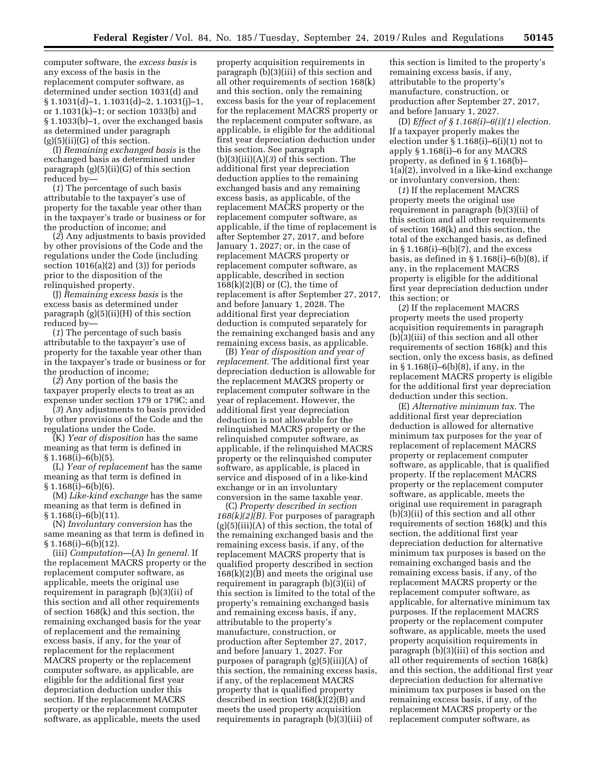computer software, the *excess basis* is any excess of the basis in the replacement computer software, as determined under section 1031(d) and § 1.1031(d)–1, 1.1031(d)–2, 1.1031(j)–1, or 1.1031(k)–1; or section 1033(b) and § 1.1033(b)–1, over the exchanged basis as determined under paragraph  $(g)(5)(ii)(G)$  of this section.

(I) *Remaining exchanged basis* is the exchanged basis as determined under paragraph (g)(5)(ii)(G) of this section reduced by—

(*1*) The percentage of such basis attributable to the taxpayer's use of property for the taxable year other than in the taxpayer's trade or business or for the production of income; and

(*2*) Any adjustments to basis provided by other provisions of the Code and the regulations under the Code (including section 1016(a)(2) and (3)) for periods prior to the disposition of the relinquished property.

(J) *Remaining excess basis* is the excess basis as determined under paragraph (g)(5)(ii)(H) of this section reduced by—

(*1*) The percentage of such basis attributable to the taxpayer's use of property for the taxable year other than in the taxpayer's trade or business or for the production of income;

(*2*) Any portion of the basis the taxpayer properly elects to treat as an expense under section 179 or 179C; and

(*3*) Any adjustments to basis provided by other provisions of the Code and the regulations under the Code.

(K) *Year of disposition* has the same meaning as that term is defined in  $§ 1.168(i) - 6(b)(5).$ 

(L) *Year of replacement* has the same meaning as that term is defined in  $\S 1.168(i) - 6(b)(6)$ .

(M) *Like-kind exchange* has the same meaning as that term is defined in  $§ 1.168(i) - 6(b)(11).$ 

(N) *Involuntary conversion* has the same meaning as that term is defined in § 1.168(i)–6(b)(12).

(iii) *Computation*—(A) *In general.* If the replacement MACRS property or the replacement computer software, as applicable, meets the original use requirement in paragraph (b)(3)(ii) of this section and all other requirements of section 168(k) and this section, the remaining exchanged basis for the year of replacement and the remaining excess basis, if any, for the year of replacement for the replacement MACRS property or the replacement computer software, as applicable, are eligible for the additional first year depreciation deduction under this section. If the replacement MACRS property or the replacement computer software, as applicable, meets the used

property acquisition requirements in paragraph (b)(3)(iii) of this section and all other requirements of section 168(k) and this section, only the remaining excess basis for the year of replacement for the replacement MACRS property or the replacement computer software, as applicable, is eligible for the additional first year depreciation deduction under this section. See paragraph (b)(3)(iii)(A)(*3*) of this section. The additional first year depreciation deduction applies to the remaining exchanged basis and any remaining excess basis, as applicable, of the replacement MACRS property or the replacement computer software, as applicable, if the time of replacement is after September 27, 2017, and before January 1, 2027; or, in the case of replacement MACRS property or replacement computer software, as applicable, described in section  $168(k)(2)(B)$  or  $(C)$ , the time of replacement is after September 27, 2017, and before January 1, 2028. The additional first year depreciation deduction is computed separately for the remaining exchanged basis and any remaining excess basis, as applicable.

(B) *Year of disposition and year of replacement.* The additional first year depreciation deduction is allowable for the replacement MACRS property or replacement computer software in the year of replacement. However, the additional first year depreciation deduction is not allowable for the relinquished MACRS property or the relinquished computer software, as applicable, if the relinquished MACRS property or the relinquished computer software, as applicable, is placed in service and disposed of in a like-kind exchange or in an involuntary conversion in the same taxable year.

(C) *Property described in section 168(k)(2)(B).* For purposes of paragraph  $(g)(5)(iii)(A)$  of this section, the total of the remaining exchanged basis and the remaining excess basis, if any, of the replacement MACRS property that is qualified property described in section 168(k)(2)(B) and meets the original use requirement in paragraph (b)(3)(ii) of this section is limited to the total of the property's remaining exchanged basis and remaining excess basis, if any, attributable to the property's manufacture, construction, or production after September 27, 2017, and before January 1, 2027. For purposes of paragraph (g)(5)(iii)(A) of this section, the remaining excess basis, if any, of the replacement MACRS property that is qualified property described in section 168(k)(2)(B) and meets the used property acquisition requirements in paragraph (b)(3)(iii) of

this section is limited to the property's remaining excess basis, if any, attributable to the property's manufacture, construction, or production after September 27, 2017, and before January 1, 2027.

(D) *Effect of § 1.168(i)–6(i)(1) election.*  If a taxpayer properly makes the election under § 1.168(i)–6(i)(1) not to apply § 1.168(i)–6 for any MACRS property, as defined in § 1.168(b)– 1(a)(2), involved in a like-kind exchange or involuntary conversion, then:

(*1*) If the replacement MACRS property meets the original use requirement in paragraph (b)(3)(ii) of this section and all other requirements of section 168(k) and this section, the total of the exchanged basis, as defined in § 1.168(i)–6(b)(7), and the excess basis, as defined in  $\S 1.168(i) - 6(b)(8)$ , if any, in the replacement MACRS property is eligible for the additional first year depreciation deduction under this section; or

(*2*) If the replacement MACRS property meets the used property acquisition requirements in paragraph (b)(3)(iii) of this section and all other requirements of section 168(k) and this section, only the excess basis, as defined in § 1.168(i)–6(b)(8), if any, in the replacement MACRS property is eligible for the additional first year depreciation deduction under this section.

(E) *Alternative minimum tax.* The additional first year depreciation deduction is allowed for alternative minimum tax purposes for the year of replacement of replacement MACRS property or replacement computer software, as applicable, that is qualified property. If the replacement MACRS property or the replacement computer software, as applicable, meets the original use requirement in paragraph (b)(3)(ii) of this section and all other requirements of section 168(k) and this section, the additional first year depreciation deduction for alternative minimum tax purposes is based on the remaining exchanged basis and the remaining excess basis, if any, of the replacement MACRS property or the replacement computer software, as applicable, for alternative minimum tax purposes. If the replacement MACRS property or the replacement computer software, as applicable, meets the used property acquisition requirements in paragraph (b)(3)(iii) of this section and all other requirements of section 168(k) and this section, the additional first year depreciation deduction for alternative minimum tax purposes is based on the remaining excess basis, if any, of the replacement MACRS property or the replacement computer software, as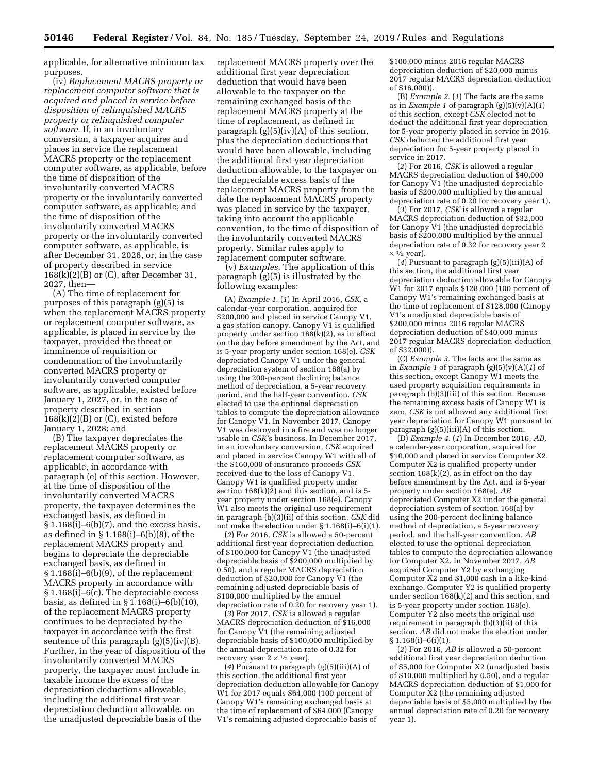applicable, for alternative minimum tax purposes.

(iv) *Replacement MACRS property or replacement computer software that is acquired and placed in service before disposition of relinquished MACRS property or relinquished computer software.* If, in an involuntary conversion, a taxpayer acquires and places in service the replacement MACRS property or the replacement computer software, as applicable, before the time of disposition of the involuntarily converted MACRS property or the involuntarily converted computer software, as applicable; and the time of disposition of the involuntarily converted MACRS property or the involuntarily converted computer software, as applicable, is after December 31, 2026, or, in the case of property described in service 168(k)(2)(B) or (C), after December 31, 2027, then—

(A) The time of replacement for purposes of this paragraph (g)(5) is when the replacement MACRS property or replacement computer software, as applicable, is placed in service by the taxpayer, provided the threat or imminence of requisition or condemnation of the involuntarily converted MACRS property or involuntarily converted computer software, as applicable, existed before January 1, 2027, or, in the case of property described in section  $168(k)(2)(B)$  or  $(C)$ , existed before January 1, 2028; and

(B) The taxpayer depreciates the replacement MACRS property or replacement computer software, as applicable, in accordance with paragraph (e) of this section. However, at the time of disposition of the involuntarily converted MACRS property, the taxpayer determines the exchanged basis, as defined in  $§ 1.168(i)–6(b)(7)$ , and the excess basis, as defined in § 1.168(i)–6(b)(8), of the replacement MACRS property and begins to depreciate the depreciable exchanged basis, as defined in § 1.168(i)–6(b)(9), of the replacement MACRS property in accordance with § 1.168(i)–6(c). The depreciable excess basis, as defined in § 1.168(i)–6(b)(10), of the replacement MACRS property continues to be depreciated by the taxpayer in accordance with the first sentence of this paragraph (g)(5)(iv)(B). Further, in the year of disposition of the involuntarily converted MACRS property, the taxpayer must include in taxable income the excess of the depreciation deductions allowable, including the additional first year depreciation deduction allowable, on the unadjusted depreciable basis of the

replacement MACRS property over the additional first year depreciation deduction that would have been allowable to the taxpayer on the remaining exchanged basis of the replacement MACRS property at the time of replacement, as defined in paragraph  $(g)(5)(iv)(A)$  of this section, plus the depreciation deductions that would have been allowable, including the additional first year depreciation deduction allowable, to the taxpayer on the depreciable excess basis of the replacement MACRS property from the date the replacement MACRS property was placed in service by the taxpayer, taking into account the applicable convention, to the time of disposition of the involuntarily converted MACRS property. Similar rules apply to replacement computer software.

(v) *Examples.* The application of this paragraph (g)(5) is illustrated by the following examples:

(A) *Example 1.* (*1*) In April 2016, *CSK,* a calendar-year corporation, acquired for \$200,000 and placed in service Canopy V1, a gas station canopy. Canopy V1 is qualified property under section 168(k)(2), as in effect on the day before amendment by the Act, and is 5-year property under section 168(e). *CSK*  depreciated Canopy V1 under the general depreciation system of section 168(a) by using the 200-percent declining balance method of depreciation, a 5-year recovery period, and the half-year convention. *CSK*  elected to use the optional depreciation tables to compute the depreciation allowance for Canopy V1. In November 2017, Canopy V1 was destroyed in a fire and was no longer usable in *CSK'*s business. In December 2017, in an involuntary conversion, *CSK* acquired and placed in service Canopy W1 with all of the \$160,000 of insurance proceeds *CSK*  received due to the loss of Canopy V1. Canopy W1 is qualified property under section  $168(k)(2)$  and this section, and is 5year property under section 168(e). Canopy W1 also meets the original use requirement in paragraph (b)(3)(ii) of this section. *CSK* did not make the election under § 1.168(i)–6(i)(1).

(*2*) For 2016, *CSK* is allowed a 50-percent additional first year depreciation deduction of \$100,000 for Canopy V1 (the unadjusted depreciable basis of \$200,000 multiplied by 0.50), and a regular MACRS depreciation deduction of \$20,000 for Canopy V1 (the remaining adjusted depreciable basis of \$100,000 multiplied by the annual depreciation rate of 0.20 for recovery year 1).

(*3*) For 2017, *CSK* is allowed a regular MACRS depreciation deduction of \$16,000 for Canopy V1 (the remaining adjusted depreciable basis of \$100,000 multiplied by the annual depreciation rate of 0.32 for recovery year  $2 \times \frac{1}{2}$  year).

(*4*) Pursuant to paragraph (g)(5)(iii)(A) of this section, the additional first year depreciation deduction allowable for Canopy W1 for 2017 equals \$64,000 (100 percent of Canopy W1's remaining exchanged basis at the time of replacement of \$64,000 (Canopy V1's remaining adjusted depreciable basis of

\$100,000 minus 2016 regular MACRS depreciation deduction of \$20,000 minus 2017 regular MACRS depreciation deduction of \$16,000)).

(B) *Example 2.* (*1*) The facts are the same as in *Example 1* of paragraph  $(g)(5)(v)(A)(1)$ of this section, except *CSK* elected not to deduct the additional first year depreciation for 5-year property placed in service in 2016. *CSK* deducted the additional first year depreciation for 5-year property placed in service in 2017.

(*2*) For 2016, *CSK* is allowed a regular MACRS depreciation deduction of \$40,000 for Canopy V1 (the unadjusted depreciable basis of \$200,000 multiplied by the annual depreciation rate of 0.20 for recovery year 1).

(*3*) For 2017, *CSK* is allowed a regular MACRS depreciation deduction of \$32,000 for Canopy V1 (the unadjusted depreciable basis of \$200,000 multiplied by the annual depreciation rate of 0.32 for recovery year 2  $\times$  1/<sub>2</sub> year).

(*4*) Pursuant to paragraph (g)(5)(iii)(A) of this section, the additional first year depreciation deduction allowable for Canopy  $W_1$  for 2017 equals \$128,000 (100 percent of Canopy W1's remaining exchanged basis at the time of replacement of \$128,000 (Canopy V1's unadjusted depreciable basis of \$200,000 minus 2016 regular MACRS depreciation deduction of \$40,000 minus 2017 regular MACRS depreciation deduction of \$32,000)).

(C) *Example 3.* The facts are the same as in *Example 1* of paragraph (g)(5)(v)(A)(*1*) of this section, except Canopy W1 meets the used property acquisition requirements in paragraph (b)(3)(iii) of this section. Because the remaining excess basis of Canopy W1 is zero, *CSK* is not allowed any additional first year depreciation for Canopy W1 pursuant to paragraph (g)(5)(iii)(A) of this section.

(D) *Example 4.* (*1*) In December 2016, *AB,*  a calendar-year corporation, acquired for \$10,000 and placed in service Computer X2. Computer X2 is qualified property under section 168(k)(2), as in effect on the day before amendment by the Act, and is 5-year property under section 168(e). *AB*  depreciated Computer X2 under the general depreciation system of section 168(a) by using the 200-percent declining balance method of depreciation, a 5-year recovery period, and the half-year convention. *AB*  elected to use the optional depreciation tables to compute the depreciation allowance for Computer X2. In November 2017, *AB*  acquired Computer Y2 by exchanging Computer X2 and \$1,000 cash in a like-kind exchange. Computer Y2 is qualified property under section 168(k)(2) and this section, and is 5-year property under section 168(e). Computer Y2 also meets the original use requirement in paragraph (b)(3)(ii) of this section. *AB* did not make the election under § 1.168(i)–6(i)(1).

(*2*) For 2016, *AB* is allowed a 50-percent additional first year depreciation deduction of \$5,000 for Computer X2 (unadjusted basis of \$10,000 multiplied by 0.50), and a regular MACRS depreciation deduction of \$1,000 for Computer  $\bar{X}2$  (the remaining adjusted depreciable basis of \$5,000 multiplied by the annual depreciation rate of 0.20 for recovery year 1).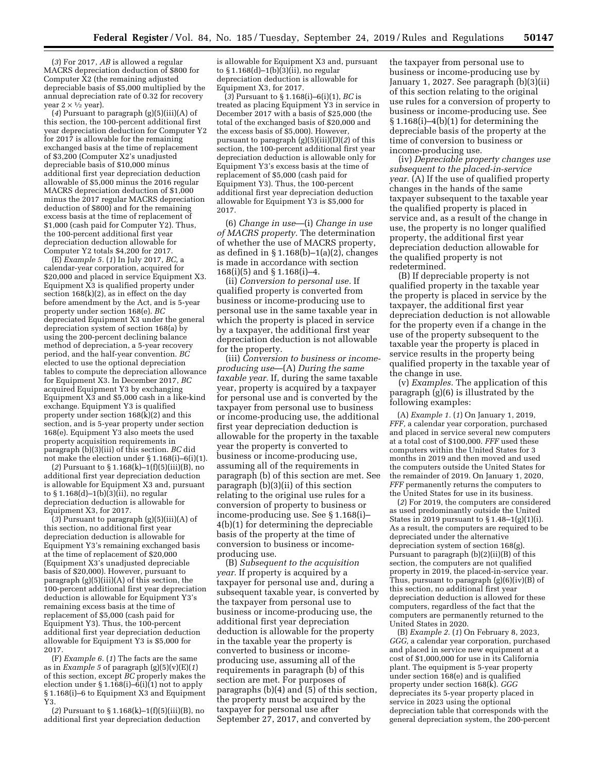(*3*) For 2017, *AB* is allowed a regular MACRS depreciation deduction of \$800 for Computer  $\bar{X}2$  (the remaining adjusted depreciable basis of \$5,000 multiplied by the annual depreciation rate of 0.32 for recovery year  $2 \times \sqrt[1]{2}$  year).

(*4*) Pursuant to paragraph (g)(5)(iii)(A) of this section, the 100-percent additional first year depreciation deduction for Computer Y2 for 2017 is allowable for the remaining exchanged basis at the time of replacement of \$3,200 (Computer X2's unadjusted depreciable basis of \$10,000 minus additional first year depreciation deduction allowable of \$5,000 minus the 2016 regular MACRS depreciation deduction of \$1,000 minus the 2017 regular MACRS depreciation deduction of \$800) and for the remaining excess basis at the time of replacement of \$1,000 (cash paid for Computer Y2). Thus, the 100-percent additional first year depreciation deduction allowable for Computer Y2 totals \$4,200 for 2017.

(E) *Example 5.* (*1*) In July 2017, *BC,* a calendar-year corporation, acquired for \$20,000 and placed in service Equipment X3. Equipment X3 is qualified property under section 168(k)(2), as in effect on the day before amendment by the Act, and is 5-year property under section 168(e). *BC*  depreciated Equipment X3 under the general depreciation system of section 168(a) by using the 200-percent declining balance method of depreciation, a 5-year recovery period, and the half-year convention. *BC*  elected to use the optional depreciation tables to compute the depreciation allowance for Equipment X3. In December 2017, *BC*  acquired Equipment Y3 by exchanging Equipment  $X3$  and \$5,000 cash in a like-kind exchange. Equipment Y3 is qualified property under section 168(k)(2) and this section, and is 5-year property under section 168(e). Equipment Y3 also meets the used property acquisition requirements in paragraph (b)(3)(iii) of this section. *BC* did not make the election under § 1.168(i)–6(i)(1).

(*2*) Pursuant to § 1.168(k)–1(f)(5)(iii)(B), no additional first year depreciation deduction is allowable for Equipment X3 and, pursuant to § 1.168(d)–1(b)(3)(ii), no regular depreciation deduction is allowable for Equipment X3, for 2017.

(*3*) Pursuant to paragraph (g)(5)(iii)(A) of this section, no additional first year depreciation deduction is allowable for Equipment Y3's remaining exchanged basis at the time of replacement of \$20,000 (Equipment X3's unadjusted depreciable basis of \$20,000). However, pursuant to paragraph  $(g)(5)(iii)(A)$  of this section, the 100-percent additional first year depreciation deduction is allowable for Equipment Y3's remaining excess basis at the time of replacement of \$5,000 (cash paid for Equipment Y3). Thus, the 100-percent additional first year depreciation deduction allowable for Equipment Y3 is \$5,000 for 2017.

(F) *Example 6.* (*1*) The facts are the same as in *Example 5* of paragraph (g)(5)(v)(E)(*1*) of this section, except *BC* properly makes the election under § 1.168(i)–6(i)(1) not to apply § 1.168(i)–6 to Equipment X3 and Equipment Y3.

(*2*) Pursuant to § 1.168(k)–1(f)(5)(iii)(B), no additional first year depreciation deduction

is allowable for Equipment X3 and, pursuant to § 1.168(d)–1(b)(3)(ii), no regular depreciation deduction is allowable for Equipment X3, for 2017.

(*3*) Pursuant to § 1.168(i)–6(i)(1), *BC* is treated as placing Equipment Y3 in service in December 2017 with a basis of \$25,000 (the total of the exchanged basis of \$20,000 and the excess basis of \$5,000). However, pursuant to paragraph (g)(5)(iii)(D)(*2*) of this section, the 100-percent additional first year depreciation deduction is allowable only for Equipment Y3's excess basis at the time of replacement of \$5,000 (cash paid for Equipment Y3). Thus, the 100-percent additional first year depreciation deduction allowable for Equipment Y3 is \$5,000 for 2017.

(6) *Change in use*—(i) *Change in use of MACRS property.* The determination of whether the use of MACRS property, as defined in  $\S 1.168(b) - 1(a)(2)$ , changes is made in accordance with section 168(i)(5) and § 1.168(i)–4.

(ii) *Conversion to personal use.* If qualified property is converted from business or income-producing use to personal use in the same taxable year in which the property is placed in service by a taxpayer, the additional first year depreciation deduction is not allowable for the property.

(iii) *Conversion to business or incomeproducing use*—(A) *During the same taxable year.* If, during the same taxable year, property is acquired by a taxpayer for personal use and is converted by the taxpayer from personal use to business or income-producing use, the additional first year depreciation deduction is allowable for the property in the taxable year the property is converted to business or income-producing use, assuming all of the requirements in paragraph (b) of this section are met. See paragraph (b)(3)(ii) of this section relating to the original use rules for a conversion of property to business or income-producing use. See § 1.168(i)– 4(b)(1) for determining the depreciable basis of the property at the time of conversion to business or incomeproducing use.

(B) *Subsequent to the acquisition year.* If property is acquired by a taxpayer for personal use and, during a subsequent taxable year, is converted by the taxpayer from personal use to business or income-producing use, the additional first year depreciation deduction is allowable for the property in the taxable year the property is converted to business or incomeproducing use, assuming all of the requirements in paragraph (b) of this section are met. For purposes of paragraphs (b)(4) and (5) of this section, the property must be acquired by the taxpayer for personal use after September 27, 2017, and converted by

the taxpayer from personal use to business or income-producing use by January 1, 2027. See paragraph (b)(3)(ii) of this section relating to the original use rules for a conversion of property to business or income-producing use. See § 1.168(i)–4(b)(1) for determining the depreciable basis of the property at the time of conversion to business or income-producing use.

(iv) *Depreciable property changes use subsequent to the placed-in-service year.* (A) If the use of qualified property changes in the hands of the same taxpayer subsequent to the taxable year the qualified property is placed in service and, as a result of the change in use, the property is no longer qualified property, the additional first year depreciation deduction allowable for the qualified property is not redetermined.

(B) If depreciable property is not qualified property in the taxable year the property is placed in service by the taxpayer, the additional first year depreciation deduction is not allowable for the property even if a change in the use of the property subsequent to the taxable year the property is placed in service results in the property being qualified property in the taxable year of the change in use.

(v) *Examples.* The application of this paragraph (g)(6) is illustrated by the following examples:

(A) *Example 1.* (*1*) On January 1, 2019, *FFF,* a calendar year corporation, purchased and placed in service several new computers at a total cost of \$100,000. *FFF* used these computers within the United States for 3 months in 2019 and then moved and used the computers outside the United States for the remainder of 2019. On January 1, 2020, *FFF* permanently returns the computers to the United States for use in its business.

(*2*) For 2019, the computers are considered as used predominantly outside the United States in 2019 pursuant to  $\S 1.48-1(g)(1)(i)$ . As a result, the computers are required to be depreciated under the alternative depreciation system of section 168(g). Pursuant to paragraph (b)(2)(ii)(B) of this section, the computers are not qualified property in 2019, the placed-in-service year. Thus, pursuant to paragraph (g)(6)(iv)(B) of this section, no additional first year depreciation deduction is allowed for these computers, regardless of the fact that the computers are permanently returned to the United States in 2020.

(B) *Example 2.* (*1*) On February 8, 2023, *GGG,* a calendar year corporation, purchased and placed in service new equipment at a cost of \$1,000,000 for use in its California plant. The equipment is 5-year property under section 168(e) and is qualified property under section 168(k). *GGG*  depreciates its 5-year property placed in service in 2023 using the optional depreciation table that corresponds with the general depreciation system, the 200-percent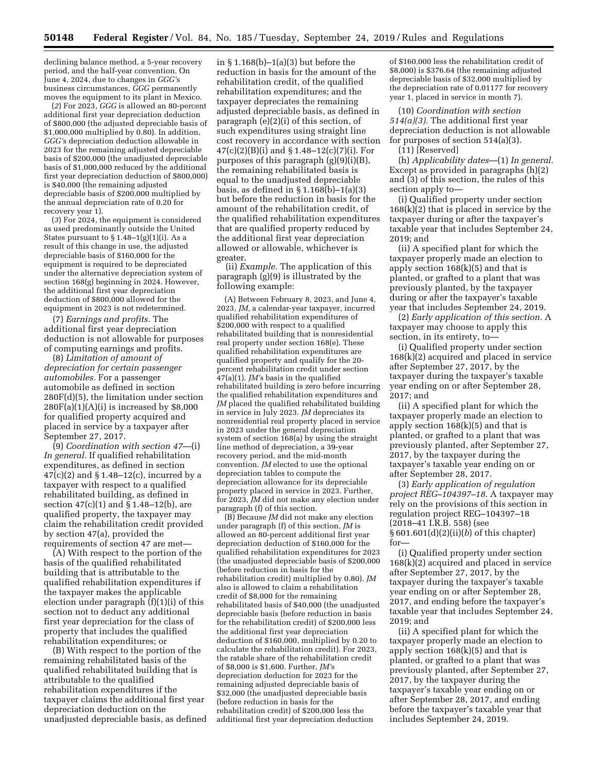declining balance method, a 5-year recovery period, and the half-year convention. On June 4, 2024, due to changes in *GGG'*s business circumstances, *GGG* permanently moves the equipment to its plant in Mexico.

(*2*) For 2023, *GGG* is allowed an 80-percent additional first year depreciation deduction of \$800,000 (the adjusted depreciable basis of \$1,000,000 multiplied by 0.80). In addition, *GGG'*s depreciation deduction allowable in 2023 for the remaining adjusted depreciable basis of \$200,000 (the unadjusted depreciable basis of \$1,000,000 reduced by the additional first year depreciation deduction of \$800,000) is \$40,000 (the remaining adjusted depreciable basis of \$200,000 multiplied by the annual depreciation rate of 0.20 for recovery year 1).

(*3*) For 2024, the equipment is considered as used predominantly outside the United States pursuant to  $\S 1.48-1(g)(1)(i)$ . As a result of this change in use, the adjusted depreciable basis of \$160,000 for the equipment is required to be depreciated under the alternative depreciation system of section 168(g) beginning in 2024. However, the additional first year depreciation deduction of \$800,000 allowed for the equipment in 2023 is not redetermined.

(7) *Earnings and profits.* The additional first year depreciation deduction is not allowable for purposes of computing earnings and profits.

(8) *Limitation of amount of depreciation for certain passenger automobiles.* For a passenger automobile as defined in section 280F(d)(5), the limitation under section  $280F(a)(1)(A)(i)$  is increased by \$8,000 for qualified property acquired and placed in service by a taxpayer after September 27, 2017.

(9) *Coordination with section 47*—(i) *In general.* If qualified rehabilitation expenditures, as defined in section 47(c)(2) and § 1.48–12(c), incurred by a taxpayer with respect to a qualified rehabilitated building, as defined in section 47(c)(1) and § 1.48–12(b), are qualified property, the taxpayer may claim the rehabilitation credit provided by section 47(a), provided the requirements of section 47 are met—

(A) With respect to the portion of the basis of the qualified rehabilitated building that is attributable to the qualified rehabilitation expenditures if the taxpayer makes the applicable election under paragraph (f)(1)(i) of this section not to deduct any additional first year depreciation for the class of property that includes the qualified rehabilitation expenditures; or

(B) With respect to the portion of the remaining rehabilitated basis of the qualified rehabilitated building that is attributable to the qualified rehabilitation expenditures if the taxpayer claims the additional first year depreciation deduction on the unadjusted depreciable basis, as defined in § 1.168(b)–1(a)(3) but before the reduction in basis for the amount of the rehabilitation credit, of the qualified rehabilitation expenditures; and the taxpayer depreciates the remaining adjusted depreciable basis, as defined in paragraph (e)(2)(i) of this section, of such expenditures using straight line cost recovery in accordance with section 47(c)(2)(B)(i) and § 1.48–12(c)(7)(i). For purposes of this paragraph (g)(9)(i)(B), the remaining rehabilitated basis is equal to the unadjusted depreciable basis, as defined in § 1.168(b)–1(a)(3) but before the reduction in basis for the amount of the rehabilitation credit, of the qualified rehabilitation expenditures that are qualified property reduced by the additional first year depreciation allowed or allowable, whichever is greater.

(ii) *Example.* The application of this paragraph (g)(9) is illustrated by the following example:

(A) Between February 8, 2023, and June 4, 2023, *JM,* a calendar-year taxpayer, incurred qualified rehabilitation expenditures of \$200,000 with respect to a qualified rehabilitated building that is nonresidential real property under section 168(e). These qualified rehabilitation expenditures are qualified property and qualify for the 20 percent rehabilitation credit under section 47(a)(1). *JM'*s basis in the qualified rehabilitated building is zero before incurring the qualified rehabilitation expenditures and *JM* placed the qualified rehabilitated building in service in July 2023. *JM* depreciates its nonresidential real property placed in service in 2023 under the general depreciation system of section 168(a) by using the straight line method of depreciation, a 39-year recovery period, and the mid-month convention. *JM* elected to use the optional depreciation tables to compute the depreciation allowance for its depreciable property placed in service in 2023. Further, for 2023, *JM* did not make any election under paragraph (f) of this section.

(B) Because *JM* did not make any election under paragraph (f) of this section, *JM* is allowed an 80-percent additional first year depreciation deduction of \$160,000 for the qualified rehabilitation expenditures for 2023 (the unadjusted depreciable basis of \$200,000 (before reduction in basis for the rehabilitation credit) multiplied by 0.80). *JM*  also is allowed to claim a rehabilitation credit of \$8,000 for the remaining rehabilitated basis of \$40,000 (the unadjusted depreciable basis (before reduction in basis for the rehabilitation credit) of \$200,000 less the additional first year depreciation deduction of \$160,000, multiplied by 0.20 to calculate the rehabilitation credit). For 2023, the ratable share of the rehabilitation credit of \$8,000 is \$1,600. Further, *JM'*s depreciation deduction for 2023 for the remaining adjusted depreciable basis of \$32,000 (the unadjusted depreciable basis (before reduction in basis for the rehabilitation credit) of \$200,000 less the additional first year depreciation deduction

of \$160,000 less the rehabilitation credit of \$8,000) is \$376.64 (the remaining adjusted depreciable basis of \$32,000 multiplied by the depreciation rate of 0.01177 for recovery year 1, placed in service in month 7).

(10) *Coordination with section 514(a)(3).* The additional first year depreciation deduction is not allowable for purposes of section 514(a)(3).

(11) [Reserved]

(h) *Applicability dates*—(1) *In general.*  Except as provided in paragraphs (h)(2) and (3) of this section, the rules of this section apply to—

(i) Qualified property under section 168(k)(2) that is placed in service by the taxpayer during or after the taxpayer's taxable year that includes September 24, 2019; and

(ii) A specified plant for which the taxpayer properly made an election to apply section 168(k)(5) and that is planted, or grafted to a plant that was previously planted, by the taxpayer during or after the taxpayer's taxable year that includes September 24, 2019.

(2) *Early application of this section.* A taxpayer may choose to apply this section, in its entirety, to—

(i) Qualified property under section 168(k)(2) acquired and placed in service after September 27, 2017, by the taxpayer during the taxpayer's taxable year ending on or after September 28, 2017; and

(ii) A specified plant for which the taxpayer properly made an election to apply section  $168(k)(5)$  and that is planted, or grafted to a plant that was previously planted, after September 27, 2017, by the taxpayer during the taxpayer's taxable year ending on or after September 28, 2017.

(3) *Early application of regulation project REG–104397–18.* A taxpayer may rely on the provisions of this section in regulation project REG–104397–18 (2018–41 I.R.B. 558) (see § 601.601(d)(2)(ii)(*b*) of this chapter) for—

(i) Qualified property under section 168(k)(2) acquired and placed in service after September 27, 2017, by the taxpayer during the taxpayer's taxable year ending on or after September 28, 2017, and ending before the taxpayer's taxable year that includes September 24, 2019; and

(ii) A specified plant for which the taxpayer properly made an election to apply section  $168(k)(5)$  and that is planted, or grafted to a plant that was previously planted, after September 27, 2017, by the taxpayer during the taxpayer's taxable year ending on or after September 28, 2017, and ending before the taxpayer's taxable year that includes September 24, 2019.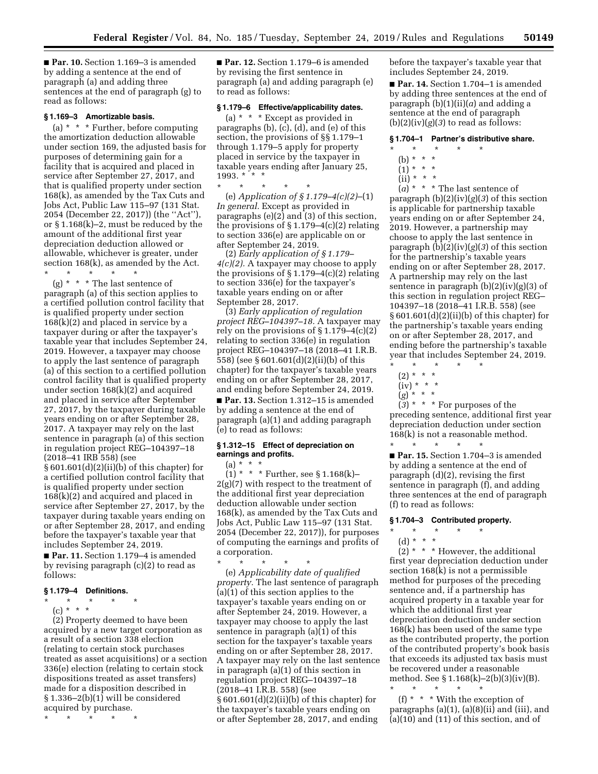■ **Par. 10.** Section 1.169-3 is amended by adding a sentence at the end of paragraph (a) and adding three sentences at the end of paragraph (g) to read as follows:

## **§ 1.169–3 Amortizable basis.**

(a) \* \* \* Further, before computing the amortization deduction allowable under section 169, the adjusted basis for purposes of determining gain for a facility that is acquired and placed in service after September 27, 2017, and that is qualified property under section 168(k), as amended by the Tax Cuts and Jobs Act, Public Law 115–97 (131 Stat. 2054 (December 22, 2017)) (the ''Act''), or § 1.168(k)–2, must be reduced by the amount of the additional first year depreciation deduction allowed or allowable, whichever is greater, under section 168(k), as amended by the Act.

\* \* \* \* \* (g) \* \* \* The last sentence of paragraph (a) of this section applies to a certified pollution control facility that is qualified property under section 168(k)(2) and placed in service by a taxpayer during or after the taxpayer's taxable year that includes September 24, 2019. However, a taxpayer may choose to apply the last sentence of paragraph (a) of this section to a certified pollution control facility that is qualified property under section 168(k)(2) and acquired and placed in service after September 27, 2017, by the taxpayer during taxable years ending on or after September 28, 2017. A taxpayer may rely on the last sentence in paragraph (a) of this section in regulation project REG–104397–18 (2018–41 IRB 558) (see

§ 601.601(d)(2)(ii)(b) of this chapter) for a certified pollution control facility that is qualified property under section 168(k)(2) and acquired and placed in service after September 27, 2017, by the taxpayer during taxable years ending on or after September 28, 2017, and ending before the taxpayer's taxable year that includes September 24, 2019.

■ **Par. 11.** Section 1.179–4 is amended by revising paragraph (c)(2) to read as follows:

### **§ 1.179–4 Definitions.**

\* \* \* \* \*  $(c) * * * *$ 

(2) Property deemed to have been acquired by a new target corporation as a result of a section 338 election (relating to certain stock purchases treated as asset acquisitions) or a section 336(e) election (relating to certain stock dispositions treated as asset transfers) made for a disposition described in § 1.336–2(b)(1) will be considered acquired by purchase.

\* \* \* \* \*

■ **Par. 12.** Section 1.179–6 is amended by revising the first sentence in paragraph (a) and adding paragraph (e) to read as follows:

# **§ 1.179–6 Effective/applicability dates.**

(a) \* \* \* Except as provided in paragraphs (b), (c), (d), and (e) of this section, the provisions of §§ 1.179–1 through 1.179–5 apply for property placed in service by the taxpayer in taxable years ending after January 25,<br>1993 \* \* \* 1993. \*

\* \* \* \* \* (e) *Application of § 1.179–4(c)(2)*–(1) *In general.* Except as provided in paragraphs (e)(2) and (3) of this section, the provisions of  $\S 1.179-4(c)(2)$  relating to section 336(e) are applicable on or after September 24, 2019.

(2) *Early application of § 1.179– 4(c)(2).* A taxpayer may choose to apply the provisions of  $\S 1.179-4(c)(2)$  relating to section 336(e) for the taxpayer's taxable years ending on or after September 28, 2017.

(3) *Early application of regulation project REG–104397–18.* A taxpayer may rely on the provisions of  $\S 1.179-4(c)(2)$ relating to section 336(e) in regulation project REG–104397–18 (2018–41 I.R.B. 558) (see § 601.601(d)(2)(ii)(b) of this chapter) for the taxpayer's taxable years ending on or after September 28, 2017, and ending before September 24, 2019.

■ **Par. 13.** Section 1.312–15 is amended by adding a sentence at the end of paragraph (a)(1) and adding paragraph (e) to read as follows:

## **§ 1.312–15 Effect of depreciation on earnings and profits.**

 $(a) * * * *$  $(1) * * *$  Further, see § 1.168(k)–  $2(g)(7)$  with respect to the treatment of the additional first year depreciation deduction allowable under section 168(k), as amended by the Tax Cuts and Jobs Act, Public Law 115–97 (131 Stat. 2054 (December 22, 2017)), for purposes of computing the earnings and profits of a corporation.

 $\star$   $\star$ (e) *Applicability date of qualified property.* The last sentence of paragraph (a)(1) of this section applies to the taxpayer's taxable years ending on or after September 24, 2019. However, a taxpayer may choose to apply the last sentence in paragraph (a)(1) of this section for the taxpayer's taxable years ending on or after September 28, 2017. A taxpayer may rely on the last sentence in paragraph (a)(1) of this section in regulation project REG–104397–18 (2018–41 I.R.B. 558) (see § 601.601(d)(2)(ii)(b) of this chapter) for the taxpayer's taxable years ending on or after September 28, 2017, and ending

before the taxpayer's taxable year that includes September 24, 2019.

■ **Par. 14.** Section 1.704-1 is amended by adding three sentences at the end of paragraph  $(b)(1)(ii)(a)$  and adding a sentence at the end of paragraph  $(b)(2)(iv)(g)(3)$  to read as follows:

## **§ 1.704–1 Partner's distributive share.**

- \* \* \* \* \*
	- (b) \* \* \*
	- $(1) * * * *$
	- $(ii) * * * *$

 $\left(a\right)$ <sup>\*</sup> \* \* The last sentence of paragraph (b)(2)(iv)(*g*)(*3*) of this section is applicable for partnership taxable years ending on or after September 24, 2019. However, a partnership may choose to apply the last sentence in paragraph (b)(2)(iv)(*g*)(*3*) of this section for the partnership's taxable years ending on or after September 28, 2017. A partnership may rely on the last sentence in paragraph  $(b)(2)(iv)(g)(3)$  of this section in regulation project REG– 104397–18 (2018–41 I.R.B. 558) (see § 601.601(d)(2)(ii)(b) of this chapter) for the partnership's taxable years ending on or after September 28, 2017, and ending before the partnership's taxable year that includes September 24, 2019.

- \* \* \* \* \*  $(2) * * * *$
- $(iv) * * * *$
- (*g*) \* \* \*

(*3*) \* \* \* For purposes of the preceding sentence, additional first year depreciation deduction under section 168(k) is not a reasonable method.

\* \* \* \* \* ■ **Par. 15.** Section 1.704–3 is amended by adding a sentence at the end of paragraph (d)(2), revising the first sentence in paragraph (f), and adding three sentences at the end of paragraph (f) to read as follows:

### **§ 1.704–3 Contributed property.**

- \* \* \* \* \*
	- (d) \* \* \*

 $(2)$  \* \* \* However, the additional first year depreciation deduction under section 168(k) is not a permissible method for purposes of the preceding sentence and, if a partnership has acquired property in a taxable year for which the additional first year depreciation deduction under section 168(k) has been used of the same type as the contributed property, the portion of the contributed property's book basis that exceeds its adjusted tax basis must be recovered under a reasonable method. See § 1.168(k)–2(b)(3)(iv)(B).

\* \* \* \* \* (f) \* \* \* With the exception of paragraphs (a)(1), (a)(8)(ii) and (iii), and (a)(10) and (11) of this section, and of